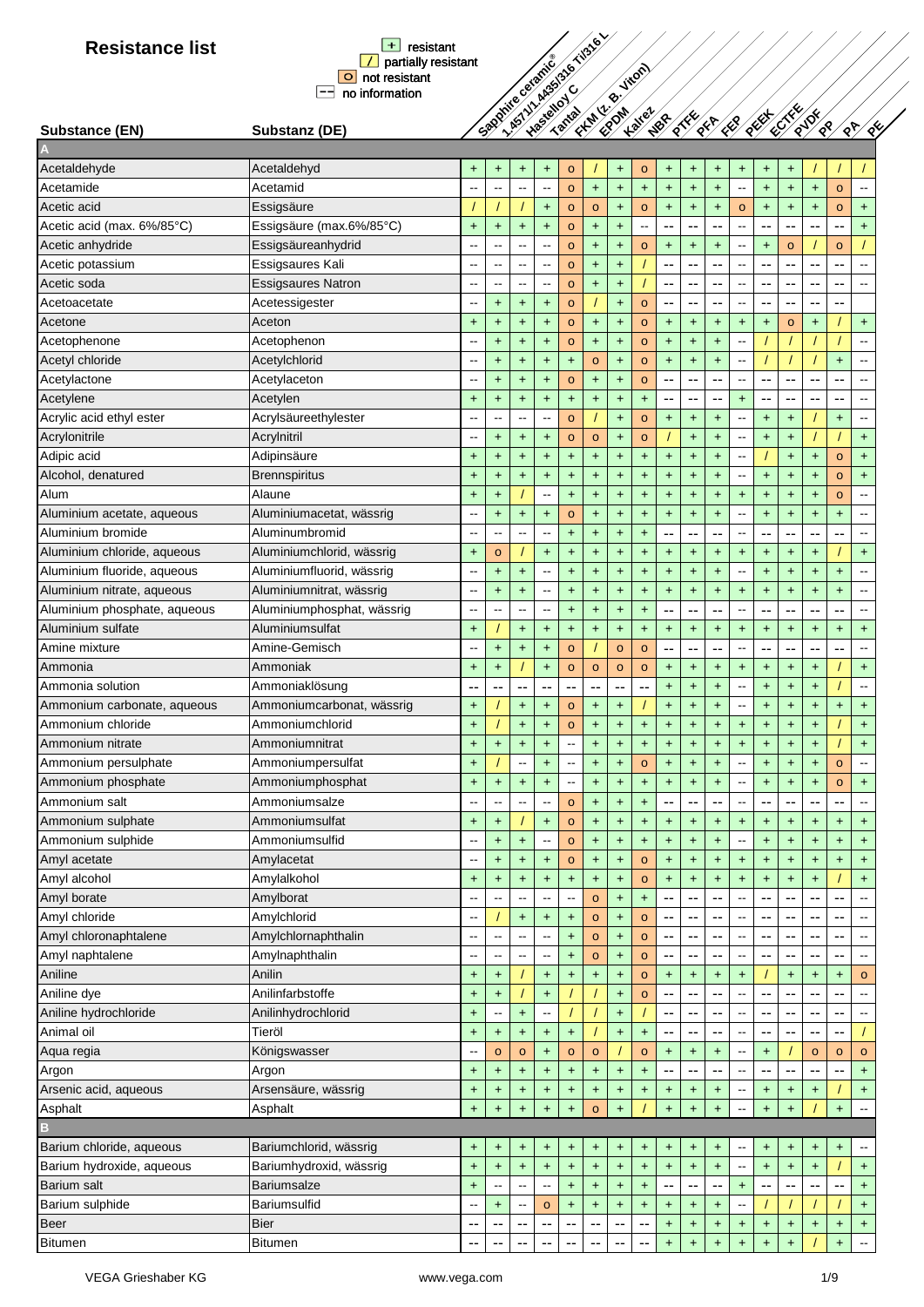

**FKM (z. B. Viton) EPDM Kalrez**

**P<sub>R</sub>ECTFER** 

**PA PE**

# **A**

| Acetaldehyde                                    | Acetaldehyd                                   | +                         | +                        | $\ddot{}$                             | $\ddot{}$                | $\circ$                  |                                  | $\ddot{}$                        | $\circ$                | $\ddot{}$                                     | $\ddot{}$                                     | $\ddot{}$                                     | $\ddot{}$                                     | +                                | +                        |            |                                  |                              |
|-------------------------------------------------|-----------------------------------------------|---------------------------|--------------------------|---------------------------------------|--------------------------|--------------------------|----------------------------------|----------------------------------|------------------------|-----------------------------------------------|-----------------------------------------------|-----------------------------------------------|-----------------------------------------------|----------------------------------|--------------------------|------------|----------------------------------|------------------------------|
| Acetamide                                       | Acetamid                                      |                           | Ξ.                       |                                       | $\overline{\phantom{a}}$ | $\circ$                  | $\ddagger$                       | $\ddot{}$                        | $\ddot{\phantom{1}}$   | $\color{red}+$                                | $\ddot{}$                                     | $+$                                           | $\overline{\phantom{a}}$                      | $\ddot{}$                        | $\ddot{}$                | $\ddot{}$  | $\circ$                          | $\overline{\phantom{a}}$     |
| Acetic acid                                     | Essigsäure                                    |                           |                          |                                       | $+$                      | $\circ$                  | $\circ$                          | $+$                              | $\circ$                | $\ddagger$                                    | $\ddot{}$                                     | $\ddot{}$                                     | $\mathbf{o}$                                  | $\ddot{}$                        | $\ddot{}$                | $\ddot{}$  | $\circ$                          | $+$                          |
| Acetic acid (max. 6%/85°C)                      | Essigsäure (max.6%/85°C)                      | $\ddot{}$                 | $\ddot{}$                | $\ddot{\phantom{1}}$                  | $+$                      | $\circ$                  | $\ddot{}$                        | $\ddot{\phantom{1}}$             | --                     | $\overline{\phantom{a}}$                      | --                                            | --                                            | $\qquad \qquad \blacksquare$                  | --                               | --                       | --         | ۰.                               | $+$                          |
| Acetic anhydride                                | Essigsäureanhydrid                            |                           | --                       | $\overline{\phantom{a}}$              | $\overline{\phantom{a}}$ | $\circ$                  | $\begin{array}{c} + \end{array}$ | $+$                              | $\circ$                | $\begin{array}{c} + \end{array}$              | $+$                                           | $\ddot{}$                                     | $\overline{\phantom{a}}$                      | $\ddot{}$                        | $\circ$                  |            | $\circ$                          |                              |
| Acetic potassium                                | Essigsaures Kali                              | ٠.                        | --                       | $\overline{\phantom{a}}$              | $\overline{\phantom{a}}$ | $\circ$                  | $+$                              | $+$                              |                        | --                                            | --                                            | $\overline{\phantom{a}}$                      | $\overline{\phantom{a}}$                      | --                               | $-$                      | --         | --                               | $\sim$                       |
| Acetic soda                                     | <b>Essigsaures Natron</b>                     |                           | ш.                       | $\overline{\phantom{a}}$              | $\overline{\phantom{a}}$ | $\circ$                  | $+$                              | $+$                              |                        | $\mathord{\hspace{1pt}\text{--}\hspace{1pt}}$ | --                                            | $\overline{\phantom{a}}$                      | $\overline{\phantom{a}}$                      | $-$                              | --                       | --         | $-$                              | $\sim$                       |
| Acetoacetate                                    | Acetessigester                                |                           | $+$                      | $+$                                   | $+$                      | $\circ$                  |                                  | $+$                              | $\circ$                | --                                            | ٠.                                            | --                                            | $\overline{a}$                                | --                               | --                       | --         | --                               |                              |
| Acetone                                         | Aceton                                        | $\ddot{}$                 | $\ddagger$               | $\ddot{}$                             | $\ddot{\phantom{1}}$     | $\circ$                  | $\ddot{}$                        | $\begin{array}{c} + \end{array}$ | $\circ$                | $\ddagger$                                    | $\ddot{}$                                     | $\ddot{}$                                     | $\pmb{+}$                                     | +                                | $\circ$                  | +          |                                  | $\color{red}+$               |
| Acetophenone                                    | Acetophenon                                   |                           | $\ddot{}$                | $\ddot{}$                             | $+$                      | $\circ$                  | $+$                              | $\color{red}{+}$                 | $\circ$                | $\color{red}+$                                | $\ddot{}$                                     | $+$                                           | --                                            |                                  |                          |            |                                  |                              |
| Acetyl chloride                                 | Acetylchlorid                                 | --                        | $\ddagger$               | $\ddot{}$                             | $\ddot{\phantom{1}}$     | $\ddot{}$                | $\circ$                          | $\color{red}{+}$                 | $\circ$                | $\ddot{}$                                     | $\ddot{}$                                     | $\ddot{}$                                     | $\overline{\phantom{a}}$                      |                                  |                          |            | $\begin{array}{c} + \end{array}$ | $\qquad \qquad \blacksquare$ |
| Acetylactone                                    | Acetylaceton                                  |                           | +                        | $\ddot{}$                             | $\ddot{\phantom{1}}$     | $\circ$                  | $\ddot{}$                        | $\begin{array}{c} + \end{array}$ | $\circ$                | $\mathord{\hspace{1pt}\text{--}\hspace{1pt}}$ | --                                            | --                                            | --                                            | --                               | --                       | --         | --                               | $\overline{\phantom{a}}$     |
| Acetylene                                       | Acetylen                                      | $\ddot{}$                 | $\ddot{}$                | $\ddagger$                            | $\ddot{\phantom{1}}$     | $\ddot{}$                | $+$                              | $+$                              | $+$                    | $\mathord{\hspace{1pt}\text{--}\hspace{1pt}}$ | --                                            | --                                            | +                                             | --                               | --                       | --         | --                               | $\qquad \qquad \blacksquare$ |
| Acrylic acid ethyl ester                        | Acrylsäureethylester                          | --                        | $\overline{a}$           | --                                    | $\overline{a}$           | $\circ$                  |                                  | $+$                              | $\circ$                | $+$                                           | $+$                                           | $\ddot{}$                                     | $\overline{\phantom{a}}$                      | $\ddot{}$                        | $+$                      |            | $+$                              | $\qquad \qquad \blacksquare$ |
| Acrylonitrile                                   | Acrylnitril                                   | --                        | $+$                      | $\ddot{\phantom{1}}$                  | $+$                      | $\circ$                  | $\circ$                          | $+$                              | $\circ$                |                                               | $+$                                           | $+$                                           | $\overline{a}$                                | $\ddot{}$                        | $+$                      |            |                                  | $+$                          |
| Adipic acid                                     | Adipinsäure                                   | $\ddot{}$                 | $+$                      | $\ddot{}$                             | $+$                      | $+$                      | $+$                              | $+$                              | $\ddot{}$              | $\ddot{}$                                     | $\ddot{}$                                     | $+$                                           | $\overline{\phantom{a}}$                      |                                  | $+$                      | $\ddot{}$  | $\circ$                          | $+$                          |
| Alcohol, denatured                              | <b>Brennspiritus</b>                          | $\ddot{}$                 | $\ddot{}$                | $\ddot{}$                             | $+$                      | $\ddagger$               | $\ddagger$                       | $+$                              | $\ddot{}$              | $\ddot{}$                                     | $\ddagger$                                    | $\ddot{}$                                     | --                                            | $\ddot{}$                        | $\ddot{}$                | $\ddagger$ | $\circ$                          | $+$                          |
| Alum                                            | Alaune                                        | $\ddot{}$                 | $\ddot{}$                |                                       | $\overline{\phantom{a}}$ | $+$                      | $+$                              | $\ddot{}$                        | $\ddot{}$              | $\ddot{}$                                     | $\ddot{\phantom{1}}$                          | $+$                                           | $\ddot{}$                                     | $\ddot{}$                        | $+$                      | $\ddot{}$  | $\circ$                          | $\overline{\phantom{a}}$     |
| Aluminium acetate, aqueous                      | Aluminiumacetat, wässrig                      |                           | $\ddot{\phantom{1}}$     | $\ddot{\phantom{1}}$                  | $\ddot{\phantom{1}}$     | $\circ$                  | $\ddagger$                       | $\color{red}{+}$                 | $+$                    | $\ddagger$                                    | $\ddot{}$                                     | $\ddot{}$                                     | --                                            | $\ddot{}$                        | $\ddot{}$                | $\ddagger$ | $\ddot{}$                        | $\ddot{\phantom{1}}$         |
| Aluminium bromide                               | Aluminumbromid                                |                           | $\overline{\phantom{a}}$ | $\overline{\phantom{a}}$              | $\overline{\phantom{a}}$ | $+$                      | $\ddot{}$                        | $+$                              | $\ddot{\phantom{1}}$   | $\mathord{\hspace{1pt}\text{--}\hspace{1pt}}$ | --                                            | --                                            | $\overline{\phantom{a}}$                      | --                               |                          | --         | --                               | $\sim$                       |
| Aluminium chloride, aqueous                     | Aluminiumchlorid, wässrig                     | $\ddot{}$                 | $\circ$                  |                                       | $\ddot{\phantom{1}}$     | $\ddot{}$                | $\ddagger$                       | $\ddot{\phantom{1}}$             | $\ddot{}$              | $\ddagger$                                    | $\ddot{}$                                     | $\ddot{}$                                     | $\ddot{}$                                     | $\ddot{}$                        | $\ddot{}$                | +          |                                  | $+$                          |
| Aluminium fluoride, aqueous                     | Aluminiumfluorid, wässrig                     |                           | $\ddot{}$                | $\ddagger$                            | $\overline{\phantom{a}}$ | $\ddot{}$                | $+$                              | $+$                              | $+$                    | $\ddagger$                                    | $+$                                           | $\ddot{}$                                     | $\hspace{0.05cm}$ $\hspace{0.05cm}$           | $\ddot{}$                        | $+$                      | $\ddot{}$  | $\ddot{}$                        | $\overline{\phantom{a}}$     |
| Aluminium nitrate, aqueous                      | Aluminiumnitrat, wässrig                      | ٠.                        | $\ddot{}$                | $+$                                   | $\overline{\phantom{a}}$ | $\ddot{}$                | $+$                              | $+$                              | $+$                    | $+$                                           | $+$                                           | $\ddot{}$                                     | $\ddot{}$                                     | $\ddot{}$                        | $+$                      | $\ddot{}$  | $+$                              | $\sim$                       |
| Aluminium phosphate, aqueous                    | Aluminiumphosphat, wässrig                    |                           | $\overline{a}$           | $\overline{\phantom{a}}$              | $\sim$                   | $+$                      | $+$                              | $+$                              | $+$                    | $\overline{\phantom{a}}$                      | $-$                                           | --                                            | $\overline{\phantom{a}}$                      | $\overline{a}$                   | --                       | --         | $\overline{a}$                   | $\sim$                       |
| Aluminium sulfate                               | Aluminiumsulfat                               | $\ddot{}$                 |                          | $\ddot{\phantom{1}}$                  | $\ddot{}$                | $+$                      | $+$                              | $\begin{array}{c} + \end{array}$ | $+$                    | $\begin{array}{c} + \end{array}$              | $+$                                           | $\ddot{}$                                     | $\ddot{}$                                     | $\ddot{}$                        | $\ddot{}$                | $\ddot{}$  | $\ddot{}$                        | $\color{red}+$               |
| Amine mixture                                   | Amine-Gemisch                                 |                           | $\ddot{}$                | $\ddot{\phantom{1}}$                  | $+$                      | $\circ$                  |                                  | $\circ$                          | $\circ$                | $\mathord{\hspace{1pt}\text{--}\hspace{1pt}}$ | --                                            | --                                            | --                                            | --                               |                          |            | --                               |                              |
| Ammonia                                         | Ammoniak                                      | $\ddot{}$                 | $\ddot{}$                |                                       | $\ddot{}$                | $\circ$                  | $\circ$                          | $\circ$                          | $\circ$                | $\begin{array}{c} + \end{array}$              | $\ddot{}$                                     | $\ddot{}$                                     | $\ddot{}$                                     | $\ddot{}$                        | $\ddot{}$                | +          |                                  | $+$                          |
| Ammonia solution                                | Ammoniaklösung                                |                           | --                       | --                                    | --                       | --                       | $\sim$                           | --                               | --                     | $\ddot{}$                                     | $\ddagger$                                    | $\ddot{}$                                     | ⊷                                             | $\ddot{}$                        | $\ddot{}$                | $\ddot{}$  |                                  | $\qquad \qquad \blacksquare$ |
| Ammonium carbonate, aqueous                     | Ammoniumcarbonat, wässrig                     | $\ddot{}$                 |                          | $\ddot{}$                             | $\ddot{}$                | o                        | $+$                              | $\ddot{}$                        |                        | $\ddagger$                                    | $\ddot{}$                                     | $\ddot{}$                                     | --                                            | $\ddot{}$                        | $\ddot{}$                | +          | $\ddot{}$                        | $\ddot{}$                    |
| Ammonium chloride                               | Ammoniumchlorid                               | $\ddot{}$                 |                          | $\ddagger$                            | $\ddot{}$                | $\circ$                  | +                                | $+$                              | $+$                    | $\begin{array}{c} + \end{array}$              | $+$                                           | $\ddot{}$                                     | $\ddot{}$                                     | $\ddot{}$                        | $+$                      | +          |                                  | $+$                          |
| Ammonium nitrate                                | Ammoniumnitrat                                | $\ddot{}$                 | $\ddot{}$                | $+$                                   | $\ddot{}$                | --                       | $\ddot{}$                        | $\ddot{}$                        | $+$                    | $+$                                           | $\ddot{}$                                     | $\ddot{}$                                     | $\ddot{}$                                     | $\ddot{}$                        | $\ddot{}$                | $\ddot{}$  |                                  | $+$                          |
| Ammonium persulphate                            | Ammoniumpersulfat                             | $\ddot{}$                 |                          | Ξ.                                    | $+$                      | $\overline{a}$           | $+$                              | $+$                              | $\circ$                | $+$                                           | $+$                                           | $+$                                           | --                                            | $\ddot{}$                        | $+$                      | $\ddot{}$  | $\circ$                          | $\sim$                       |
| Ammonium phosphate                              | Ammoniumphosphat                              | $\ddot{}$                 | $+$                      | $+$                                   | $+$                      | $\overline{\phantom{a}}$ | $\ddot{}$                        | $+$                              | $+$                    | $\ddot{}$                                     | $+$                                           | $+$                                           | $\overline{\phantom{a}}$                      | $\ddot{}$                        | $\ddot{}$                | $\ddot{}$  | $\circ$                          | $+$                          |
| Ammonium salt                                   | Ammoniumsalze                                 |                           | $\overline{\phantom{a}}$ | ۵.                                    | $\ddot{\phantom{a}}$     | $\circ$                  | $\ddot{}$                        | $+$                              | $\ddot{}$              |                                               |                                               |                                               | --                                            |                                  |                          |            |                                  | $\overline{\phantom{a}}$     |
| Ammonium sulphate                               | Ammoniumsulfat                                | $\ddot{}$                 | $\ddot{}$                |                                       | $\ddot{}$                | $\circ$                  | $\ddot{}$                        | $\ddot{}$                        | $+$                    | $\ddot{}$                                     | $\ddot{}$                                     | $\ddot{}$                                     | $\ddot{}$                                     | $\ddot{}$                        | $\ddot{}$                | +          | $\ddot{}$                        | $+$                          |
| Ammonium sulphide                               | Ammoniumsulfid                                |                           | $+$                      | $\ddot{}$                             | $\overline{\phantom{a}}$ | $\circ$                  | $\ddot{}$                        | $\color{red}{+}$                 | $\ddot{}$              | $\ddot{}$                                     | $\ddot{}$                                     | $\ddot{}$                                     | --                                            | $\ddot{}$                        | $\ddot{}$                | $\ddot{}$  | $\ddot{}$                        | $\ddot{}$                    |
| Amyl acetate                                    | Amylacetat                                    |                           | $\ddot{}$                | $\ddot{}$                             | $\ddot{}$                | $\mathbf{o}$             | $\ddot{}$                        | $\ddot{}$                        | $\circ$                | +                                             | $\pmb{+}$                                     | $\ddot{}$                                     | $\ddot{}$                                     | $\ddot{}$                        | +                        | $\ddot{}$  | $\ddot{}$                        | $+$                          |
| Amyl alcohol                                    | Amylalkohol                                   | $+$                       | $\ddot{}$                | $\color{red}{+}$                      | $\color{red}{+}$         | $+$                      | $\ddot{}$                        | $+$                              | $\circ$                | $\color{red}+$                                | $\color{red}+$                                | $\color{red}{+}$                              | $\color{red}{+}$                              | $+$                              | $\ddot{}$                | $\ddot{}$  |                                  | $+$                          |
| Amyl borate                                     | Amylborat                                     | --                        | --                       | $\overline{\phantom{a}}$              | $\sim$                   |                          | $\mathsf{o}\,$                   | $+$                              | $+$                    | $\overline{\phantom{a}}$                      | $\overline{\phantom{a}}$                      | $\sim$                                        | $\hspace{0.05cm}$ $\hspace{0.05cm}$           | --                               | --                       | --         | --                               | $\overline{\phantom{a}}$     |
| Amyl chloride                                   | Amylchlorid                                   | $-$                       |                          | $\color{red}+$                        | $+$                      | $+$                      | $\mathbf{o}$                     | $+$                              | $\circ$                | $\mathord{\hspace{1pt}\text{--}\hspace{1pt}}$ | $\mathord{\hspace{1pt}\text{--}\hspace{1pt}}$ | $\overline{\phantom{a}}$                      | --                                            | --                               | --                       | --         | --                               | $\sim$                       |
| Amyl chloronaphtalene                           | Amylchlornaphthalin                           |                           | --                       | $\overline{\phantom{a}}$              | $\overline{\phantom{a}}$ | $+$                      | $\mathbf{o}$                     | $\color{red}{+}$                 | $\circ$                | --                                            | --                                            | $\overline{\phantom{a}}$                      | $\overline{\phantom{a}}$                      | --                               | $\overline{\phantom{a}}$ | --         | --                               | $\sim$                       |
| Amyl naphtalene                                 | Amylnaphthalin                                |                           | --                       | $\overline{\phantom{a}}$              | $\overline{\phantom{a}}$ | $\ddagger$               | $\mathbf{o}$                     | $\color{red}{+}$                 | $\circ$                | $\mathord{\hspace{1pt}\text{--}\hspace{1pt}}$ | --                                            | --                                            |                                               | --                               |                          | --         | $\overline{\phantom{a}}$         | $\sim$                       |
| Aniline                                         | Anilin                                        | $\ddot{}$                 | $+$                      |                                       | $\ddot{\phantom{1}}$     | $+$                      | $+$                              | $\color{red}+$                   | $\circ$                | $\color{red}+$                                | $\color{red}{+}$                              | $+$                                           | $\begin{array}{c} + \end{array}$              |                                  | $+$                      | $\ddot{}$  | $\ddot{}$                        | $\mathbf{o}$                 |
| Aniline dye                                     | Anilinfarbstoffe                              | $\ddot{}$                 | $\ddagger$               |                                       | $\color{red}+$           |                          |                                  | $\color{red}+$                   | $\circ$                | $\overline{\phantom{a}}$                      | $\overline{\phantom{a}}$                      | $\mathord{\hspace{1pt}\text{--}\hspace{1pt}}$ | ⊷                                             | $\overline{\phantom{a}}$         | --                       | --         | --                               | $\mathcal{L}_{\mathcal{F}}$  |
| Aniline hydrochloride                           | Anilinhydrochlorid                            | $+$                       | --                       | $\begin{array}{c} + \end{array}$      | $\overline{\phantom{a}}$ |                          |                                  | $\color{red}{+}$                 |                        | $\overline{\phantom{a}}$                      | --                                            | --                                            | -−                                            | $\overline{\phantom{a}}$         | --                       | --         | --                               | ⊷                            |
| Animal oil                                      | Tieröl                                        | $\ddagger$                | $\ddagger$               | $\begin{array}{c} + \end{array}$      | $+$                      | $+$                      |                                  | $\color{red}+$                   | $+$                    | $\mathord{\hspace{1pt}\text{--}\hspace{1pt}}$ | --                                            | --                                            | ⊷                                             | $\overline{\phantom{a}}$         | --                       | --         | --                               |                              |
| Aqua regia                                      | Königswasser                                  | --                        | $\circ$                  | $\circ$                               | $+$                      | $\circ$                  | $\circ$                          |                                  | $\circ$                | $+$                                           | $+$                                           | $\ddot{}$                                     | $\mathord{\hspace{1pt}\text{--}\hspace{1pt}}$ | $\ddot{}$                        |                          | $\circ$    | $\circ$                          | $\mathsf{o}\,$               |
| Argon                                           | Argon                                         | $+$                       | $+$                      | $+$                                   | $+$                      | $\ddot{}$                | $+$                              | $+$                              | $+$                    | --                                            |                                               | --                                            | --                                            | --                               | --                       |            |                                  | $+$                          |
| Arsenic acid, aqueous                           | Arsensäure, wässrig                           | $\ddot{}$                 | $+$                      | $\color{red}{+}$                      | $\ddot{\phantom{1}}$     | $+$                      | $+$                              | $+$                              | $+$                    | $\begin{array}{c} + \end{array}$              | $\ddagger$                                    |                                               | $\overline{\phantom{a}}$                      |                                  | $\ddot{}$                |            |                                  |                              |
| Asphalt                                         | Asphalt                                       | $\ddot{}$                 | $\ddot{}$                | $\ddot{\phantom{1}}$                  | $+$                      | $\ddot{}$                | $\circ$                          | $+$                              |                        | $\ddot{}$                                     | $\ddot{\phantom{1}}$                          | $\ddot{}$<br>$+$                              | $\overline{\phantom{a}}$                      | +<br>$+$                         | $\ddot{}$                | $\ddot{}$  | $+$                              | $+$<br>$\omega_{\rm m}$      |
|                                                 |                                               |                           |                          |                                       |                          |                          |                                  |                                  |                        |                                               |                                               |                                               |                                               |                                  |                          |            |                                  |                              |
| Barium chloride, aqueous                        | Bariumchlorid, wässrig                        |                           |                          |                                       |                          |                          |                                  |                                  |                        |                                               |                                               |                                               |                                               |                                  |                          |            |                                  |                              |
|                                                 |                                               | +<br>$\ddot{\phantom{1}}$ | $\ddot{}$                | $\ddot{}$                             | $\ddot{}$<br>$\ddot{}$   | $\ddot{}$                | $\ddot{}$                        | $\ddot{}$                        | $\ddot{}$<br>$\ddot{}$ | $\ddot{}$                                     | $\ddot{}$                                     | $\ddot{}$<br>$\ddot{\phantom{1}}$             | -−<br>$\overline{\phantom{a}}$                | $\ddot{}$                        | +<br>$\ddot{}$           | +          | $\ddot{}$                        |                              |
| Barium hydroxide, aqueous<br><b>Barium salt</b> | Bariumhydroxid, wässrig<br><b>Bariumsalze</b> |                           | $\ddot{}$                | $\ddot{}$<br>$\overline{\phantom{a}}$ |                          | $\ddot{}$                | $\ddot{}$                        | $\color{red}+$                   |                        | $\color{red}+$                                | $\color{red}+$                                |                                               |                                               | $\pm$                            |                          | $\ddot{}$  |                                  | $\pm$                        |
|                                                 |                                               | $\ddot{}$                 | --                       |                                       | $\overline{\phantom{a}}$ | $\ddagger$               | $\ddot{}$                        | $\ddot{}$                        | $+$                    | $\mathord{\hspace{1pt}\text{--}\hspace{1pt}}$ | --                                            | $\sim$ –                                      | $\ddot{}$                                     | $\overline{a}$                   | --                       | --         | --                               | $+$                          |
| Barium sulphide                                 | Bariumsulfid                                  | --                        | $\ddot{}$                | $\overline{\phantom{a}}$              | $\circ$                  | $\ddot{}$                | $\color{red}+$                   | $+$                              | $\ddot{\phantom{1}}$   | $\color{red}+$                                | $+$                                           | $\ddot{}$                                     | ⊷                                             |                                  |                          |            |                                  | $+$                          |
| <b>Beer</b>                                     | Bier                                          | $-$                       | --                       | --                                    | --                       | ٠.                       | $\overline{\phantom{m}}$         | --                               | --                     | $+$                                           | $\ddot{}$                                     | $\ddot{}$                                     | $\begin{array}{c} + \end{array}$              | $\begin{array}{c} + \end{array}$ | $\ddot{}$                | $\ddot{}$  | $\ddot{}$                        | $+$                          |
| <b>Bitumen</b>                                  | Bitumen                                       |                           | --                       | --                                    | --                       | ٠.                       | --                               | --                               | $\overline{a}$         | $\pm$                                         | $+$                                           | $+$                                           | $\color{red}+$                                | $\pm$                            | $\ddot{}$                |            | $\color{red}+$                   | $\overline{\phantom{a}}$     |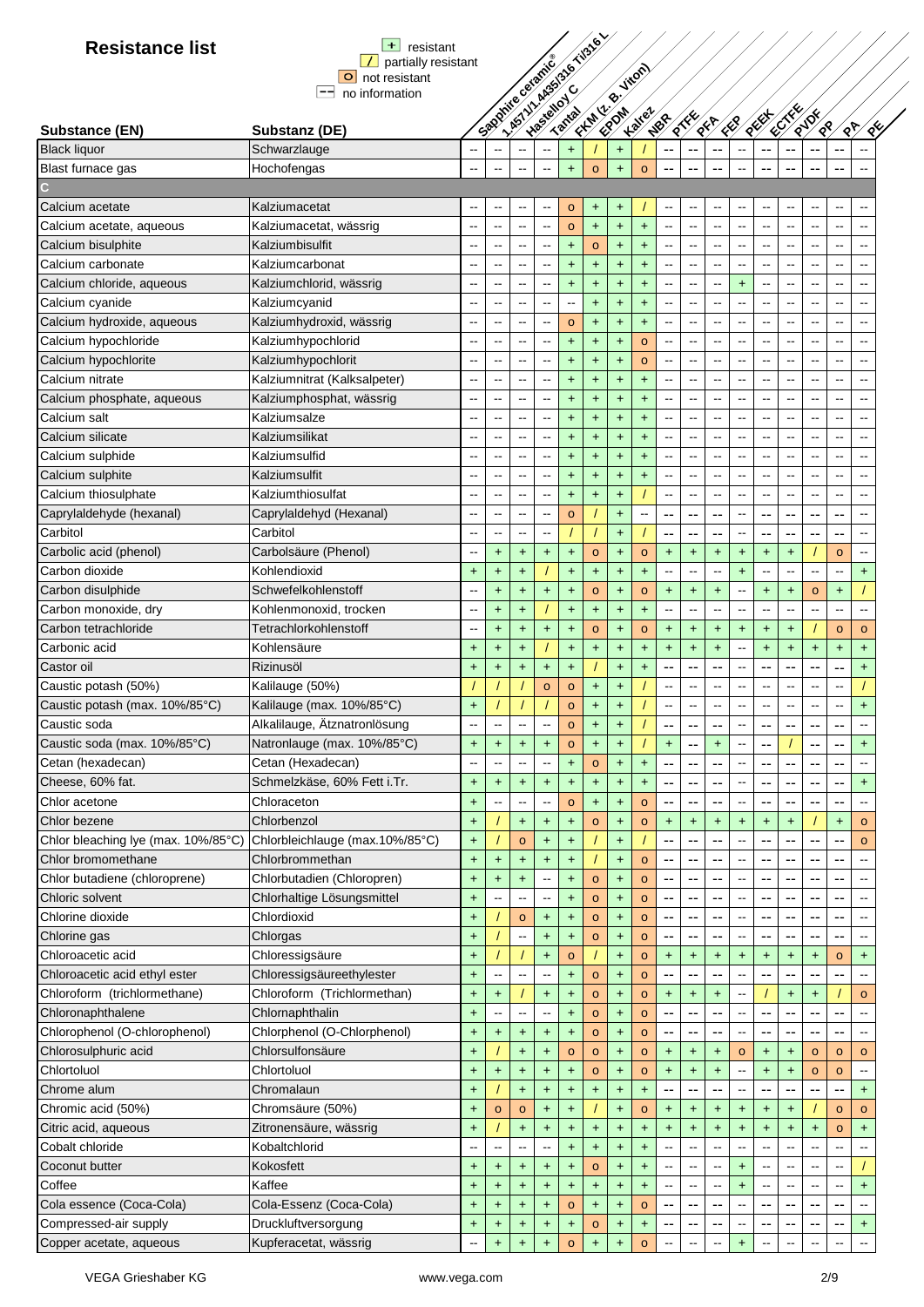|                 | $+$ resistant                             |
|-----------------|-------------------------------------------|
|                 | $\boxed{\phantom{a}}$ partially resistant |
| O not resistant |                                           |
| no information  |                                           |

| <b>Resistance list</b>              | $+$<br>resistant                                 |           |                          |                                  | his villages to this e-  |                      |              |            |                                    |                          |                          |                          |                          |                          |                          |                          |                          |                                            |
|-------------------------------------|--------------------------------------------------|-----------|--------------------------|----------------------------------|--------------------------|----------------------|--------------|------------|------------------------------------|--------------------------|--------------------------|--------------------------|--------------------------|--------------------------|--------------------------|--------------------------|--------------------------|--------------------------------------------|
|                                     | partially resistant<br>$\Omega$<br>not resistant |           |                          |                                  |                          |                      |              |            |                                    |                          |                          |                          |                          |                          |                          |                          |                          |                                            |
|                                     | --<br>no information                             |           |                          |                                  |                          |                      |              |            |                                    |                          |                          |                          |                          |                          |                          |                          |                          |                                            |
|                                     |                                                  |           |                          |                                  |                          |                      |              |            |                                    |                          |                          |                          |                          |                          |                          |                          |                          |                                            |
| Substance (EN)                      | Substanz (DE)                                    |           |                          |                                  | Sandwice of price        |                      |              |            | <b>CALIFORNIA</b><br><b>Kalley</b> | NBR                      | $\frac{1}{8}$            | 1887                     | $\sqrt{\frac{1}{2}}$     | REEF                     | <b>CENTRY</b>            | Rylox<br>⁄≪∕             | $\sqrt[6]{2}$            | $\sqrt{29}$                                |
| <b>Black liquor</b>                 | Schwarzlauge                                     |           |                          |                                  |                          | $+$                  |              | $+$        |                                    | $\overline{\phantom{a}}$ |                          |                          |                          |                          |                          | --                       |                          |                                            |
| Blast furnace gas                   | Hochofengas                                      |           | ц.                       | $\ddot{\phantom{a}}$             | $\overline{\phantom{a}}$ | $+$                  | $\circ$      | $+$        | $\circ$                            |                          |                          |                          |                          |                          |                          | --                       | $\overline{\phantom{a}}$ | $\sim$                                     |
|                                     |                                                  |           |                          |                                  |                          |                      |              |            |                                    |                          |                          |                          |                          |                          |                          |                          |                          |                                            |
| Calcium acetate                     | Kalziumacetat                                    | --        | --                       | $\overline{\phantom{a}}$         | $\overline{\phantom{a}}$ | $\circ$              | +            | $\ddot{}$  |                                    | $\overline{\phantom{a}}$ | $\overline{\phantom{a}}$ | ۰.                       | --                       | $\sim$ $\sim$            |                          | ۰.                       | $\overline{\phantom{a}}$ | $\qquad \qquad \blacksquare$               |
| Calcium acetate, aqueous            | Kalziumacetat, wässrig                           | --        | $\sim$                   | $\overline{\phantom{a}}$         | $\overline{\phantom{a}}$ | $\circ$              | $+$          | $+$        | $+$                                | $\overline{\phantom{a}}$ | $\sim$                   | $\sim$                   | $\overline{\phantom{a}}$ | $\sim$                   | $\overline{a}$           | $\overline{\phantom{a}}$ | $\sim$                   | $\sim$                                     |
| Calcium bisulphite                  | Kalziumbisulfit                                  |           | $\overline{a}$           | $\sim$                           | $\overline{\phantom{a}}$ | $+$                  | $\circ$      | $+$        | $+$                                | $\sim$                   | $\overline{\phantom{a}}$ | $\overline{a}$           | $\overline{a}$           | $\sim$ $\sim$            | $\overline{a}$           | $\overline{a}$           | $\overline{a}$           | $\sim$                                     |
| Calcium carbonate                   | Kalziumcarbonat                                  |           | $\overline{a}$           | $\sim$                           | $\overline{\phantom{a}}$ | $\ddot{\phantom{1}}$ | $\ddot{}$    | $+$        | $+$                                | $\overline{a}$           | $\overline{a}$           | $\overline{\phantom{a}}$ | $\overline{a}$           | $\overline{\phantom{a}}$ | $\overline{a}$           | $\overline{\phantom{a}}$ | $\overline{a}$           | $\overline{a}$                             |
| Calcium chloride, aqueous           | Kalziumchlorid, wässrig                          |           | $\overline{\phantom{a}}$ | $\overline{a}$                   | --                       | $+$                  | $\ddagger$   | $+$        | $+$                                | $\overline{a}$           | $\overline{\phantom{a}}$ | --                       | $+$                      | $\overline{\phantom{a}}$ | $\overline{a}$           | $\overline{\phantom{a}}$ | $-$                      | $\overline{a}$                             |
| Calcium cyanide                     | Kalziumcyanid                                    |           | $\overline{\phantom{a}}$ | $\sim$                           | $-$                      | $\overline{a}$       | $+$          | $+$        | $+$                                | $\overline{a}$           | $\overline{a}$           | $\overline{a}$           |                          | $-$                      | $\sim$                   | $-$                      | $\overline{a}$           |                                            |
|                                     |                                                  |           | $\sim$                   | $\sim$                           | $\overline{\phantom{a}}$ |                      |              |            |                                    | $\overline{a}$           | $\overline{\phantom{a}}$ | $\sim$                   | $\overline{a}$           | $\sim$ $\sim$            | $\overline{a}$           | $\overline{\phantom{a}}$ | $\overline{a}$           | $\sim$ $\sim$                              |
| Calcium hydroxide, aqueous          | Kalziumhydroxid, wässrig                         |           |                          |                                  |                          | $\circ$              | +            | $\ddagger$ | $\ddot{}$                          |                          |                          |                          |                          |                          |                          |                          |                          |                                            |
| Calcium hypochloride                | Kalziumhypochlorid                               |           | $\overline{\phantom{m}}$ | --                               | $\overline{\phantom{a}}$ | $\ddot{}$            | $\ddot{}$    | $+$        | $\circ$                            | $\overline{\phantom{a}}$ | $\overline{\phantom{a}}$ | $\overline{\phantom{a}}$ | $\overline{\phantom{a}}$ | $\mathbf{m}$             | $\overline{\phantom{m}}$ | $\overline{\phantom{a}}$ | $\overline{\phantom{a}}$ | $\sim$ $\sim$                              |
| Calcium hypochlorite                | Kalziumhypochlorit                               |           | --                       | $\overline{\phantom{m}}$         | --                       | $\ddot{}$            | +            | $\ddot{}$  | $\circ$                            | $\sim$                   | $\overline{\phantom{a}}$ | --                       | $\overline{\phantom{a}}$ | $\overline{a}$           | $\overline{a}$           | --                       | --                       | $\sim$                                     |
| Calcium nitrate                     | Kalziumnitrat (Kalksalpeter)                     | --        | --                       | $\sim$                           | --                       | $\ddot{}$            | $\ddot{}$    | $\ddot{}$  | $\ddot{}$                          | $\overline{\phantom{a}}$ | $\overline{\phantom{a}}$ | $\overline{a}$           | $\overline{a}$           | $\overline{\phantom{a}}$ | $\overline{a}$           | --                       | $\overline{a}$           | $\sim$                                     |
| Calcium phosphate, aqueous          | Kalziumphosphat, wässrig                         |           | $\overline{a}$           | $\overline{\phantom{a}}$         | $\overline{a}$           | $+$                  | $\ddot{}$    | $+$        | $+$                                | $\overline{a}$           | $\overline{a}$           | $\overline{a}$           | $\overline{a}$           | $\overline{a}$           | $\overline{a}$           | $-$                      | $\overline{a}$           | $\overline{a}$                             |
| Calcium salt                        | Kalziumsalze                                     | $\sim$    | $\overline{a}$           | $\sim$                           | $\overline{\phantom{a}}$ | $+$                  | $+$          | $\ddot{}$  | $+$                                | $\sim$                   | $\sim$                   | $\sim$                   | $\sim$                   | $\overline{a}$           | $\sim$                   | $\overline{a}$           | $\sim$                   | $\sim$                                     |
| Calcium silicate                    | Kalziumsilikat                                   |           | Ц.                       | $\sim$                           | --                       | $\ddot{}$            | $\ddot{}$    | $\ddot{}$  | $\ddot{}$                          | $\overline{a}$           | $\sim$                   | $\sim$                   |                          | $\overline{a}$           |                          | Ξ.                       | $-$                      | $\sim$                                     |
| Calcium sulphide                    | Kalziumsulfid                                    |           |                          | ц.                               | --                       | $\ddot{}$            | $+$          | $\ddot{}$  | $\ddot{}$                          | $\overline{\phantom{a}}$ | $\overline{a}$           | $\overline{\phantom{a}}$ |                          |                          |                          | $\overline{a}$           |                          | $\overline{a}$                             |
| Calcium sulphite                    | Kalziumsulfit                                    |           |                          |                                  | --                       | $\ddot{\phantom{1}}$ | $\ddagger$   | $\ddot{}$  | $\ddot{}$                          | $\sim$                   | --                       |                          |                          | $\sim$                   |                          |                          |                          | $\overline{\phantom{a}}$                   |
| Calcium thiosulphate                | Kalziumthiosulfat                                |           |                          |                                  | --                       | $+$                  | $\ddagger$   | $+$        |                                    | $\overline{\phantom{a}}$ | $\overline{\phantom{a}}$ | $\ddot{\phantom{a}}$     | --                       | $\sim$ $\sim$            |                          | --                       |                          | $\ddot{\phantom{1}}$                       |
| Caprylaldehyde (hexanal)            | Caprylaldehyd (Hexanal)                          |           | --                       | $\overline{\phantom{a}}$         | --                       | $\circ$              |              | $\ddot{}$  | --                                 | --                       | --                       | --                       | --                       | --                       |                          | --                       | --                       | $\overline{\phantom{a}}$                   |
| Carbitol                            | Carbitol                                         |           | --                       |                                  | --                       |                      |              | $+$        |                                    | --                       | --                       | --                       | $\overline{\phantom{a}}$ | --                       | --                       | --                       | --                       | $\sim$                                     |
| Carbolic acid (phenol)              | Carbolsäure (Phenol)                             | --        | $\ddot{}$                | $+$                              | $+$                      | $\ddot{}$            | $\circ$      | $\ddot{}$  | $\circ$                            | $+$                      | $\ddot{}$                | $+$                      | $\ddot{}$                | $+$                      | $\ddot{}$                |                          | $\circ$                  | $\sim$                                     |
| Carbon dioxide                      | Kohlendioxid                                     | $+$       | $+$                      | $+$                              |                          | $+$                  | $+$          | $+$        | $+$                                | $\overline{\phantom{a}}$ | $\overline{a}$           | $\overline{a}$           | $+$                      | $\overline{a}$           | $\sim$                   | $-$                      | $\overline{a}$           | $+$                                        |
| Carbon disulphide                   | Schwefelkohlenstoff                              | $-$       | $+$                      | $+$                              | $\ddot{}$                | $\ddot{}$            | $\circ$      | $\ddot{}$  | $\circ$                            | $+$                      | $\ddot{}$                | $\ddot{}$                | $\overline{a}$           | $\ddot{}$                | $\ddot{}$                | $\circ$                  | $\ddot{}$                |                                            |
| Carbon monoxide, dry                | Kohlenmonoxid, trocken                           |           | $\ddagger$               | $+$                              |                          | $\ddot{}$            | $\ddot{}$    | $+$        | $+$                                | $\overline{\phantom{a}}$ | --                       | --                       |                          | --                       |                          | --                       |                          | $\sim$                                     |
| Carbon tetrachloride                | Tetrachlorkohlenstoff                            |           | $\ddot{}$                | $\begin{array}{c} + \end{array}$ | $\ddot{}$                | $\ddot{}$            | $\circ$      | $\ddot{}$  | $\circ$                            | $\ddot{}$                | $\ddot{}$                | $\pmb{+}$                | $\ddot{}$                | $\ddot{}$                | $\ddot{}$                |                          | $\circ$                  | $\circ$                                    |
| Carbonic acid                       | Kohlensäure                                      | $\ddot{}$ | $\ddot{}$                | $\begin{array}{c} + \end{array}$ |                          | $+$                  | $\ddot{}$    | $+$        | $\ddot{}$                          | $\color{red}+$           | $\ddagger$               | $+$                      | --                       | $\ddot{}$                | $+$                      | $\ddot{}$                | $+$                      | $\ddot{}$                                  |
| Castor oil                          | Rizinusöl                                        | $\ddot{}$ | $\ddot{}$                | $+$                              | $\pm$                    | $\ddot{}$            |              | $+$        | $+$                                | --                       | --                       | --                       | $\overline{\phantom{a}}$ | $\overline{\phantom{a}}$ | --                       | --                       | --                       | $\ddot{}$                                  |
| Caustic potash (50%)                | Kalilauge (50%)                                  |           |                          |                                  | $\circ$                  | $\circ$              | $\ddot{}$    | $\ddot{}$  |                                    | $\overline{\phantom{a}}$ | $\sim$                   | $\overline{\phantom{a}}$ | --                       | $\sim$                   | $\overline{a}$           | --                       | --                       |                                            |
| Caustic potash (max. 10%/85°C)      | Kalilauge (max. 10%/85°C)                        | $\ddot{}$ |                          |                                  |                          | $\circ$              | +            | $\ddot{}$  |                                    | $\overline{\phantom{a}}$ | $\overline{a}$           | $\overline{\phantom{a}}$ | $\overline{a}$           | $\sim$                   | $\sim$                   | $\overline{\phantom{a}}$ | $\sim$                   | $+$                                        |
| Caustic soda                        | Alkalilauge, Ätznatronlösung                     |           |                          |                                  | Ξ.                       | $\circ$              | $\ddot{}$    | $\ddot{}$  |                                    |                          |                          | --                       | $\sim$                   |                          |                          | $\overline{a}$           |                          |                                            |
| Caustic soda (max. 10%/85°C)        | Natronlauge (max. 10%/85°C)                      | $\ddot{}$ | $\ddot{}$                | $\ddot{}$                        | $\ddot{}$                | $\circ$              | $\ddot{}$    | $\ddot{}$  |                                    | <sup>+</sup>             | --                       | $\ddot{}$                | $\overline{a}$           | --                       |                          | --                       | --                       | $\ddot{}$                                  |
| Cetan (hexadecan)                   | Cetan (Hexadecan)                                |           |                          |                                  |                          | $\ddot{}$            | $\mathsf{o}$ | $\ddot{}$  | $\ddot{}$                          | --                       |                          |                          |                          |                          |                          |                          |                          |                                            |
| Cheese, 60% fat.                    |                                                  |           |                          |                                  |                          |                      |              |            |                                    |                          |                          |                          |                          | $\overline{\phantom{a}}$ | --                       | --                       |                          |                                            |
|                                     | Schmelzkäse, 60% Fett i.Tr.                      | $\ddot{}$ | $\ddot{}$<br>ц.          | $\ddot{}$                        | $\ddot{}$<br>$-$         | $\ddot{}$            | $\ddot{}$    | $\ddot{}$  | $\ddot{}$                          | $\overline{\phantom{a}}$ | $\overline{\phantom{a}}$ | --                       |                          |                          |                          |                          | ۰.                       | $\begin{array}{c} + \end{array}$<br>$\sim$ |
| Chlor acetone                       | Chloraceton                                      | $+$       |                          |                                  |                          | $\circ$              | $\ddot{}$    | $+$        | $\circ$                            | $\overline{\phantom{a}}$ | --                       | --                       | $\overline{\phantom{a}}$ | --                       |                          | --                       | ۰.                       |                                            |
| Chlor bezene                        | Chlorbenzol                                      | $+$       |                          | $+$                              | $\pm$                    | $\ddot{}$            | $\mathsf{o}$ | $\ddot{}$  | $\mathsf{o}$                       | <sup>+</sup>             | $\ddot{}$                | $\ddot{}$                | $\ddot{}$                | $\ddot{}$                | $+$                      |                          | $\ddot{}$                | $\circ$                                    |
| Chlor bleaching lye (max. 10%/85°C) | Chlorbleichlauge (max.10%/85°C)                  | $\ddot{}$ |                          | $\circ$                          | $+$                      | $\ddot{}$            |              | $+$        |                                    | $\overline{\phantom{a}}$ | --                       | --                       |                          | --                       | --                       | --                       | ۰.                       | $\circ$                                    |
| Chlor bromomethane                  | Chlorbrommethan                                  | $\ddot{}$ | $\ddot{}$                | $\ddot{\phantom{1}}$             | $+$                      | $\ddot{}$            |              | $+$        | $\circ$                            | --                       | --                       | --                       | $\overline{\phantom{a}}$ | --                       |                          | --                       |                          |                                            |
| Chlor butadiene (chloroprene)       | Chlorbutadien (Chloropren)                       | $+$       | $+$                      | $+$                              | --                       | $+$                  | $\mathsf{o}$ | $+$        | $\circ$                            | $\overline{\phantom{a}}$ | $\overline{\phantom{a}}$ | $\overline{\phantom{a}}$ | --                       | --                       |                          | $-$                      | --                       | $\sim$                                     |
| Chloric solvent                     | Chlorhaltige Lösungsmittel                       | $+$       |                          |                                  | --                       | $\ddot{}$            | $\mathsf{o}$ | $\ddagger$ | $\circ$                            | --                       | $\sim$                   | ٠.                       | --                       | $-$                      | --                       | $-$                      | --                       | $\sim$                                     |
| Chlorine dioxide                    | Chlordioxid                                      | $\ddot{}$ |                          | $\circ$                          | $\ddot{}$                | $\ddot{}$            | $\mathsf{o}$ | $\ddagger$ | $\circ$                            | --                       | --                       | --                       | --                       | --                       |                          | --                       | ٠.                       | $\overline{a}$                             |
| Chlorine gas                        | Chlorgas                                         | $\ddot{}$ |                          | $\overline{a}$                   | $+$                      | $+$                  | $\mathbf{o}$ | $\ddagger$ | $\circ$                            | --                       | --                       | ٠.                       |                          | --                       | --                       | --                       | --                       |                                            |
| Chloroacetic acid                   | Chloressigsäure                                  | $\ddot{}$ |                          |                                  | $+$                      | $\circ$              |              | $\ddot{}$  | $\mathsf{o}$                       | $\ddot{}$                | $\ddot{}$                | $\ddagger$               | $\ddot{}$                | $\ddot{}$                | $\ddot{}$                | $\ddot{}$                | $\circ$                  | $\ddot{}$                                  |
| Chloroacetic acid ethyl ester       | Chloressigsäureethylester                        | $+$       |                          |                                  |                          | $\ddot{}$            | $\mathsf{o}$ | $+$        | $\mathsf{o}$                       | --                       | $\overline{\phantom{a}}$ | --                       | --                       | $-$                      |                          |                          |                          |                                            |
| Chloroform (trichlormethane)        | Chloroform (Trichlormethan)                      | $\ddot{}$ | $\ddot{}$                |                                  | $+$                      | $\ddot{}$            | $\mathbf{o}$ | $\ddot{}$  | $\mathsf{o}$                       | $+$                      | $\ddot{}$                | $\ddot{}$                | --                       |                          | $\ddot{}$                | $\ddot{}$                |                          | $\circ$                                    |
| Chloronaphthalene                   | Chlornaphthalin                                  | $+$       |                          | --                               | --                       | $\ddot{}$            | $\mathbf{o}$ | $+$        | $\circ$                            | --                       | $\overline{\phantom{a}}$ | --                       | $\overline{a}$           | --                       | --                       |                          | --                       | $\sim$                                     |
| Chlorophenol (O-chlorophenol)       | Chlorphenol (O-Chlorphenol)                      | $\ddot{}$ | $+$                      | $+$                              | $+$                      | $\ddot{}$            | $\mathbf{o}$ | $+$        | $\circ$                            | $-$                      | $\sim$                   | ٠.                       | $\overline{a}$           | --                       |                          | --                       | --                       | $\sim$ $\sim$                              |
| Chlorosulphuric acid                | Chlorsulfonsäure                                 | $+$       |                          | $+$                              | $+$                      | $\circ$              | $\mathsf{o}$ | $\ddot{}$  | $\circ$                            | $+$                      | $\ddot{}$                | $\ddot{}$                | $\circ$                  | $\ddot{}$                | $\ddot{}$                | $\circ$                  | $\circ$                  | $\circ$                                    |
| Chlortoluol                         | Chlortoluol                                      | $\ddot{}$ | $\ddagger$               | $\begin{array}{c} + \end{array}$ | $+$                      | $\ddot{}$            | $\mathsf{o}$ | $\ddot{}$  | $\circ$                            | $\ddot{}$                | $\ddot{}$                | $\ddot{}$                |                          | $\ddot{}$                | $\ddot{}$                | $\circ$                  | $\circ$                  | $\overline{\phantom{a}}$                   |
| Chrome alum                         | Chromalaun                                       | $+$       |                          | $\color{red}{+}$                 | $+$                      | $\ddot{\phantom{1}}$ | $\ddot{}$    | $\ddot{}$  | $\ddot{}$                          |                          |                          |                          |                          |                          |                          |                          |                          | $+$                                        |
| Chromic acid (50%)                  | Chromsäure (50%)                                 | $\ddot{}$ | $\circ$                  | $\circ$                          | $+$                      | $\ddot{}$            |              | $\ddagger$ | $\circ$                            | <sup>+</sup>             | $\ddot{}$                | $\ddot{}$                | $\ddot{}$                | +                        | +                        |                          | $\circ$                  | $\circ$                                    |
| Citric acid, aqueous                | Zitronensäure, wässrig                           | $\ddot{}$ |                          | $\begin{array}{c} + \end{array}$ | $\ddot{}$                | $\ddagger$           | $\ddagger$   | $\ddagger$ | +                                  | $\color{red}{+}$         | $+$                      | $+$                      | $+$                      | $\ddot{}$                | $+$                      | $\ddot{}$                | $\circ$                  | $\ddot{}$                                  |
| Cobalt chloride                     | Kobaltchlorid                                    |           | --                       |                                  | --                       | $\ddot{}$            | $+$          | $\ddot{}$  | $\ddagger$                         | $\overline{\phantom{a}}$ | --                       |                          |                          |                          |                          |                          |                          |                                            |
| Coconut butter                      | Kokosfett                                        | $\ddot{}$ | $+$                      | $+$                              | $\ddot{}$                | $\ddot{}$            | $\mathbf{o}$ | $+$        | $\ddagger$                         | $\overline{\phantom{a}}$ | $\overline{\phantom{a}}$ | $\overline{\phantom{a}}$ | $\ddot{}$                | $\overline{\phantom{a}}$ |                          |                          |                          |                                            |
| Coffee                              | Kaffee                                           | $\ddot{}$ | $\ddot{}$                | $+$                              | $+$                      | $\ddot{}$            | $\ddot{}$    | $+$        | $+$                                | $\overline{\phantom{a}}$ | $\overline{\phantom{a}}$ | $\overline{\phantom{a}}$ | $\ddot{}$                | $\sim$                   |                          | $\overline{\phantom{a}}$ | $\sim$                   | $+$                                        |
| Cola essence (Coca-Cola)            | Cola-Essenz (Coca-Cola)                          | $+$       | $+$                      | $+$                              | $+$                      | $\circ$              | $\ddot{}$    | $+$        | $\circ$                            | $-$                      | --                       | --                       | $\overline{a}$           | --                       |                          | --                       | --                       | $\sim$                                     |
| Compressed-air supply               | Druckluftversorgung                              | $\pmb{+}$ |                          |                                  |                          | $\ddot{}$            | $\mathsf{o}$ | $\ddagger$ | $\ddot{}$                          | --                       | --                       | --                       | --                       | --                       |                          | --                       | --                       | $\begin{array}{c} + \end{array}$           |
| Copper acetate, aqueous             | Kupferacetat, wässrig                            |           | $\ddot{}$<br>$\ddot{}$   | $\ddot{}$<br>$+$                 | $\pm$<br>$\ddot{}$       | $\Omega$             |              |            | $\Omega$                           |                          |                          |                          |                          |                          |                          |                          |                          |                                            |
|                                     |                                                  |           |                          |                                  |                          |                      |              |            |                                    |                          |                          |                          |                          |                          |                          |                          |                          |                                            |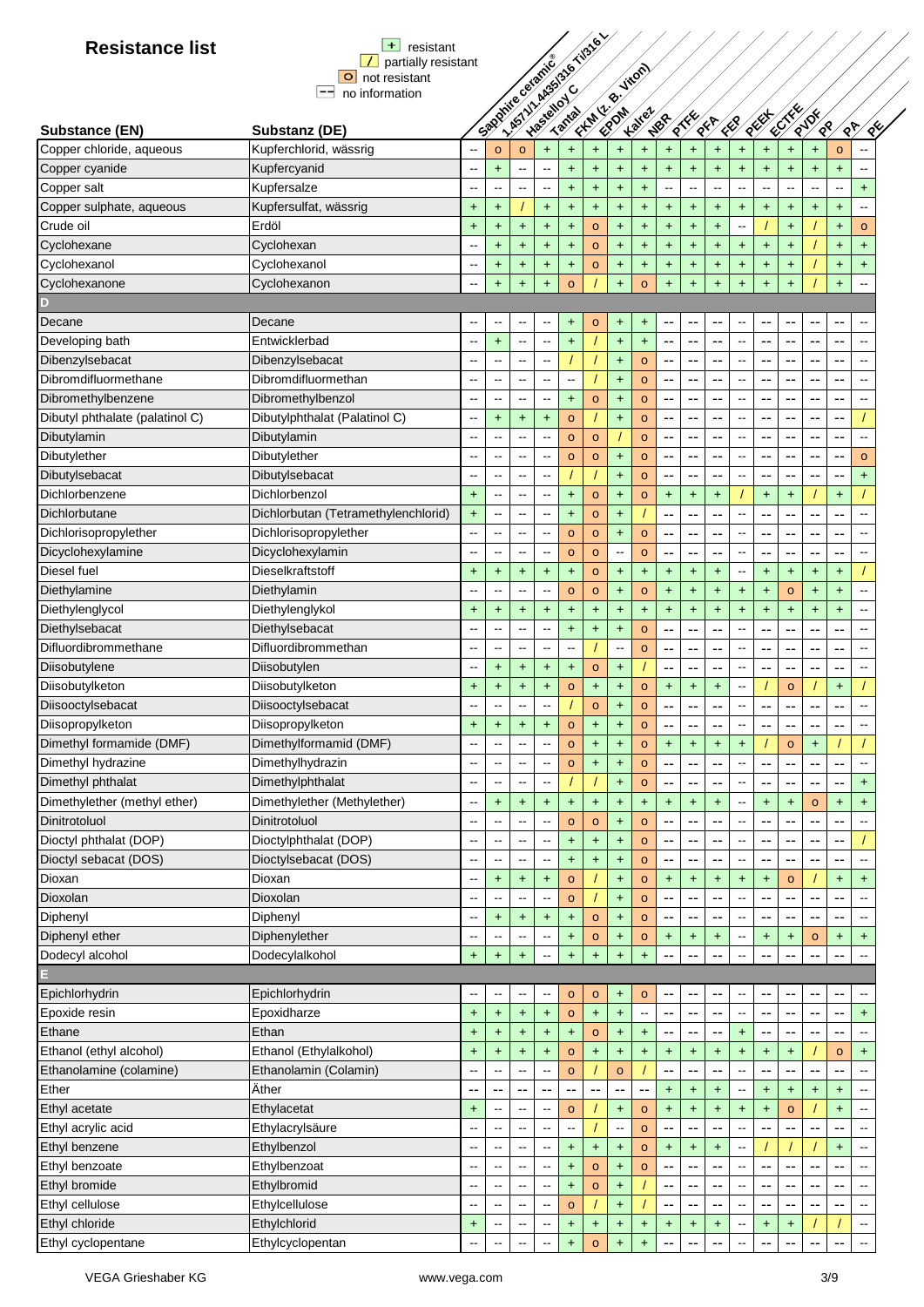| $+$ resistant               |
|-----------------------------|
| $\vert$ partially resistant |
| O not resistant             |
| no information              |

| <b>Resistance list</b>          | $+$<br>resistant                    |                          |                          |                                  |                          | I. Assimilated the Nigel |                      |                                    |                          |                          |                                  |                                         |                                                              |                                                      |                             |                       |                        |                          |
|---------------------------------|-------------------------------------|--------------------------|--------------------------|----------------------------------|--------------------------|--------------------------|----------------------|------------------------------------|--------------------------|--------------------------|----------------------------------|-----------------------------------------|--------------------------------------------------------------|------------------------------------------------------|-----------------------------|-----------------------|------------------------|--------------------------|
|                                 | partially resistant                 |                          |                          |                                  |                          |                          |                      |                                    |                          |                          |                                  |                                         |                                                              |                                                      |                             |                       |                        |                          |
|                                 | O not resistant                     |                          |                          |                                  |                          |                          |                      |                                    |                          |                          |                                  |                                         |                                                              |                                                      |                             |                       |                        |                          |
|                                 | --<br>no information                |                          |                          |                                  |                          |                          |                      |                                    |                          |                          |                                  |                                         |                                                              |                                                      |                             |                       |                        |                          |
| Substance (EN)                  | Substanz (DE)                       |                          |                          | Spanished Station                |                          |                          | Firm R. High         |                                    | <b>Kalley</b>            | NBR                      | <b>Riverside</b>                 | 1000                                    | ER                                                           | REEF                                                 | <b>RECTAL</b>               | RUDE<br>$\mathscr{R}$ |                        | ⁄४्र<br>∕∢Է∕             |
| Copper chloride, aqueous        | Kupferchlorid, wässrig              |                          | $\mathbf{o}$             | $\circ$                          | $+$                      | $\ddot{\phantom{1}}$     | $\ddot{}$            | $\ddot{}$                          | $\ddot{}$                | $\ddot{}$                | $+$                              | $+$                                     | $\ddot{}$                                                    | $\ddot{}$                                            | $\ddot{}$                   | $\ddot{}$             | $\circ$                |                          |
| Copper cyanide                  | Kupfercyanid                        | $\overline{\phantom{a}}$ | $\ddot{}$                |                                  | $\overline{\phantom{a}}$ | $\ddot{}$                | $+$                  | $\ddot{}$                          | $\ddot{}$                | $\ddot{}$                | $+$                              | $+$                                     | $\ddot{}$                                                    | $\ddot{}$                                            | $\ddot{}$                   | $\ddot{\phantom{1}}$  | $\ddot{}$              |                          |
| Copper salt                     | Kupfersalze                         | --                       | $\overline{\phantom{a}}$ | $\overline{a}$                   | Ξ.                       | $+$                      | $\ddagger$           | $\ddot{}$                          | $+$                      | --                       | $\ddotsc$                        | μ.                                      | $\ddotsc$                                                    | $\overline{\phantom{a}}$                             | $\sim$                      | $\sim$                | --                     | $+$                      |
| Copper sulphate, aqueous        | Kupfersulfat, wässrig               |                          |                          |                                  |                          | $+$                      |                      |                                    |                          |                          | $+$                              |                                         |                                                              |                                                      |                             |                       |                        | $\overline{\phantom{a}}$ |
| Crude oil                       | Erdöl                               | $\ddot{}$<br>$\ddot{}$   | +<br>$+$                 | $+$                              | $\ddot{}$<br>$+$         | $\ddot{}$                | $\ddot{}$<br>$\circ$ | $\ddot{}$<br>$+$                   | $\ddot{}$<br>$\ddot{}$   | +<br>$+$                 | $+$                              | $\begin{array}{c} + \end{array}$<br>$+$ | $\begin{array}{c} + \end{array}$<br>$\overline{\phantom{a}}$ | $\begin{array}{c} + \end{array}$                     | $\ddot{}$<br>$+$            | $\ddot{}$             | $\ddot{}$<br>$\ddot{}$ | $\circ$                  |
| Cyclohexane                     | Cyclohexan                          | $\overline{a}$           | $+$                      | $+$                              | $+$                      | $+$                      | $\circ$              | $\ddot{\phantom{1}}$               | $+$                      | $+$                      | $+$                              | $+$                                     | $+$                                                          | $+$                                                  | $\ddot{}$                   |                       | $+$                    | $+$                      |
| Cyclohexanol                    | Cyclohexanol                        | $\overline{a}$           |                          |                                  |                          |                          |                      |                                    |                          |                          |                                  |                                         |                                                              |                                                      |                             |                       |                        | $\ddot{}$                |
| Cyclohexanone                   | Cyclohexanon                        | Ξ.                       | $\ddot{}$<br>$\ddot{}$   | $\color{red}{+}$<br>$+$          | $+$<br>$\ddot{}$         | $+$<br>$\circ$           | $\circ$              | $\ddagger$<br>$\ddot{\phantom{1}}$ | $+$<br>$\circ$           | +<br>$\ddot{}$           | $\ddot{}$<br>$+$                 | $+$<br>$+$                              | $\begin{array}{c} + \end{array}$<br>$\ddag$                  | $\begin{array}{c} + \end{array}$<br>$\color{red}{+}$ | $+$<br>$\ddot{\phantom{1}}$ |                       | $\ddot{}$              | $\sim$                   |
|                                 |                                     |                          |                          |                                  |                          |                          |                      |                                    |                          |                          |                                  |                                         |                                                              |                                                      |                             |                       | $\ddot{}$              |                          |
| Decane                          | Decane                              | --                       |                          |                                  |                          | $\ddot{}$                | $\circ$              | $\ddot{}$                          | $\ddot{}$                | $\overline{\phantom{a}}$ | --                               | --                                      | $\overline{\phantom{a}}$                                     | --                                                   | --                          |                       |                        |                          |
| Developing bath                 | Entwicklerbad                       | --                       | +                        | --                               | --                       | $\ddagger$               |                      | $\ddot{}$                          | $+$                      | --                       | --                               | --                                      | $\overline{\phantom{a}}$                                     | $\sim$ $\sim$                                        | --                          | --                    | ۰.                     | н,                       |
| Dibenzylsebacat                 | Dibenzylsebacat                     | Ξ.                       | --                       | $\overline{\phantom{a}}$         | --                       |                          |                      | $+$                                | $\circ$                  | --                       | --                               | --                                      | $\overline{\phantom{a}}$                                     | --                                                   | --                          | ٠.                    | ۰.                     | Ξ.                       |
| Dibromdifluormethane            | Dibromdifluormethan                 | --                       | $\overline{\phantom{a}}$ | $\overline{\phantom{a}}$         | $\overline{\phantom{a}}$ | --                       |                      |                                    |                          | --                       | --                               | --                                      | $\overline{\phantom{a}}$                                     | $-$                                                  | $-$                         | --                    |                        | $\sim$                   |
|                                 |                                     |                          |                          |                                  | --                       |                          |                      | $\ddot{}$                          | $\circ$                  |                          |                                  |                                         | $\overline{a}$                                               |                                                      |                             |                       | --                     | $\overline{a}$           |
| Dibromethylbenzene              | Dibromethylbenzol                   | --                       | $-$                      | $\overline{\phantom{a}}$         |                          | $+$                      | $\circ$              | $\ddot{\phantom{1}}$               | $\circ$                  | --                       |                                  | --                                      |                                                              | --                                                   | --                          | --                    |                        |                          |
| Dibutyl phthalate (palatinol C) | Dibutylphthalat (Palatinol C)       | --                       | $+$                      | $+$                              | $+$                      | $\circ$                  |                      | $\ddot{}$                          | $\circ$                  |                          |                                  | --                                      | $\overline{a}$                                               | $-$                                                  | --                          |                       |                        |                          |
| Dibutylamin                     | Dibutylamin                         |                          |                          |                                  |                          | $\circ$                  | $\circ$              |                                    | $\circ$                  |                          |                                  | --                                      | ÷.                                                           | --                                                   | --                          |                       |                        |                          |
| Dibutylether                    | Dibutylether                        | Ξ.                       | --                       |                                  | --                       | $\circ$                  | $\circ$              | $\ddot{}$                          | $\circ$                  | --                       |                                  | --                                      | $\overline{a}$                                               | ц.                                                   | --                          |                       |                        | $\circ$                  |
| Dibutylsebacat                  | Dibutylsebacat                      | ٠.                       | $\sim$                   | $\overline{\phantom{a}}$         | --                       |                          |                      | $\ddot{}$                          | $\circ$                  | --                       | --                               | --                                      | $\sim$                                                       | --                                                   | --                          |                       |                        | $\ddot{}$                |
| Dichlorbenzene                  | Dichlorbenzol                       | $\ddot{}$                | $\overline{\phantom{a}}$ | --                               | $\overline{\phantom{a}}$ | $+$                      | $\circ$              | $\ddot{\phantom{1}}$               | $\circ$                  | +                        | $+$                              | $+$                                     |                                                              | $+$                                                  | $\ddot{}$                   |                       | $\ddot{}$              |                          |
| Dichlorbutane                   | Dichlorbutan (Tetramethylenchlorid) | $\ddot{}$                | $\sim$                   | $\overline{a}$                   | --                       | $\ddot{\phantom{1}}$     | $\circ$              | $\ddot{}$                          |                          | --                       | --                               | --                                      | $\ddotsc$                                                    | --                                                   | --                          | ٠.                    | --                     | Ξ.                       |
| Dichlorisopropylether           | Dichlorisopropylether               | --                       | $\sim$                   | --                               | $\overline{\phantom{a}}$ | $\circ$                  | $\circ$              | $+$                                | $\circ$                  | --                       | --                               | --                                      | $\overline{\phantom{a}}$                                     | --                                                   | --                          | --                    | --                     | ц.                       |
| Dicyclohexylamine               | Dicyclohexylamin                    | --                       | $\overline{a}$           | $\overline{a}$                   | $\overline{\phantom{a}}$ | $\circ$                  | $\circ$              | $\overline{\phantom{a}}$           | $\circ$                  | --                       | --                               | $\overline{\phantom{a}}$                | $\overline{\phantom{a}}$                                     | ٠.                                                   | $-$                         | ٠.                    | --                     | $\overline{\phantom{a}}$ |
| Diesel fuel                     | Dieselkraftstoff                    | $\ddot{}$                | $\ddot{}$                | $+$                              | $+$                      | $+$                      | $\circ$              | $+$                                | $+$                      | $+$                      | $+$                              | $+$                                     | $\overline{\phantom{a}}$                                     | $+$                                                  | $+$                         | $+$                   | $+$                    |                          |
| Diethylamine                    | Diethylamin                         | $\overline{\phantom{a}}$ | $\overline{a}$           | $\overline{a}$                   | --                       | $\circ$                  | $\circ$              | $\ddot{}$                          | $\circ$                  | $\ddot{}$                | $\ddot{}$                        | $+$                                     | $\color{red}{+}$                                             | $+$                                                  | $\circ$                     | $+$                   | $\ddot{}$              | $\sim$                   |
| Diethylenglycol                 | Diethylenglykol                     | $\ddot{}$                | +                        | $\begin{array}{c} + \end{array}$ | $\ddot{}$                | $\ddot{\phantom{1}}$     | $\ddot{}$            | $\ddot{\phantom{1}}$               | $+$                      | $\ddot{}$                | $+$                              | $+$                                     | $\ddot{\phantom{1}}$                                         | $+$                                                  | $\ddot{}$                   | $\ddot{}$             | $\ddot{}$              | ÷.                       |
| Diethylsebacat                  | Diethylsebacat                      | --                       | --                       | --                               | --                       | $\ddot{\phantom{1}}$     | $+$                  | $\ddot{}$                          | $\circ$                  | --                       | --                               | --                                      | $\overline{\phantom{a}}$                                     | --                                                   | --                          | ٠.                    | --                     |                          |
| Difluordibrommethane            | Difluordibrommethan                 | --                       | --                       | --                               | $\overline{\phantom{a}}$ | --                       |                      | $\overline{\phantom{a}}$           | $\circ$                  | $\overline{\phantom{a}}$ | --                               | ٠.                                      | $\overline{\phantom{a}}$                                     | $-$                                                  | --                          | ۰.                    | --                     | $\sim$                   |
| Diisobutylene                   | Diisobutylen                        | ۰.                       | $\ddot{}$                | $+$                              | $\ddot{}$                | $+$                      | $\circ$              | $+$                                |                          | --                       | --                               | --                                      | $\overline{\phantom{a}}$                                     | --                                                   | --                          | ٠.                    | ۰.                     | н,                       |
| Diisobutylketon                 | Diisobutylketon                     | $\ddot{}$                | +                        | $\begin{array}{c} + \end{array}$ | $\ddot{}$                | $\circ$                  | +                    | $\ddot{\phantom{1}}$               | $\circ$                  | $\ddot{}$                | $\ddot{}$                        | $\ddot{}$                               | $\overline{\phantom{a}}$                                     |                                                      | $\circ$                     |                       | $\ddot{}$              |                          |
| Diisooctylsebacat               | Diisooctylsebacat                   | --                       | --                       | $\overline{\phantom{a}}$         | $\overline{\phantom{a}}$ |                          | $\mathbf{o}$         | $\ddot{}$                          | $\circ$                  | $-$                      | --                               | --                                      | $\overline{\phantom{a}}$                                     | --                                                   | --                          | --                    | --                     | $\sim$                   |
| Diisopropylketon                | Diisopropylketon                    | $\ddot{\phantom{1}}$     | ÷                        | $\ddot{\phantom{1}}$             | $+$                      | $\circ$                  | $\ddot{\phantom{1}}$ | $\ddot{}$                          | $\circ$                  |                          |                                  |                                         |                                                              |                                                      |                             |                       |                        |                          |
| Dimethyl formamide (DMF)        | Dimethylformamid (DMF)              | --                       | --                       | --                               | $\overline{\phantom{m}}$ | $\circ$                  | +                    | $\ddot{}$                          | $\mathsf{o}$             | $\ddot{}$                | $\ddot{}$                        | $\ddot{}$                               | $\ddot{}$                                                    |                                                      | $\mathsf{o}$                | $\ddot{}$             |                        |                          |
| Dimethyl hydrazine              | Dimethylhydrazin                    |                          | --                       |                                  | --                       | $\circ$                  | +                    | $\ddot{}$                          | $\circ$                  |                          |                                  |                                         | $\sim$                                                       |                                                      |                             |                       |                        |                          |
| Dimethyl phthalat               | Dimethylphthalat                    | Ξ.                       |                          |                                  |                          |                          |                      | $\ddot{}$                          | $\circ$                  |                          |                                  |                                         |                                                              |                                                      |                             |                       |                        | $+$                      |
| Dimethylether (methyl ether)    | Dimethylether (Methylether)         | $\overline{\phantom{a}}$ | $\ddot{}$                | $\ddagger$                       | $\ddot{}$                | $\ddagger$               | $\ddot{}$            | $\ddot{}$                          | $\ddagger$               | +                        | $\begin{array}{c} + \end{array}$ | $\begin{array}{c} + \end{array}$        | $\overline{\phantom{a}}$                                     | $\begin{array}{c} + \end{array}$                     | $\ddot{}$                   | $\circ$               | $\ddot{}$              | $\color{red}{+}$         |
| Dinitrotoluol                   | Dinitrotoluol                       | Ξ.                       | $\overline{\phantom{a}}$ | Ξ.                               |                          | $\circ$                  | $\circ$              | $\ddot{}$                          | $\circ$                  |                          |                                  |                                         | $\overline{a}$                                               |                                                      |                             |                       |                        | $\overline{\phantom{a}}$ |
| Dioctyl phthalat (DOP)          | Dioctylphthalat (DOP)               | --                       | $\sim$                   |                                  |                          | $\ddot{\phantom{1}}$     | $\ddot{}$            | $\ddot{}$                          | $\circ$                  |                          | --                               |                                         |                                                              | ٠.                                                   | --                          | ٠.                    | --                     |                          |
| Dioctyl sebacat (DOS)           | Dioctylsebacat (DOS)                | --                       | $\overline{\phantom{a}}$ |                                  |                          | $\ddot{}$                | $\ddot{}$            | $\ddot{}$                          | $\circ$                  |                          |                                  |                                         |                                                              |                                                      | --                          |                       |                        |                          |
| Dioxan                          | Dioxan                              | --                       | $+$                      | $+$                              | $+$                      | $\circ$                  |                      | $\ddot{\phantom{1}}$               | $\circ$                  | $\ddot{}$                | $+$                              | $\ddot{}$                               | $+$                                                          | $+$                                                  | $\mathbf{o}$                |                       | $+$                    | $+$                      |
| Dioxolan                        | Dioxolan                            | Ξ.                       | --                       | $\overline{a}$                   |                          | $\circ$                  |                      | $\ddot{}$                          | $\circ$                  |                          |                                  |                                         |                                                              | ٠.                                                   | --                          |                       |                        |                          |
| Diphenyl                        | Diphenyl                            | --                       | +                        | $\ddot{}$                        | $\ddagger$               | $\ddagger$               | $\mathsf{o}$         | $\ddot{}$                          | $\circ$                  |                          |                                  |                                         |                                                              |                                                      |                             |                       |                        |                          |
| Diphenyl ether                  | Diphenylether                       | ٠.                       |                          |                                  |                          | $+$                      | $\mathbf{o}$         | $\pmb{+}$                          | $\circ$                  | +                        | $\ddot{}$                        | $\ddot{}$                               |                                                              | $\ddot{}$                                            | +                           | $\circ$               | $\ddot{}$              | $\ddot{\phantom{1}}$     |
| Dodecyl alcohol                 | Dodecylalkohol                      | $\ddot{}$                | $+$                      | $+$                              |                          | $+$                      | $+$                  | $\ddot{\phantom{1}}$               | $+$                      |                          |                                  |                                         |                                                              |                                                      |                             |                       |                        |                          |
|                                 |                                     |                          |                          |                                  |                          |                          |                      |                                    |                          |                          |                                  |                                         |                                                              |                                                      |                             |                       |                        |                          |
| Epichlorhydrin                  | Epichlorhydrin                      | --                       | --                       | --                               | --                       | $\circ$                  | $\mathbf{o}$         | $\ddot{}$                          | $\circ$                  | $\overline{\phantom{a}}$ | --                               | --                                      | $\hspace{0.05cm}$ - $\hspace{0.05cm}$                        | --                                                   | --                          | ۰.                    | ۰.                     |                          |
| Epoxide resin                   | Epoxidharze                         | $\ddot{}$                | $+$                      | $+$                              | $+$                      | $\circ$                  | $+$                  | $+$                                | $\overline{\phantom{a}}$ | --                       | --                               | --                                      | $\overline{\phantom{a}}$                                     | --                                                   | --                          | ۰.                    | --                     | $+$                      |
| Ethane                          | Ethan                               | $\ddot{}$                | $+$                      | $+$                              | $+$                      | $\ddot{\phantom{1}}$     | $\mathsf{o}$         | $\ddot{\phantom{1}}$               | $\ddot{}$                |                          |                                  | ۰.                                      | $+$                                                          |                                                      | --                          |                       |                        | $\overline{a}$           |
| Ethanol (ethyl alcohol)         | Ethanol (Ethylalkohol)              | $\ddot{}$                | $\ddot{}$                | $+$                              | $+$                      | $\circ$                  | $+$                  | $\ddagger$                         | $\ddot{}$                | +                        | $+$                              | $\ddot{}$                               | $+$                                                          | $+$                                                  | $+$                         |                       | $\mathbf{o}$           | $+$                      |
| Ethanolamine (colamine)         | Ethanolamin (Colamin)               |                          | --                       |                                  |                          | $\circ$                  |                      | $\circ$                            |                          |                          |                                  |                                         |                                                              |                                                      |                             |                       |                        |                          |
| Ether                           | Äther                               | --                       |                          |                                  |                          |                          |                      |                                    |                          | $\ddot{}$                | $\ddot{}$                        | $\ddot{}$                               |                                                              | $+$                                                  | $\ddot{}$                   | $\ddot{}$             | $\ddot{}$              |                          |
| Ethyl acetate                   | Ethylacetat                         | $\ddot{}$                | $\overline{\phantom{a}}$ |                                  |                          | $\circ$                  |                      | $\ddot{}$                          | $\mathsf{o}$             | $\ddot{}$                | $\ddot{}$                        | <sup>+</sup>                            | $\ddagger$                                                   | $\begin{array}{c} + \end{array}$                     | $\circ$                     |                       | $\ddot{}$              | ц.                       |
| Ethyl acrylic acid              | Ethylacrylsäure                     | --                       | $\sim$                   | $\overline{a}$                   |                          |                          |                      | ц.                                 | $\circ$                  |                          |                                  |                                         |                                                              |                                                      |                             |                       |                        | $\overline{\phantom{a}}$ |
| Ethyl benzene                   | Ethylbenzol                         |                          | $\overline{\phantom{a}}$ |                                  |                          | $\ddagger$               | +                    | $\ddot{}$                          | $\circ$                  | +                        | $\color{red}{+}$                 | $\begin{array}{c} + \end{array}$        | $\overline{\phantom{a}}$                                     |                                                      |                             |                       | $\ddot{}$              | $\overline{\phantom{a}}$ |
| Ethyl benzoate                  | Ethylbenzoat                        | --                       | $\sim$                   |                                  |                          | $\ddot{\phantom{1}}$     | $\circ$              | $\ddot{}$                          | $\circ$                  |                          | --                               |                                         |                                                              | --                                                   | --                          | ٠.                    |                        | $\overline{\phantom{a}}$ |
| Ethyl bromide                   | Ethylbromid                         | --                       | $\overline{\phantom{a}}$ | --                               | --                       | $\ddot{}$                | $\mathbf{o}$         | $\ddot{}$                          |                          | --                       | --                               | --                                      | $\sim$                                                       | --                                                   | --                          | ٠.                    | --                     | $\overline{\phantom{a}}$ |
| Ethyl cellulose                 | Ethylcellulose                      | Ξ.                       | $\sim$                   | $\overline{\phantom{a}}$         | --                       | $\circ$                  |                      | $+$                                |                          |                          |                                  |                                         | $\overline{\phantom{a}}$                                     | --                                                   | --                          |                       |                        | $\overline{\phantom{a}}$ |
| Ethyl chloride                  | Ethylchlorid                        | $\ddot{}$                |                          |                                  |                          | $\ddot{}$                | $\ddot{}$            | $\pmb{+}$                          | $\ddot{}$                | +                        | $\ddot{}$                        | +                                       | $\hspace{0.05cm}$ - $\hspace{0.05cm}$                        | $\ddot{}$                                            | $\ddot{}$                   |                       |                        | $\overline{\phantom{a}}$ |
| Ethyl cyclopentane              | Ethylcyclopentan                    |                          |                          |                                  |                          | $\ddot{}$                | $\mathsf{o}$         | $\ddot{}$                          | $\ddot{}$                |                          |                                  |                                         |                                                              |                                                      |                             |                       |                        |                          |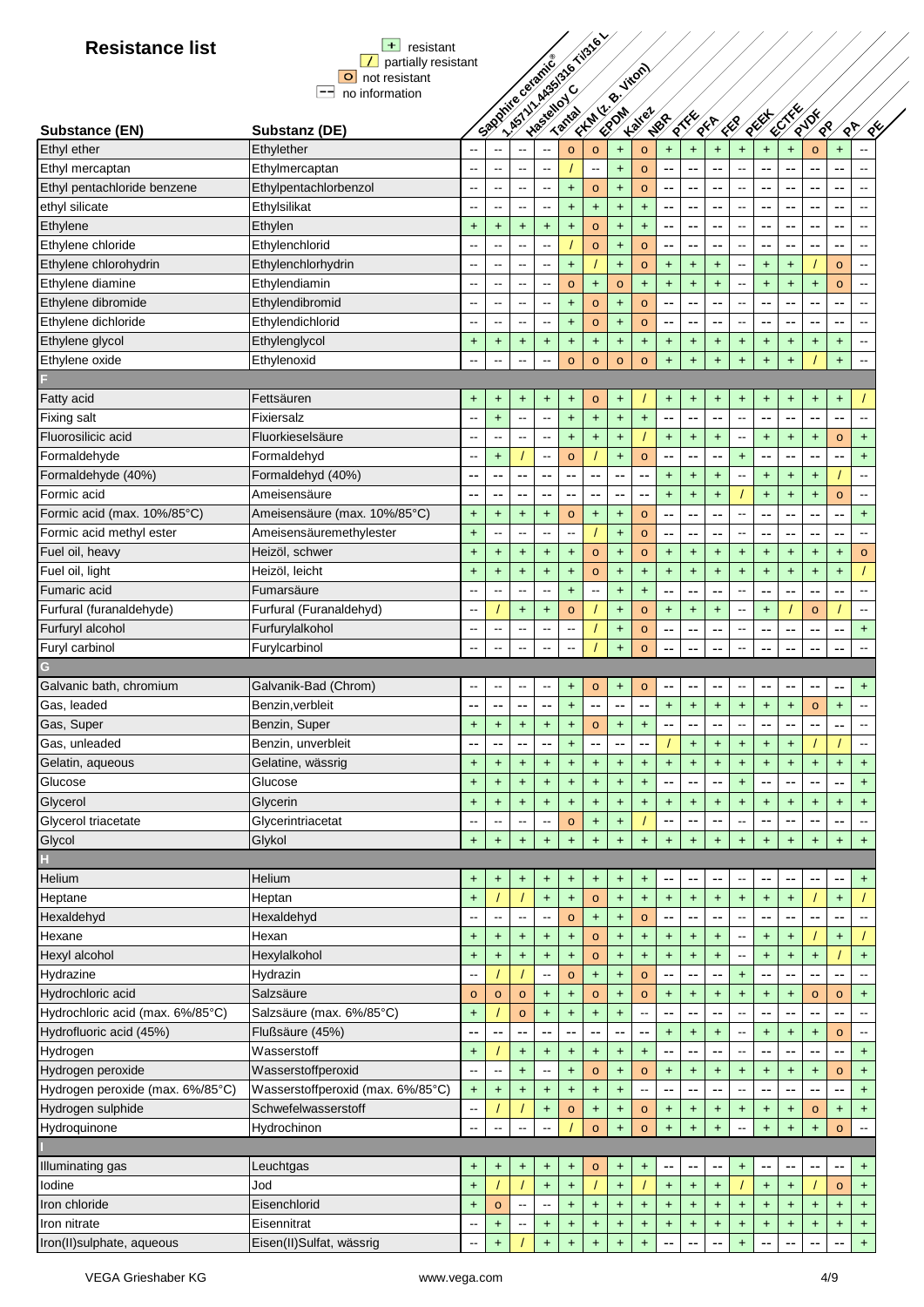| $+$ resistant                             |
|-------------------------------------------|
| $\boxed{\phantom{a}}$ partially resistant |
| O not resistant                           |
| no information                            |

| <b>Resistance list</b>           | $+$<br>resistant                  |                          |                                                                 |                                  |                                  |                          |              |                                  |                                  |                                               |                                  |                                  |                                  |                                  |                                  |                 |                  |                                  |
|----------------------------------|-----------------------------------|--------------------------|-----------------------------------------------------------------|----------------------------------|----------------------------------|--------------------------|--------------|----------------------------------|----------------------------------|-----------------------------------------------|----------------------------------|----------------------------------|----------------------------------|----------------------------------|----------------------------------|-----------------|------------------|----------------------------------|
|                                  | partially resistant               |                          | - ASTITUARYSTS & TOSTEL<br>Smoother clericle<br>First R. Fireby |                                  |                                  |                          |              |                                  |                                  |                                               |                                  |                                  |                                  |                                  |                                  |                 |                  |                                  |
|                                  | $\circ$<br>not resistant<br>$-\!$ |                          |                                                                 |                                  |                                  |                          |              |                                  |                                  |                                               |                                  |                                  |                                  |                                  |                                  |                 |                  |                                  |
|                                  | no information                    |                          |                                                                 |                                  |                                  |                          |              |                                  |                                  |                                               |                                  |                                  |                                  |                                  |                                  |                 |                  |                                  |
| Substance (EN)                   | Substanz (DE)                     |                          |                                                                 |                                  |                                  |                          |              |                                  | <b>Kalley</b>                    | NBR                                           |                                  | <b>SER</b>                       | ER                               | REEF                             | <b>KETKK</b>                     | RIDE<br>⁄<br>९⁄ | ৻৽ঢ়             | $\sqrt{2}$                       |
| Ethyl ether                      | Ethylether                        |                          |                                                                 |                                  |                                  | $\circ$                  | $\circ$      | $+$                              | $\circ$                          | $+$                                           | $+$                              | $+$                              | $+$                              | $\ddot{}$                        | $\ddot{}$                        | $\circ$         | $\ddot{}$        | $\overline{\phantom{a}}$         |
| Ethyl mercaptan                  | Ethylmercaptan                    | $\sim$                   | $\overline{\phantom{a}}$                                        | $\sim$                           | $\overline{\phantom{a}}$         |                          | -−           | $\ddot{}$                        | $\circ$                          | --                                            | --                               |                                  |                                  |                                  | --                               | --              | --               | $\sim$                           |
| Ethyl pentachloride benzene      | Ethylpentachlorbenzol             | $\overline{\phantom{a}}$ | щ,                                                              | $\overline{\phantom{a}}$         | $\overline{a}$                   | $+$                      | $\circ$      | Ŧ.                               | $\circ$                          | --                                            | $\overline{\phantom{a}}$         | --                               | $\overline{\phantom{a}}$         | --                               | --                               | --              | --               | $\sim$                           |
| ethyl silicate                   | Ethylsilikat                      | --                       | $\overline{\phantom{a}}$                                        | $\overline{\phantom{a}}$         | --                               | $+$                      | $\ddagger$   | $+$                              | $+$                              | $\overline{\phantom{m}}$                      | --                               | --                               | $\overline{\phantom{a}}$         | --                               | --                               | --              | --               | $\sim$                           |
| Ethylene                         | Ethylen                           | $\ddot{}$                | $+$                                                             | $+$                              | $\ddot{}$                        | $+$                      | $\circ$      | $+$                              | $+$                              | $-$                                           | $\overline{\phantom{a}}$         | $\overline{\phantom{a}}$         | $\overline{\phantom{a}}$         | --                               | --                               | $-$             | $-$              | $\sim$                           |
| Ethylene chloride                | Ethylenchlorid                    |                          | $-$                                                             | $\overline{a}$                   | --                               |                          | $\circ$      | $+$                              | $\circ$                          | $\overline{\phantom{a}}$                      | $\overline{\phantom{a}}$         | $\overline{\phantom{a}}$         | $\overline{a}$                   | $-$                              | ۰.                               | --              | --               | $\sim$                           |
| Ethylene chlorohydrin            | Ethylenchlorhydrin                |                          | $\overline{a}$                                                  | $\overline{\phantom{a}}$         | --                               | $+$                      |              | Ŧ,                               | $\circ$                          | $+$                                           | $+$                              | $+$                              | $\overline{\phantom{a}}$         | $+$                              | $+$                              |                 | $\circ$          | $\sim$                           |
| Ethylene diamine                 | Ethylendiamin                     |                          | --                                                              | $\overline{\phantom{a}}$         | --                               | $\circ$                  | $\ddagger$   | $\circ$                          | $+$                              | $\ddot{}$                                     | $\ddot{}$                        | $\ddot{}$                        | --                               | $\ddagger$                       | $\color{red}+$                   | $\ddot{}$       | $\circ$          | $\sim$                           |
| Ethylene dibromide               | Ethylendibromid                   |                          | $-$                                                             | $\overline{\phantom{a}}$         | --                               | $\ddot{}$                | $\circ$      | $+$                              | $\circ$                          | $\overline{\phantom{a}}$                      | $\overline{\phantom{a}}$         | --                               | $\overline{a}$                   | $-$                              | --                               | $-$             | --               | $\sim$ $\sim$                    |
| Ethylene dichloride              | Ethylendichlorid                  |                          | $\overline{\phantom{a}}$                                        | $\overline{\phantom{a}}$         | --                               | $\ddot{}$                | $\circ$      | $\color{red}+$                   | $\circ$                          | $\overline{\phantom{a}}$                      | --                               | $-$                              | $\overline{\phantom{a}}$         | --                               | --                               | --              | --               | $\sim$                           |
| Ethylene glycol                  | Ethylenglycol                     | +                        | $\ddot{}$                                                       | $\begin{array}{c} + \end{array}$ | $\ddot{}$                        | +                        | $\ddot{}$    | $\ddot{}$                        | $\ddot{}$                        | $+$                                           | $\ddot{}$                        | +                                | $\ddot{}$                        | +                                | $\ddot{}$                        | $+$             | $+$              | $\ddot{\phantom{a}}$             |
| Ethylene oxide                   | Ethylenoxid                       |                          |                                                                 |                                  | --                               | $\circ$                  | $\circ$      | $\circ$                          | $\circ$                          | $+$                                           | $\ddot{}$                        | $\ddot{}$                        | $+$                              | $\ddot{}$                        | $+$                              |                 | $\ddot{}$        |                                  |
|                                  |                                   |                          |                                                                 |                                  |                                  |                          |              |                                  |                                  |                                               |                                  |                                  |                                  |                                  |                                  |                 |                  |                                  |
| Fatty acid                       | Fettsäuren                        | $\ddot{}$                | $\ddot{}$                                                       | $\ddot{}$                        | $+$                              | $+$                      | $\circ$      | $+$                              |                                  | $\ddot{}$                                     | $\ddot{}$                        | $\ddot{}$                        | $\ddot{}$                        | $\ddot{}$                        | $\ddot{}$                        | $\pm$           | $\ddot{}$        |                                  |
| <b>Fixing salt</b>               | Fixiersalz                        | $\sim$                   | $+$                                                             | $\overline{a}$                   | Ξ.                               | $\ddot{}$                | $+$          | $+$                              | $+$                              | $\overline{\phantom{a}}$                      | $\sim$                           | ۵.                               | L.                               | $\overline{a}$                   | --                               | $-$             | --               | $\sim$                           |
| Fluorosilicic acid               | Fluorkieselsäure                  | $\sim$                   | $-$                                                             | μ.                               | --                               | $\ddagger$               | $+$          | $\ddot{}$                        |                                  | $+$                                           | $\ddot{}$                        | $\ddot{}$                        |                                  | $\ddot{}$                        | $\ddot{}$                        | $\ddot{}$       | $\circ$          | $\ddot{}$                        |
| Formaldehyde                     | Formaldehyd                       | $\sim$                   | $+$                                                             |                                  | --                               | $\circ$                  |              | Ŧ,                               | $\circ$                          | --                                            | --                               | ٠.                               | $\ddot{}$                        | --                               |                                  |                 |                  | $+$                              |
| Formaldehyde (40%)               | Formaldehyd (40%)                 | --                       |                                                                 | --                               | $\overline{\phantom{a}}$         | $ -$                     | --           | ٠.                               |                                  | $\ddot{}$                                     | $\ddot{}$                        | $\ddagger$                       |                                  | +                                | $\ddot{}$                        | $\ddot{}$       |                  | $\overline{\phantom{a}}$         |
| Formic acid                      | Ameisensäure                      |                          |                                                                 |                                  | --                               |                          | --           | --                               | --                               | $\ddot{\phantom{1}}$                          | $\ddot{\phantom{1}}$             | $+$                              |                                  | $\ddot{}$                        | $+$                              | $\ddot{}$       | $\circ$          | $\ddot{\phantom{a}}$             |
| Formic acid (max. 10%/85°C)      | Ameisensäure (max. 10%/85°C)      | $+$                      | $+$                                                             | $+$                              | $\ddagger$                       | $\circ$                  | $+$          | $+$                              | $\circ$                          | --                                            | $\overline{\phantom{a}}$         | --                               |                                  | --                               | --                               | --              | --               | $\ddot{}$                        |
| Formic acid methyl ester         | Ameisensäuremethylester           | $\ddot{}$                |                                                                 | --                               | --                               | $\overline{\phantom{a}}$ |              | $+$                              | $\circ$                          | --                                            | --                               | --                               |                                  | --                               | ۰.                               | --              | --               | $\qquad \qquad \blacksquare$     |
| Fuel oil, heavy                  | Heizöl, schwer                    | $\ddot{}$                | $+$                                                             | $+$                              | $\ddot{}$                        | $+$                      | $\circ$      | $+$                              | $\circ$                          | $+$                                           | $+$                              | $+$                              | $+$                              | $\ddot{}$                        | $+$                              | $+$             | $+$              | $\circ$                          |
| Fuel oil, light                  | Heizöl, leicht                    | $+$                      | $+$                                                             | $+$                              | $+$                              | $+$                      | $\circ$      | $+$                              | $+$                              | $+$                                           | $+$                              | $+$                              | $+$                              | $+$                              | $+$                              | $+$             | $+$              |                                  |
| Fumaric acid                     | Fumarsäure                        | $\overline{a}$           | --                                                              | $\sim$                           | --                               | $\ddot{}$                | --           | Ŧ,                               | $+$                              | --                                            | $\overline{a}$                   | --                               | $\overline{a}$                   | --                               | --                               | --              | --               | $\sim$                           |
| Furfural (furanaldehyde)         | Furfural (Furanaldehyd)           |                          |                                                                 | $+$                              | $+$                              | $\circ$                  |              | Ŧ,                               | $\circ$                          | $\color{red}{+}$                              | $\ddagger$                       | $\ddot{}$                        |                                  | $\ddot{}$                        |                                  | $\circ$         |                  | $\overline{\phantom{a}}$         |
| Furfuryl alcohol                 | Furfurylalkohol                   |                          | --                                                              | $\sim$                           | ⊷                                | $\overline{\phantom{a}}$ |              | $\ddot{}$                        | $\circ$                          | $\overline{\phantom{a}}$                      | --                               | --                               |                                  | --                               | ۰.                               | --              | --               | $\ddot{}$                        |
| Furyl carbinol                   | Furylcarbinol                     |                          |                                                                 |                                  | $\overline{a}$                   |                          |              | $+$                              | $\circ$                          | $\sim$ $\sim$                                 | ٠.                               |                                  |                                  |                                  |                                  | --              | --               | $\overline{\phantom{a}}$         |
| G                                |                                   |                          |                                                                 |                                  |                                  |                          |              |                                  |                                  |                                               |                                  |                                  |                                  |                                  |                                  |                 |                  |                                  |
| Galvanic bath, chromium          | Galvanik-Bad (Chrom)              | $\sim$                   | --                                                              | $\overline{\phantom{a}}$         | --                               | $\ddot{}$                | $\mathbf{o}$ | $\ddot{}$                        | $\mathbf{o}$                     | --                                            | --                               | --                               | Ξ.                               | --                               | ۰.                               | ۰.              | ۰.               | $\ddot{}$                        |
| Gas, leaded                      | Benzin, verbleit                  | --                       | --                                                              | ۰.                               | $\overline{\phantom{a}}$         | $\ddot{}$                | --           | $\overline{\phantom{m}}$         | --                               | $+$                                           | $\ddot{}$                        | $\ddot{}$                        | $\ddot{}$                        | $\ddot{}$                        | $\ddot{}$                        | $\mathsf{o}\,$  | $\ddot{}$        | $\sim$                           |
| Gas, Super                       | Benzin, Super                     | $\ddot{\phantom{1}}$     | $+$                                                             | $+$                              | $+$                              | $\ddot{\phantom{1}}$     | $\circ$      | $+$                              | $\ddot{\phantom{1}}$             | $\sim$ $\sim$                                 | $\overline{\phantom{a}}$         | --                               |                                  | --                               | --                               | $-$             |                  |                                  |
| Gas, unleaded                    | Benzin, unverbleit                |                          | ۰.                                                              | --                               | --                               | $\ddot{}$                | --           | --                               | --                               |                                               | $\ddot{}$                        | $\ddot{}$                        | $+$                              | $\begin{array}{c} + \end{array}$ | $\ddot{}$                        |                 |                  | $\qquad \qquad \blacksquare$     |
| Gelatin, aqueous                 | Gelatine, wässrig                 | $\ddot{}$                | $\ddagger$                                                      | $\ddot{\phantom{1}}$             | $\ddagger$                       | $\ddagger$               | $\ddagger$   | $\ddot{}$                        | $+$                              | $\ddot{}$                                     | $\ddot{}$                        | $\ddot{}$                        | $\ddot{\phantom{1}}$             | $\ddot{}$                        | $+$                              | $+$             | $\color{red}{+}$ | $\begin{array}{c} + \end{array}$ |
| Glucose                          | Glucose                           | $\ddot{}$                | $\ddot{}$                                                       | $+$                              | $\ddagger$                       | $+$                      | $+$          | $\begin{array}{c} + \end{array}$ | $+$                              |                                               |                                  |                                  | $\ddot{}$                        |                                  |                                  |                 |                  | $+$                              |
| Glycerol                         | Glycerin                          | $\ddot{}$                | $+$                                                             | $+$                              | $\ddagger$                       | $\ddot{}$                | $\ddot{}$    | $\color{red}+$                   | $\begin{array}{c} + \end{array}$ | $\ddot{}$                                     | $\ddot{}$                        | $\ddot{}$                        | $+$                              | $\begin{array}{c} + \end{array}$ | $+$                              | $\ddot{}$       | $+$              | $\begin{array}{c} + \end{array}$ |
| Glycerol triacetate              | Glycerintriacetat                 | $\sim$                   |                                                                 |                                  | --                               | $\mathbf{o}$             | $+$          | $\color{red}{+}$                 |                                  | --                                            | $\overline{\phantom{a}}$         |                                  |                                  |                                  |                                  |                 |                  | $\sim$                           |
| Glycol                           | Glykol                            | $\ddot{}$                | $+$                                                             | $\begin{array}{c} + \end{array}$ | $\ddagger$                       | $+$                      | $\ddagger$   | $+$                              | $+$                              | $+$                                           | $\begin{array}{c} + \end{array}$ | $\ddot{}$                        | $\ddot{}$                        | $\pm$                            | $\ddot{}$                        | $\ddot{}$       | $+$              | $\pm$                            |
|                                  |                                   |                          |                                                                 |                                  |                                  |                          |              |                                  |                                  |                                               |                                  |                                  |                                  |                                  |                                  |                 |                  |                                  |
| Helium                           | Helium                            | $\ddot{}$                | $\ddot{}$                                                       | $\ddot{}$                        | $\ddot{}$                        | $\ddot{}$                | $\ddot{}$    | $\ddot{}$                        | $\ddot{}$                        | --                                            | --                               | --                               | $\overline{\phantom{a}}$         |                                  |                                  | --              | ۰.               | $\ddot{}$                        |
| Heptane                          | Heptan                            | $+$                      |                                                                 |                                  | $\ddot{}$                        | $\color{red}+$           | $\mathsf{o}$ | $\color{red}{+}$                 | $\color{red}{+}$                 | $\color{red}+$                                | $\begin{array}{c} + \end{array}$ | $\begin{array}{c} + \end{array}$ | $\begin{array}{c} + \end{array}$ | $\begin{array}{c} + \end{array}$ | $\begin{array}{c} + \end{array}$ |                 | $+$              |                                  |
| Hexaldehyd                       | Hexaldehyd                        |                          | --                                                              | $\overline{a}$                   | --                               | $\mathbf{o}$             | $\ddot{}$    | $\ddot{}$                        | $\mathbf{o}$                     | $\mathord{\hspace{1pt}\text{--}\hspace{1pt}}$ | --                               | $\overline{\phantom{a}}$         | $\overline{a}$                   | --                               |                                  |                 |                  |                                  |
| Hexane                           | Hexan                             | $\ddot{}$                | $\ddot{}$                                                       | $\begin{array}{c} + \end{array}$ | $\ddagger$                       | $+$                      | $\mathbf{o}$ | $\color{red}{+}$                 | $\begin{array}{c} + \end{array}$ | $\color{red}{+}$                              | $\begin{array}{c} + \end{array}$ | $+$                              | $\overline{a}$                   | $\ddot{}$                        | $\begin{array}{c} + \end{array}$ |                 | $+$              |                                  |
| Hexyl alcohol                    | Hexylalkohol                      | $\ddot{}$                | $\ddot{}$                                                       | $\begin{array}{c} + \end{array}$ | $\ddot{}$                        | $+$                      | $\mathbf{o}$ | $\color{red}+$                   | $\begin{array}{c} + \end{array}$ | $\color{red}+$                                | $\ddot{}$                        | $\begin{array}{c} + \end{array}$ | --                               | +                                | $\begin{array}{c} + \end{array}$ | $\ddot{}$       |                  | $+$                              |
| Hydrazine                        | Hydrazin                          |                          |                                                                 |                                  | -−                               | $\mathbf{o}$             | $\ddot{}$    | $\ddot{}$                        | $\mathbf{o}$                     | --                                            | $\sim$                           | --                               | $\ddot{}$                        | $\overline{\phantom{a}}$         |                                  |                 |                  |                                  |
| Hydrochloric acid                | Salzsäure                         | $\circ$                  | $\circ$                                                         | $\circ$                          | $+$                              | +                        | $\mathbf{o}$ | $+$                              | $\mathbf{o}$                     | $+$                                           | $\ddot{}$                        | $\begin{array}{c} + \end{array}$ | $\ddot{}$                        | +                                | $\ddot{}$                        | $\circ$         | $\circ$          | $\ddot{}$                        |
| Hydrochloric acid (max. 6%/85°C) | Salzsäure (max. 6%/85°C)          | $\ddot{}$                |                                                                 | $\circ$                          | $+$                              | $+$                      | $+$          | $+$                              | $\overline{\phantom{a}}$         | --                                            | --                               | --                               | $\overline{\phantom{a}}$         | --                               |                                  |                 |                  |                                  |
| Hydrofluoric acid (45%)          | Flußsäure (45%)                   |                          |                                                                 |                                  | --                               | --                       | --           | --                               | --                               | $+$                                           | $+$                              | $+$                              | $\overline{a}$                   | $\pm$                            | $\ddot{}$                        | $\pm$           | $\circ$          | $\overline{a}$                   |
| Hydrogen                         | Wasserstoff                       | $\ddot{}$                |                                                                 | $+$                              | $\ddot{}$                        | $\ddagger$               | $+$          | $+$                              | $+$                              | --                                            | ۵.                               | ۵.                               | $\sim$                           |                                  |                                  | --              | --               | $+$                              |
| Hydrogen peroxide                | Wasserstoffperoxid                | $\overline{\phantom{a}}$ |                                                                 | $+$                              | --                               | $\ddagger$               | $\mathbf{o}$ | <sup>+</sup>                     | $\circ$                          | $\ddot{}$                                     | $\ddot{}$                        | $\pmb{+}$                        | $\begin{array}{c} + \end{array}$ | +                                | $\ddot{}$                        | $\ddot{}$       | $\circ$          | $\ddot{}$                        |
| Hydrogen peroxide (max. 6%/85°C) | Wasserstoffperoxid (max. 6%/85°C) | $\ddot{}$                | $+$                                                             | $+$                              | $\ddagger$                       | $+$                      | $+$          | $\ddot{}$                        |                                  |                                               |                                  |                                  |                                  |                                  |                                  |                 |                  | $+$                              |
| Hydrogen sulphide                | Schwefelwasserstoff               | --                       |                                                                 |                                  | $\ddagger$                       | $\mathbf{o}$             | $\ddot{}$    | $\ddot{}$                        | $\mathbf{o}$                     | $\ddot{}$                                     | $\ddot{}$                        | $\pmb{+}$                        | $\pmb{+}$                        | +                                | $\ddot{}$                        | $\mathbf{o}$    | $\ddot{}$        | $\ddot{}$                        |
| Hydroquinone                     | Hydrochinon                       |                          |                                                                 |                                  |                                  |                          | $\circ$      | $\ddot{}$                        | $\circ$                          | $\ddot{\phantom{1}}$                          | $\ddot{\phantom{1}}$             | $\ddot{\phantom{1}}$             |                                  | $\ddot{}$                        | $+$                              | $+$             | $\circ$          |                                  |
|                                  |                                   |                          |                                                                 |                                  |                                  |                          |              |                                  |                                  |                                               |                                  |                                  |                                  |                                  |                                  |                 |                  |                                  |
| Illuminating gas                 | Leuchtgas                         | +                        | $\ddot{}$                                                       | $\ddot{}$                        | $\ddot{}$                        | $\ddot{}$                | $\mathbf{o}$ | $\ddot{}$                        | $\ddot{}$                        | $\overline{\phantom{a}}$                      | --                               | --                               | $\ddot{}$                        | --                               |                                  | --              | --               | $\ddot{}$                        |
| lodine                           | Jod                               | $\ddot{}$                |                                                                 |                                  | $\begin{array}{c} + \end{array}$ | $+$                      |              | $+$                              |                                  | $+$                                           | $+$                              | $\begin{array}{c} + \end{array}$ |                                  | $+$                              | $+$                              |                 | $\circ$          | $\ddot{}$                        |
| Iron chloride                    | Eisenchlorid                      | $\ddot{}$                | $\circ$                                                         | $\overline{\phantom{a}}$         | --                               | $+$                      | $\ddot{}$    | $+$                              | $\ddot{}$                        | $+$                                           | $\ddagger$                       | $+$                              | $+$                              | +                                | $\ddot{}$                        | $\ddot{}$       | $\ddot{}$        | $\ddot{}$                        |
| Iron nitrate                     | Eisennitrat                       |                          | $\pm$                                                           | --                               | $\ddot{}$                        | $\ddot{}$                | $\ddot{}$    | $\ddot{}$                        | $\begin{array}{c} + \end{array}$ | $\color{red}+$                                | $\ddot{}$                        | $\ddagger$                       | $\ddot{}$                        | +                                | $\ddot{}$                        | $\ddot{}$       | $+$              | $\begin{array}{c} + \end{array}$ |
| Iron(II)sulphate, aqueous        | Eisen(II)Sulfat, wässrig          |                          | $\ddot{}$                                                       |                                  | $\ddot{}$                        | $+$                      | $\ddot{}$    | $\color{red}+$                   | $\color{red}+$                   | --                                            | --                               |                                  | $\ddot{}$                        |                                  |                                  | --              | --               | $\color{red}+$                   |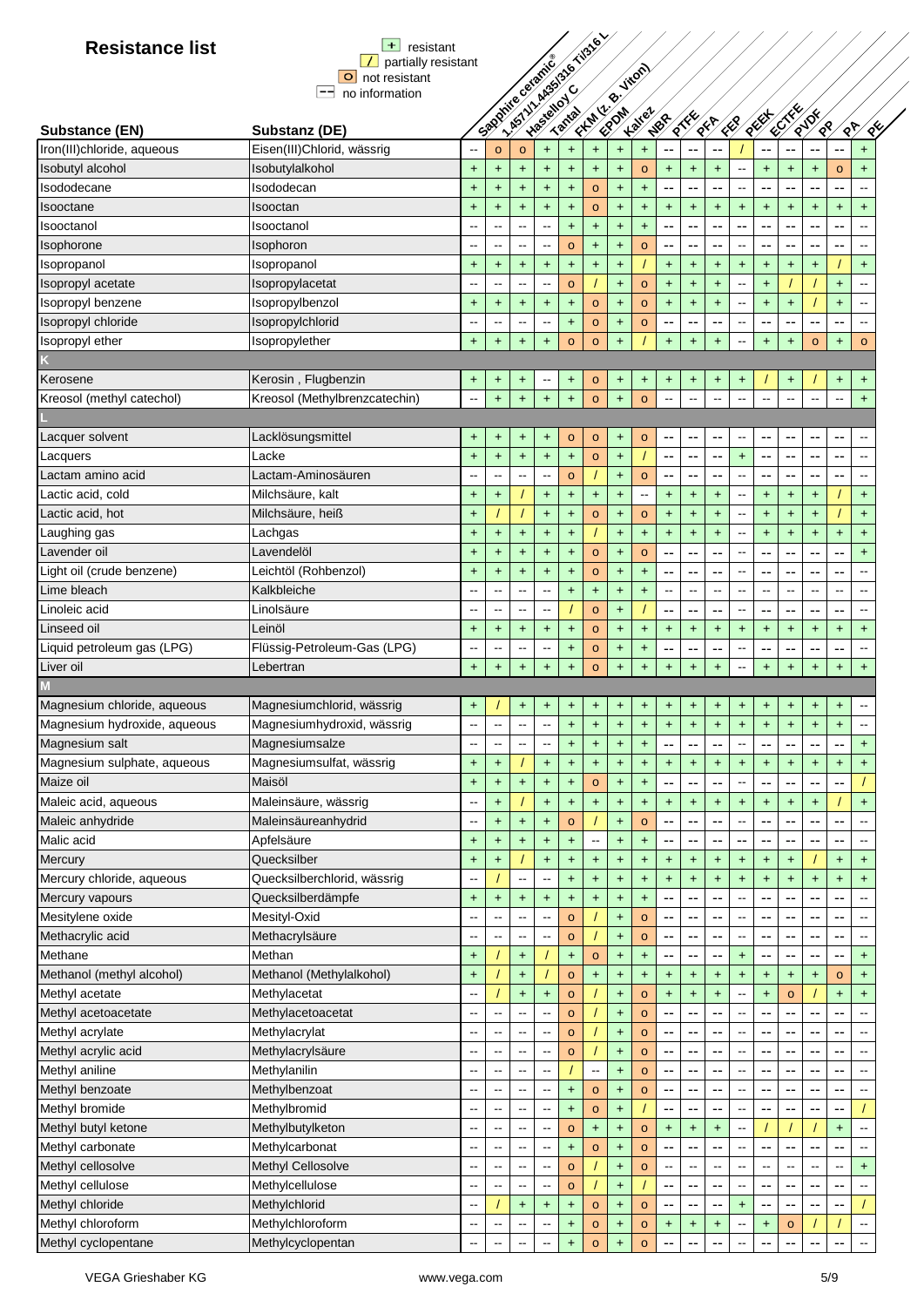| <b>Resistance list</b>       | $+$<br>resistant              |                          |                          |                                  |                                  |                                  |                      |                                  |               |                                  |                          |                                  |                                       |                |                      |                          |                                  |            |
|------------------------------|-------------------------------|--------------------------|--------------------------|----------------------------------|----------------------------------|----------------------------------|----------------------|----------------------------------|---------------|----------------------------------|--------------------------|----------------------------------|---------------------------------------|----------------|----------------------|--------------------------|----------------------------------|------------|
|                              | partially resistant           |                          |                          |                                  |                                  |                                  |                      |                                  |               |                                  |                          |                                  |                                       |                |                      |                          |                                  |            |
|                              | not resistant<br>$\circ$      |                          |                          |                                  |                                  |                                  |                      |                                  |               |                                  |                          |                                  |                                       |                |                      |                          |                                  |            |
|                              | $--$<br>no information        |                          | Spooning catalle         |                                  |                                  | 1.451 VI ABS/316 Ti316 Y         |                      | First R. Firem                   |               |                                  |                          |                                  |                                       |                |                      |                          |                                  |            |
|                              |                               |                          |                          |                                  |                                  |                                  |                      |                                  | <b>Kalley</b> |                                  |                          |                                  |                                       |                | <b>CENTRY</b>        | RIDE                     |                                  |            |
| Substance (EN)               | Substanz (DE)                 |                          |                          |                                  |                                  |                                  |                      |                                  |               | NBR                              | Rike                     | $\mathbb{R}^k$                   | ER                                    | REEF           |                      | $\sqrt{8}$               | $\sqrt{6}$                       | $\sqrt{2}$ |
| Iron(III)chloride, aqueous   | Eisen(III)Chlorid, wässrig    |                          | $\circ$                  | $\circ$                          | $+$                              | $+$                              | $+$                  | $+$                              | +             | ٠.                               |                          |                                  |                                       |                |                      |                          | ٠.                               | $\ddot{}$  |
| Isobutyl alcohol             | Isobutylalkohol               | +                        | $\ddot{\phantom{1}}$     | $\ddot{}$                        | $\ddagger$                       | $\begin{array}{c} + \end{array}$ | $\ddot{}$            | $\ddot{\phantom{1}}$             | $\circ$       | $\ddot{\phantom{1}}$             | $+$                      | $\ddagger$                       | $\overline{\phantom{a}}$              | $\ddot{}$      | $+$                  | $\ddot{}$                | $\circ$                          | $\ddot{}$  |
| Isododecane                  | Isododecan                    | +                        | $\ddot{}$                | $+$                              | $\ddot{}$                        | $+$                              | $\mathsf{o}$         | $\ddot{}$                        | $\ddagger$    | --                               |                          | --                               | $\overline{\phantom{a}}$              | --             |                      | --                       | ۰.                               |            |
| Isooctane                    | Isooctan                      | $\ddot{}$                | $\ddot{\phantom{1}}$     | $\ddot{}$                        | $+$                              | $\ddot{}$                        | $\mathbf{o}$         | $\ddot{}$                        | $\ddagger$    | $\begin{array}{c} + \end{array}$ | $\ddot{}$                | $\begin{array}{c} + \end{array}$ | $\begin{array}{c} + \end{array}$      | $\ddot{}$      | $+$                  | $\ddot{}$                | $\boldsymbol{+}$                 | $\ddot{}$  |
| Isooctanol                   | Isooctanol                    |                          | $\overline{\phantom{a}}$ | --                               | $\overline{\phantom{a}}$         | $+$                              | $\ddot{}$            | $\ddot{}$                        | $\ddot{}$     | --                               | --                       | --                               | --                                    | --             | --                   | --                       | --                               |            |
| Isophorone                   | Isophoron                     |                          | $\overline{a}$           | --                               | $\overline{\phantom{a}}$         | $\circ$                          | $+$                  | $+$                              | $\circ$       | --                               | --                       | $\overline{a}$                   | $\sim$                                | --             | --                   | --                       | --                               |            |
|                              |                               |                          |                          |                                  |                                  |                                  |                      |                                  |               |                                  |                          |                                  |                                       |                |                      |                          |                                  |            |
| Isopropanol                  | Isopropanol                   | $\ddot{}$                | $\ddot{}$                | $\ddot{}$                        | $\ddot{}$                        | $\ddot{}$                        | $\ddot{}$            | $\ddot{}$                        |               | $\ddot{\phantom{1}}$             | $\ddot{}$                | +                                | $\begin{array}{c} + \end{array}$      | $\ddot{}$      | $\ddot{}$            | $\ddot{}$                |                                  | $\ddot{}$  |
| Isopropyl acetate            | Isopropylacetat               |                          | ц.                       |                                  | $\overline{\phantom{a}}$         | $\circ$                          |                      | $\ddagger$                       | $\mathbf{o}$  | $\ddot{}$                        | $\ddot{}$                | $\ddot{}$                        | $\overline{\phantom{a}}$              | <sup>+</sup>   |                      |                          | $\ddot{}$                        |            |
| Isopropyl benzene            | Isopropylbenzol               | $\ddot{}$                | $\ddot{}$                | $+$                              | $\ddot{}$                        | $+$                              | $\circ$              | $+$                              | $\circ$       | $\ddot{\phantom{1}}$             | $+$                      | $+$                              |                                       | $\ddot{}$      | $\ddot{}$            |                          | $\ddot{}$                        |            |
| Isopropyl chloride           | Isopropylchlorid              | $\overline{\phantom{a}}$ | $\overline{\phantom{a}}$ | --                               | $\overline{\phantom{a}}$         | $\begin{array}{c} + \end{array}$ | $\mathsf{o}$         | $\ddagger$                       | $\circ$       | $-$                              | --                       | $\sim$                           | $\hspace{0.05cm}$ - $\hspace{0.05cm}$ | --             |                      | --                       | --                               |            |
| Isopropyl ether              | Isopropylether                | $+$                      | $\ddot{}$                | $\ddot{}$                        | $+$                              | $\circ$                          | $\circ$              | $\ddot{}$                        |               | $\ddot{}$                        | $\ddot{}$                | $+$                              | $\overline{\phantom{a}}$              | $+$            | $+$                  | $\circ$                  | $\begin{array}{c} + \end{array}$ | $\circ$    |
|                              |                               |                          |                          |                                  |                                  |                                  |                      |                                  |               |                                  |                          |                                  |                                       |                |                      |                          |                                  |            |
| Kerosene                     | Kerosin, Flugbenzin           | $+$                      | $\ddot{}$                | $\ddot{}$                        | --                               | $\ddot{}$                        | $\circ$              | $\ddot{}$                        | $\ddot{}$     | $\ddot{}$                        | $\ddot{}$                | $\ddot{}$                        | $\ddot{}$                             |                | $\ddot{}$            |                          | $\ddot{}$                        | $\ddot{}$  |
| Kreosol (methyl catechol)    | Kreosol (Methylbrenzcatechin) | $\overline{\phantom{a}}$ | $\ddot{\phantom{1}}$     | $+$                              | $+$                              | $+$                              | $\circ$              | $+$                              | $\circ$       | $\sim$                           | $\overline{a}$           | $\sim$                           | $\sim$ $\sim$                         | $\overline{a}$ | $\sim$               | ш.                       | $\sim$                           | $+$        |
|                              |                               |                          |                          |                                  |                                  |                                  |                      |                                  |               |                                  |                          |                                  |                                       |                |                      |                          |                                  |            |
| Lacquer solvent              | Lacklösungsmittel             | +                        | $\ddot{}$                | $\ddot{}$                        | $\ddot{}$                        | $\circ$                          | $\circ$              | +                                | $\mathbf{o}$  | н.                               | ٠.                       |                                  |                                       |                |                      |                          |                                  |            |
| Lacquers                     | Lacke                         | $\ddot{}$                | $\ddagger$               | $+$                              | $\begin{array}{c} + \end{array}$ | $+$                              | $\circ$              | $\ddot{}$                        |               | --                               | --                       | --                               | $+$                                   | --             |                      | --                       | --                               |            |
| Lactam amino acid            | Lactam-Aminosäuren            |                          |                          |                                  | ⊷                                | $\circ$                          |                      | $\ddot{}$                        | $\circ$       | $-$                              | ۰.                       |                                  |                                       |                |                      |                          | ۰.                               |            |
| Lactic acid, cold            | Milchsäure, kalt              | $\ddot{}$                | $\ddot{}$                |                                  | $+$                              | $\ddot{}$                        | $\ddot{}$            | +                                | --            | $\begin{array}{c} + \end{array}$ | $\ddot{}$                | +                                |                                       | $\ddot{}$      | $\ddot{}$            | +                        |                                  | $\ddot{}$  |
|                              |                               |                          |                          |                                  |                                  |                                  |                      |                                  |               |                                  |                          |                                  |                                       |                |                      |                          |                                  |            |
| Lactic acid, hot             | Milchsäure, heiß              | $\ddot{}$                |                          |                                  | $\ddot{}$                        | $+$                              | $\mathsf{o}$         | $\ddot{}$                        | $\mathbf{o}$  | $\color{red}+$                   | $\ddot{}$                | $\ddagger$                       |                                       | $\ddot{}$      | $+$                  | $\ddot{}$                |                                  | $\ddot{}$  |
| Laughing gas                 | Lachgas                       | $\ddot{}$                | $\ddot{}$                | $+$                              | $+$                              | $+$                              |                      | $+$                              | $\ddot{}$     | $\begin{array}{c} + \end{array}$ | $\ddot{}$                | $+$                              | ۰.                                    | $\ddot{}$      | $+$                  | $\ddot{}$                | $\ddot{}$                        | $\ddot{}$  |
| Lavender oil                 | Lavendelöl                    | $\ddot{}$                | $\ddot{}$                | $\ddot{}$                        | $+$                              | $+$                              | $\mathbf{o}$         | $\ddot{}$                        | $\circ$       | $\overline{\phantom{a}}$         | $\overline{\phantom{a}}$ | --                               | $\sim$                                | --             | --                   | $-$                      | ٠.                               | $\ddot{}$  |
| Light oil (crude benzene)    | Leichtöl (Rohbenzol)          | $\ddot{}$                | $\ddot{\phantom{1}}$     | $+$                              | $+$                              | $+$                              | $\mathbf{o}$         | $+$                              | $+$           | $\overline{\phantom{a}}$         | $\overline{\phantom{a}}$ | $\overline{a}$                   | $\overline{\phantom{a}}$              | $-$            | --                   | $-$                      | $\sim$                           |            |
| Lime bleach                  | Kalkbleiche                   | --                       | --                       | $\overline{a}$                   | $\overline{\phantom{a}}$         | $+$                              | $\ddot{}$            | $\begin{array}{c} + \end{array}$ | $+$           | $\overline{\phantom{a}}$         | $\overline{a}$           | $\sim$                           | $\overline{\phantom{a}}$              | $\overline{a}$ | $\overline{a}$       | $\overline{\phantom{a}}$ | $\overline{\phantom{a}}$         |            |
| Linoleic acid                | Linolsäure                    |                          | н.                       | --                               | --                               |                                  | $\circ$              | $\ddot{\phantom{1}}$             |               | --                               | --                       | --                               |                                       | --             |                      | --                       | ٠.                               |            |
| Linseed oil                  | Leinöl                        | $\ddot{}$                | $\ddot{}$                | $+$                              | $\ddot{}$                        | $\ddot{}$                        | $\mathsf{o}$         | $\ddot{}$                        | $\ddot{}$     | $\begin{array}{c} + \end{array}$ | $\ddot{}$                | $\ddot{}$                        | $\begin{array}{c} + \end{array}$      | $\ddot{}$      | $\ddot{}$            | $\ddot{}$                | $\ddot{}$                        | $\ddot{}$  |
| Liquid petroleum gas (LPG)   | Flüssig-Petroleum-Gas (LPG)   | $\overline{\phantom{a}}$ | $\overline{\phantom{a}}$ | $\overline{\phantom{a}}$         | $\overline{\phantom{a}}$         | $\ddot{}$                        | $\mathbf{o}$         | $\ddagger$                       | $\ddot{}$     | $\overline{\phantom{a}}$         | --                       | $\overline{\phantom{m}}$         | $\hspace{0.05cm}$ - $\hspace{0.05cm}$ | --             |                      | --                       | --                               |            |
| Liver oil                    | Lebertran                     | $\ddot{}$                | $\ddot{}$                | $\ddot{}$                        | $+$                              | $+$                              | $\circ$              | $\ddot{}$                        | $+$           | $\ddot{}$                        | $\ddot{}$                | $\ddot{}$                        | $\overline{\phantom{a}}$              | $+$            | $+$                  | $\ddot{}$                | $\begin{array}{c} + \end{array}$ | $\ddot{}$  |
|                              |                               |                          |                          |                                  |                                  |                                  |                      |                                  |               |                                  |                          |                                  |                                       |                |                      |                          |                                  |            |
| Magnesium chloride, aqueous  | Magnesiumchlorid, wässrig     | $\ddot{}$                |                          | $\ddot{}$                        | $\ddot{}$                        | $\ddot{}$                        | $\ddot{}$            | $\ddot{}$                        | $\ddot{}$     | $\ddot{}$                        | $\ddot{}$                | $\ddot{}$                        | $\ddot{}$                             | +              | $\ddot{}$            | $\ddot{}$                | $\ddot{}$                        |            |
| Magnesium hydroxide, aqueous | Magnesiumhydroxid, wässrig    | $\overline{\phantom{a}}$ | $\ddot{\phantom{a}}$     |                                  |                                  | $+$                              | $\ddot{}$            | $\ddot{}$                        | $+$           | $\ddot{}$                        | $+$                      | $+$                              | $+$                                   | $+$            | $\ddot{\phantom{1}}$ | $+$                      | $+$                              |            |
| Magnesium salt               | Magnesiumsalze                |                          | --                       | $\overline{a}$                   | --                               | $\ddot{}$                        | $\ddot{}$            | +                                | $\ddot{}$     | --                               | --                       | --                               | $\overline{\phantom{a}}$              | --             |                      |                          |                                  | $\ddot{}$  |
| Magnesium sulphate, aqueous  | Magnesiumsulfat, wässrig      | +                        | $\ddot{}$                |                                  | $\ddagger$                       | $+$                              | $\ddot{\phantom{1}}$ | $\ddot{}$                        | $\ddagger$    | $\ddot{}$                        | $\ddagger$               | $\ddagger$                       | $+$                                   | <sup>+</sup>   | $\ddot{\phantom{1}}$ | $\ddot{}$                | $\ddot{}$                        | $\ddot{}$  |
| Maize oil                    | Maisöl                        | +                        | $\ddot{}$                | $\ddot{\phantom{1}}$             | $\ddot{}$                        | $+$                              | $\circ$              | $\ddot{}$                        | +             |                                  |                          |                                  |                                       |                |                      |                          |                                  |            |
| Maleic acid, aqueous         | Maleinsäure, wässrig          | ۰.                       | $\ddot{\phantom{1}}$     |                                  | $\ddot{}$                        | $\begin{array}{c} + \end{array}$ | $\ddot{}$            | $\ddot{}$                        | $\ddot{}$     | $\begin{array}{c} + \end{array}$ | $\ddagger$               | $\ddot{}$                        | $\begin{array}{c} + \end{array}$      | $\ddot{}$      | $+$                  | $\ddot{}$                |                                  | $\ddot{}$  |
|                              | Maleinsäureanhydrid           |                          |                          |                                  |                                  |                                  |                      |                                  |               |                                  |                          |                                  |                                       |                |                      |                          |                                  |            |
| Maleic anhydride             |                               | $\overline{\phantom{a}}$ | $\ddagger$               | $\ddot{}$                        | $\ddot{}$                        | $\circ$                          |                      | $\ddot{}$                        | $\circ$       | --                               | --                       |                                  |                                       |                |                      |                          |                                  |            |
| Malic acid                   | Apfelsäure                    | $\ddot{}$                | $\ddot{}$                | $\ddot{}$                        | $+$                              | $+$                              |                      | $\ddot{}$                        | +             | --                               | ۰.                       | --                               |                                       |                |                      |                          |                                  |            |
| Mercury                      | Quecksilber                   | $\ddot{}$                | $\ddot{}$                |                                  | $\ddot{}$                        | $+$                              | $+$                  | $\ddot{}$                        | $\ddot{}$     | $+$                              | $\ddot{}$                | $+$                              | $\ddot{}$                             | $\ddot{}$      | $\ddot{}$            |                          | $+$                              | $\ddot{}$  |
| Mercury chloride, aqueous    | Quecksilberchlorid, wässrig   | $\sim$                   |                          | $\overline{a}$                   | --                               | $+$                              | $+$                  | $+$                              | $+$           | $+$                              | $+$                      | $\ddot{}$                        | $+$                                   | $\ddot{}$      | $\ddot{}$            | $\ddot{}$                | $\ddot{}$                        | $\ddot{}$  |
| Mercury vapours              | Quecksilberdämpfe             | $\ddot{}$                | $\ddagger$               | $\begin{array}{c} + \end{array}$ | $\ddagger$                       | $\ddot{}$                        | $\ddot{}$            | $\begin{array}{c} + \end{array}$ | $\ddot{}$     | --                               | --                       | --                               |                                       | --             |                      |                          |                                  |            |
| Mesitylene oxide             | Mesityl-Oxid                  |                          | --                       | --                               | --                               | $\mathbf{o}$                     |                      | $\color{red}{+}$                 | $\circ$       | --                               | --                       | --                               |                                       |                |                      |                          | --                               |            |
| Methacrylic acid             | Methacrylsäure                |                          |                          | $\overline{\phantom{a}}$         | --                               | $\circ$                          |                      | $\ddot{}$                        | $\mathsf{o}$  | --                               | ۰.                       | --                               |                                       |                |                      |                          | --                               |            |
| Methane                      | Methan                        | +                        |                          | $\ddot{}$                        |                                  | $\begin{array}{c} + \end{array}$ | $\mathsf{o}$         | $\begin{array}{c} + \end{array}$ | $\ddot{}$     | $-$                              | --                       | --                               | +                                     |                |                      | --                       | --                               | $\ddot{}$  |
| Methanol (methyl alcohol)    | Methanol (Methylalkohol)      | $+$                      |                          | $\ddot{}$                        |                                  | o                                | $\ddot{}$            | $\ddot{}$                        | $\ddagger$    | $\begin{array}{c} + \end{array}$ | $\ddot{}$                | +                                | $+$                                   | $\ddot{}$      | $\pm$                | +                        | $\circ$                          | $\ddot{}$  |
| Methyl acetate               | Methylacetat                  | $\overline{\phantom{a}}$ |                          | $\ddagger$                       | $+$                              | $\circ$                          |                      | $\ddagger$                       | $\mathsf{o}$  | $\begin{array}{c} + \end{array}$ | $\ddot{}$                | +                                | $\hspace{0.05cm}$ - $\hspace{0.05cm}$ | $\ddot{}$      | $\circ$              |                          | $\begin{array}{c} + \end{array}$ | $\ddot{}$  |
| Methyl acetoacetate          | Methylacetoacetat             | -−                       | $\qquad \qquad -$        | $\overline{\phantom{a}}$         | --                               | $\circ$                          |                      | $\ddot{}$                        | $\circ$       | $\overline{\phantom{a}}$         | --                       | --                               | $\overline{\phantom{a}}$              |                |                      |                          | --                               |            |
| Methyl acrylate              | Methylacrylat                 |                          | ٠.                       | $\overline{\phantom{a}}$         | $\overline{a}$                   | $\circ$                          |                      | $+$                              | $\circ$       | --                               | ٠.                       |                                  |                                       |                |                      |                          |                                  |            |
| Methyl acrylic acid          | Methylacrylsäure              |                          | $\overline{\phantom{a}}$ | $\overline{a}$                   | ц,                               | $\circ$                          |                      | $+$                              | $\circ$       |                                  | ٠.                       |                                  |                                       |                |                      |                          |                                  |            |
| Methyl aniline               | Methylanilin                  |                          | Ξ.                       |                                  | --                               |                                  |                      | $\ddot{}$                        | $\circ$       |                                  | --                       |                                  |                                       |                |                      |                          |                                  |            |
| Methyl benzoate              | Methylbenzoat                 |                          |                          |                                  | --                               |                                  |                      |                                  |               | --                               | --                       |                                  |                                       |                |                      |                          |                                  |            |
|                              |                               |                          |                          |                                  |                                  | $\ddot{}$                        | $\circ$              | $\ddot{}$                        | $\circ$       |                                  |                          |                                  |                                       |                |                      |                          | --                               |            |
| Methyl bromide               | Methylbromid                  | $\sim$                   | ц.                       |                                  | --                               | $\ddot{}$                        | $\circ$              | $\ddot{}$                        |               | --                               |                          |                                  |                                       |                |                      |                          | ٠.                               |            |
| Methyl butyl ketone          | Methylbutylketon              | $\overline{\phantom{m}}$ | $\overline{\phantom{a}}$ | --                               | $\overline{\phantom{a}}$         | $\circ$                          | +                    | $\ddagger$                       | $\circ$       | $\ddot{\phantom{1}}$             | $\ddot{}$                | $\ddagger$                       | $\overline{\phantom{a}}$              |                |                      |                          | $\begin{array}{c} + \end{array}$ |            |
| Methyl carbonate             | Methylcarbonat                |                          | $\overline{\phantom{a}}$ | $\overline{\phantom{a}}$         | --                               | $\ddot{}$                        | $\mathsf{o}$         | $\ddagger$                       | $\circ$       | $-$                              | --                       | --                               |                                       | --             |                      |                          | ٠.                               |            |
| Methyl cellosolve            | Methyl Cellosolve             |                          | $\overline{\phantom{a}}$ | $\overline{\phantom{a}}$         | $\overline{\phantom{a}}$         | $\circ$                          |                      | $\ddagger$                       | $\circ$       | $\overline{\phantom{a}}$         |                          | $\sim$                           |                                       |                |                      | --                       | $\overline{\phantom{a}}$         | $\ddot{}$  |
| Methyl cellulose             | Methylcellulose               | $\overline{a}$           | $\sim$                   | --                               | $\overline{\phantom{a}}$         | $\circ$                          |                      | $\ddot{\phantom{1}}$             |               | --                               | $\overline{\phantom{a}}$ | $\overline{a}$                   | $\sim$                                | --             | --                   | --                       | --                               |            |
| Methyl chloride              | Methylchlorid                 | $\overline{\phantom{a}}$ |                          | $+$                              | $+$                              | $+$                              | $\mathbf{o}$         | $+$                              | $\circ$       | --                               | ٠.                       | --                               | $+$                                   | --             | ۰.                   | --                       | ٠.                               |            |
| Methyl chloroform            | Methylchloroform              | $\overline{a}$           | $\overline{\phantom{a}}$ | $\overline{\phantom{a}}$         | $\overline{\phantom{a}}$         | $\ddot{}$                        | $\mathsf{o}$         | $\ddagger$                       | $\mathsf{o}$  | $\ddot{}$                        | $\pmb{+}$                | +                                | $\overline{a}$                        | +              | $\circ$              |                          |                                  | --         |
| Methyl cyclopentane          | Methylcyclopentan             |                          |                          |                                  |                                  | $\begin{array}{c} + \end{array}$ | $\mathsf{o}$         | $\ddot{}$                        | $\mathsf{o}$  | --                               |                          |                                  |                                       | --             |                      |                          |                                  |            |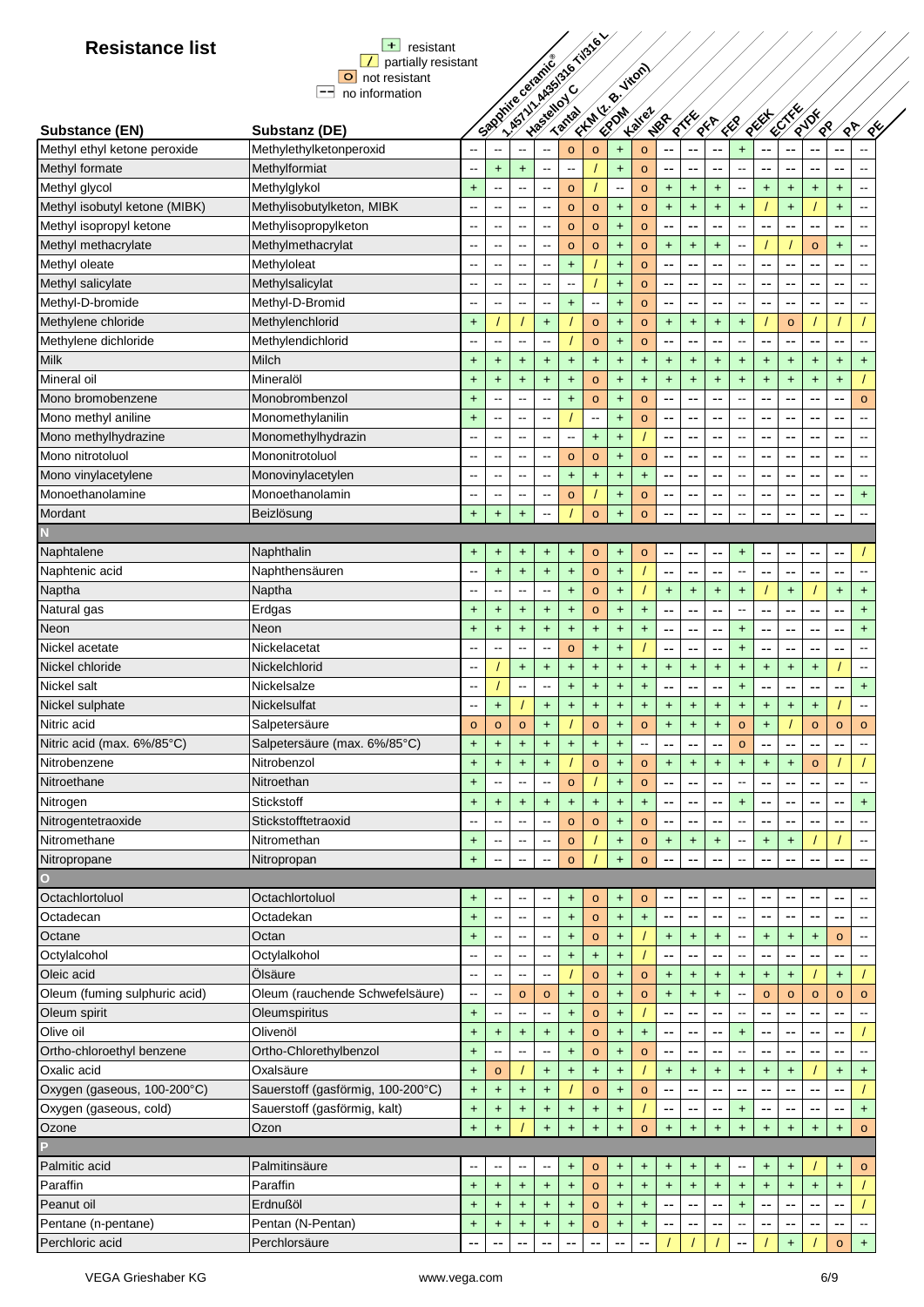| <b>Resistance list</b>        | $+$<br>resistant                                       |                          |                                       |                          |                          | his villages to this e- |                                  |                          |                                  |                      |                                  |            |                                     |                                  |           |           |                      |                          |
|-------------------------------|--------------------------------------------------------|--------------------------|---------------------------------------|--------------------------|--------------------------|-------------------------|----------------------------------|--------------------------|----------------------------------|----------------------|----------------------------------|------------|-------------------------------------|----------------------------------|-----------|-----------|----------------------|--------------------------|
|                               | partially resistant                                    |                          |                                       | Sandwice cardice         |                          |                         |                                  |                          |                                  |                      |                                  |            |                                     |                                  |           |           |                      |                          |
|                               | O not resistant                                        |                          |                                       |                          |                          |                         |                                  | Firm R. Hitler           |                                  |                      |                                  |            |                                     |                                  |           |           |                      |                          |
|                               | $\left  \rule{0.2cm}{0.2cm} \right $<br>no information |                          |                                       |                          |                          |                         |                                  |                          |                                  |                      |                                  |            |                                     |                                  |           |           |                      |                          |
|                               |                                                        |                          |                                       |                          |                          |                         |                                  |                          | <b>Kalley</b>                    | NBR                  | $\frac{1}{8}$                    | <b>REA</b> | ER                                  | REEL                             | ECTRES    | RUDE      |                      | ⁄<br>९५                  |
| Substance (EN)                | Substanz (DE)                                          |                          |                                       |                          |                          |                         |                                  |                          |                                  |                      |                                  |            |                                     |                                  |           |           | ू<br>९<br>$\sqrt{8}$ |                          |
| Methyl ethyl ketone peroxide  | Methylethylketonperoxid                                |                          |                                       |                          | 44                       | $\circ$                 | $\circ$                          | $+$                      | $\circ$                          | --                   | ۵.                               | --         | +                                   | --                               | --        | --        |                      |                          |
| Methyl formate                | Methylformiat                                          | --                       | $\ddot{}$                             | $+$                      | --                       | $\sim$                  |                                  | $+$                      | $\circ$                          | --                   | --                               | --         | --                                  | --                               | --        | --        | ۰.                   |                          |
| Methyl glycol                 | Methylglykol                                           | $\ddot{}$                | $\overline{\phantom{m}}$              | $\overline{\phantom{a}}$ | --                       | $\circ$                 |                                  | $\overline{\phantom{a}}$ | $\circ$                          | +                    | $\color{red}+$                   | $+$        | ⊷                                   | $\ddot{}$                        | $\ddot{}$ | $\ddot{}$ | $\ddot{}$            | --                       |
| Methyl isobutyl ketone (MIBK) | Methylisobutylketon, MIBK                              | --                       | $\overline{\phantom{m}}$              | $\overline{\phantom{a}}$ | --                       | $\circ$                 | $\circ$                          | $\ddot{}$                | $\circ$                          | +                    | $+$                              | $\ddot{}$  | $\ddot{}$                           |                                  | $+$       |           | $\ddot{}$            |                          |
| Methyl isopropyl ketone       | Methylisopropylketon                                   | $\overline{\phantom{a}}$ | $\sim$                                | $\overline{\phantom{a}}$ | $\overline{\phantom{a}}$ | $\circ$                 | $\circ$                          | $\ddot{}$                | $\circ$                          | --                   | $\overline{a}$                   | --         | $\hspace{0.05cm}$ $\hspace{0.05cm}$ | --                               | --        | --        | --                   | $\overline{\phantom{a}}$ |
| Methyl methacrylate           | Methylmethacrylat                                      | --                       | $\sim$                                | $\sim$                   | --                       | $\circ$                 | $\circ$                          | $+$                      | $\circ$                          | $+$                  | $+$                              | $+$        | $\overline{\phantom{a}}$            |                                  |           | $\circ$   | $+$                  | $-$                      |
| Methyl oleate                 | Methyloleat                                            | --                       | $\mathbf{u}$                          | $\sim$                   | --                       | $\ddot{}$               |                                  | $+$                      | $\circ$                          | --                   | --                               | --         | $\overline{\phantom{a}}$            | --                               | --        | --        | --                   | $-$                      |
| Methyl salicylate             | Methylsalicylat                                        |                          | $\overline{a}$                        | $\overline{\phantom{a}}$ | --                       | $\sim$                  |                                  | $\ddot{}$                | $\circ$                          | --                   | --                               | --         | $\overline{a}$                      | --                               | --        | --        | --                   |                          |
| Methyl-D-bromide              | Methyl-D-Bromid                                        | $\overline{a}$           | --                                    | $\overline{\phantom{a}}$ | --                       | $\ddot{}$               | $\overline{a}$                   | $+$                      | $\circ$                          | --                   | --                               | --         | $\overline{\phantom{a}}$            | --                               | ۰.        | --        | --                   |                          |
| Methylene chloride            | Methylenchlorid                                        | $\ddot{}$                |                                       |                          | $\ddagger$               |                         | $\circ$                          | $\ddagger$               | $\circ$                          | $\ddot{}$            | $\ddagger$                       | $\ddagger$ | $\ddagger$                          |                                  | $\circ$   |           |                      |                          |
| Methylene dichloride          | Methylendichlorid                                      | --                       | $\overline{\phantom{a}}$              | $\overline{\phantom{a}}$ | --                       |                         | $\circ$                          | $\ddot{}$                | $\circ$                          | --                   | --                               | --         | -−                                  | --                               | --        | --        | --                   |                          |
| Milk                          | Milch                                                  | $\ddot{}$                | $\pm$                                 | $\ddot{}$                | $\ddot{}$                | $\ddot{}$               | $\ddot{}$                        | $\ddot{}$                | $\ddot{}$                        | +                    | $\begin{array}{c} + \end{array}$ | $+$        | $\ddot{}$                           | $\ddot{}$                        | $\ddot{}$ | $\ddot{}$ | $\ddot{}$            | $\ddot{}$                |
| Mineral oil                   | Mineralöl                                              | $\ddot{}$                | $\ddot{}$                             | $+$                      | $\ddot{}$                | $\ddot{}$               | $\circ$                          | $\ddot{}$                | $\ddot{}$                        | $+$                  | $+$                              | $\ddot{}$  | $+$                                 | $\ddot{}$                        | $+$       | $+$       | $\ddot{}$            |                          |
| Mono bromobenzene             | Monobrombenzol                                         | $\ddot{}$                | $-$                                   | $\sim$                   | $\overline{a}$           | $+$                     | $\circ$                          | $\ddot{}$                | $\circ$                          | --                   | --                               | ٠.         | --                                  | --                               | --        |           | --                   | $\circ$                  |
| Mono methyl aniline           | Monomethylanilin                                       | $+$                      | --                                    | $\sim$                   | --                       |                         | $\overline{a}$                   | $\ddot{}$                | $\circ$                          | --                   | --                               | --         | --                                  | --                               | --        |           |                      |                          |
| Mono methylhydrazine          | Monomethylhydrazin                                     | --                       | --                                    |                          | --                       |                         | $\ddot{}$                        | $\ddot{}$                |                                  | --                   | --                               | --         | --                                  | --                               | --        | --        | --                   |                          |
| Mono nitrotoluol              | Mononitrotoluol                                        | $\overline{a}$           | $\overline{a}$                        |                          | --                       | $\circ$                 | $\circ$                          | $\ddot{}$                | $\circ$                          | --                   | --                               | --         | --                                  | --                               | ۰.        | --        | --                   |                          |
| Mono vinylacetylene           | Monovinylacetylen                                      | ٠.                       | --                                    | $\sim$                   | --                       | $\ddot{}$               | $\ddot{\phantom{1}}$             | $\ddagger$               | $+$                              | --                   | --                               | --         | --                                  | --                               | $\sim$    | --        | --                   |                          |
| Monoethanolamine              | Monoethanolamin                                        | --                       | $\overline{\phantom{a}}$              | $\overline{\phantom{a}}$ | --                       | $\circ$                 |                                  | $\ddot{}$                | $\circ$                          | --                   | --                               | ٠.         | --                                  | --                               | --        | --        | ۰.                   | $\ddot{}$                |
| Mordant                       | Beizlösung                                             | $\ddot{}$                | $\ddot{}$                             | $\ddot{}$                | --                       |                         | $\circ$                          | $\ddot{}$                | $\circ$                          | --                   |                                  | --         | --                                  | --                               | --        |           | --                   |                          |
|                               |                                                        |                          |                                       |                          |                          |                         |                                  |                          |                                  |                      |                                  |            |                                     |                                  |           |           |                      |                          |
| Naphtalene                    | Naphthalin                                             | $\ddot{}$                | $\ddot{}$                             | $+$                      | $\ddot{}$                | $\ddot{}$               | $\circ$                          | $\ddot{}$                | $\circ$                          | --                   | --                               | ٠.         | $\ddot{}$                           | --                               | --        | --        | --                   |                          |
| Naphtenic acid                | Naphthensäuren                                         | --                       | $+$                                   | $+$                      | $\ddot{}$                | $\color{red}{+}$        | $\circ$                          | $+$                      |                                  | --                   | --                               | --         | $\overline{\phantom{a}}$            | --                               | --        | --        | --                   | $-$                      |
| Naptha                        | Naptha                                                 | $\overline{a}$           | $\overline{a}$                        | $\sim$                   | --                       | $\ddot{}$               | $\circ$                          | $+$                      |                                  | +                    | $+$                              | $+$        | +                                   |                                  | $\ddot{}$ |           | $\ddot{}$            | $+$                      |
| Natural gas                   | Erdgas                                                 |                          | $\ddot{}$                             | $\ddot{}$                | $\ddagger$               | $\ddot{}$               | $\circ$                          | $\ddagger$               | $+$                              | --                   | --                               | --         | --                                  | --                               | --        | --        | --                   | $\ddot{}$                |
| Neon                          | Neon                                                   | $\ddot{}$                |                                       |                          |                          | $+$                     |                                  |                          | $\ddot{}$                        | --                   |                                  |            |                                     | --                               |           |           | ۰.                   | $\ddot{}$                |
| Nickel acetate                | Nickelacetat                                           | $\ddot{}$<br>--          | $\ddot{}$<br>$\overline{\phantom{a}}$ | $+$                      | $\ddagger$<br>--         |                         | $\ddot{\phantom{1}}$             | $\ddot{}$                |                                  |                      | $-$                              | --         | +                                   |                                  | --        | --        |                      |                          |
| Nickel chloride               |                                                        |                          |                                       | $\overline{\phantom{a}}$ |                          | $\circ$                 | $\ddot{\phantom{1}}$             | $\ddot{}$                |                                  | --                   | $-$                              | --         | $\ddot{}$                           | $\overline{\phantom{a}}$         | --        | --        | --                   |                          |
|                               | Nickelchlorid                                          | --                       |                                       | $\ddot{}$                | $\ddot{}$                | $\ddot{}$               | $+$                              | $\ddot{}$                | $\ddot{}$                        | $\pm$                | $\begin{array}{c} + \end{array}$ | $\ddot{}$  | $\ddot{}$                           | $\ddot{}$                        | $\ddot{}$ | $\ddot{}$ |                      |                          |
| Nickel salt                   | Nickelsalze                                            | --                       |                                       | $\overline{\phantom{m}}$ | --                       | $\ddot{}$               | $\ddot{}$                        | $\ddot{}$                | $\ddot{}$                        | --                   | --                               | --         | +                                   | --                               | --        | --        | ۰.                   | $\ddot{}$                |
| Nickel sulphate               | Nickelsulfat                                           | $\overline{\phantom{a}}$ | $\ddot{}$                             |                          | $\ddot{}$                | $\ddot{}$               | $\ddot{}$                        | $\ddot{}$                | $\ddot{}$                        | +                    | $\ddot{}$                        | $\ddot{}$  | $\ddot{}$                           | $\ddot{}$                        | $\ddot{}$ | $\ddot{}$ |                      | $\overline{\phantom{a}}$ |
| Nitric acid                   | Salpetersäure                                          | $\circ$                  | $\circ$                               | $\circ$                  | $\ddotmark$              |                         | $\circ$                          | $\ddot{}$                | $\circ$                          | $\ddot{\phantom{1}}$ | $+$                              | $\ddot{}$  | $\mathsf{o}$                        | $\ddot{\phantom{1}}$             |           | $\circ$   | $\circ$              | $\circ$                  |
| Nitric acid (max. 6%/85°C)    | Salpetersäure (max. 6%/85°C)                           | $\ddot{}$                | $\begin{array}{c} + \end{array}$      | $+$                      | $\ddot{}$                | $\ddagger$              | $\begin{array}{c} + \end{array}$ | $\ddot{}$                | $\overline{\phantom{a}}$         | --                   | --                               | --         | $\circ$                             | --                               | --        | ۰.        | --                   |                          |
| Nitrobenzene                  | Nitrobenzol                                            | $\ddot{}$                | $\ddagger$                            | $\color{red}{+}$         | $\ddot{}$                |                         | $\circ$                          | $\ddagger$               | $\circ$                          | +                    | $\ddot{}$                        | $+$        | $\ddot{}$                           | $\ddot{}$                        | $\ddot{}$ | $\circ$   |                      |                          |
| Nitroethane                   | Nitroethan                                             | $\ddot{}$                |                                       |                          |                          | $\circ$                 |                                  | $\ddot{}$                | $\circ$                          |                      |                                  |            |                                     | --                               | --        | --        | --                   |                          |
| Nitrogen                      | <b>Stickstoff</b>                                      | $+$                      | $\ddot{}$                             | $+$                      | $\ddot{}$                | $\ddot{}$               | $\ddot{\phantom{1}}$             | $\ddot{}$                | $+$                              | --                   | --                               |            | $\ddot{}$                           | --                               | $-$       | --        | ۰.                   | $\ddot{\phantom{1}}$     |
| Nitrogentetraoxide            | Stickstofftetraoxid                                    | Ξ.                       | $\overline{\phantom{a}}$              | $\overline{\phantom{a}}$ | --                       | $\circ$                 | $\circ$                          | $\ddot{}$                | $\circ$                          |                      |                                  |            |                                     |                                  |           |           |                      |                          |
| Nitromethane                  | Nitromethan                                            | $\ddot{}$                |                                       | $\overline{\phantom{m}}$ | ⊷                        | $\circ$                 |                                  | $\ddot{}$                | $\circ$                          | +                    | $+$                              | $\ddot{}$  | --                                  | $\begin{array}{c} + \end{array}$ | $\ddot{}$ |           |                      |                          |
| Nitropropane                  | Nitropropan                                            | $\ddot{}$                |                                       | $\overline{\phantom{a}}$ | $\overline{\phantom{a}}$ | $\circ$                 |                                  | $\ddot{}$                | $\circ$                          |                      | $\overline{\phantom{a}}$         |            |                                     | --                               | --        | --        | ۰.                   |                          |
| О                             |                                                        |                          |                                       |                          |                          |                         |                                  |                          |                                  |                      |                                  |            |                                     |                                  |           |           |                      |                          |
| Octachlortoluol               | Octachlortoluol                                        | $\ddot{}$                | $-1$                                  | $\sim$                   | --                       | $\ddot{}$               | $\circ$                          | $\ddot{}$                | $\circ$                          | --                   | --                               | --         | --                                  | --                               | --        |           | --                   |                          |
| Octadecan                     | Octadekan                                              | $+$                      | $\overline{a}$                        | $\overline{\phantom{a}}$ | --                       | $\ddot{}$               | $\circ$                          | $+$                      | $\begin{array}{c} + \end{array}$ | --                   | --                               | --         | $\overline{\phantom{a}}$            | --                               | --        | --        | --                   |                          |
| Octane                        | Octan                                                  | $\ddot{}$                | $\overline{\phantom{a}}$              | $\sim$                   | --                       | $\ddot{}$               | $\mathbf{o}$                     | $\ddagger$               |                                  | +                    | $+$                              | $+$        | $\overline{\phantom{a}}$            | $\begin{array}{c} + \end{array}$ | $\ddot{}$ | $\ddot{}$ | $\circ$              |                          |
| Octylalcohol                  | Octylalkohol                                           | ٠.                       | $\overline{\phantom{a}}$              | $\overline{\phantom{a}}$ | ⊷                        | $\ddot{}$               | $\begin{array}{c} + \end{array}$ | $\ddagger$               |                                  | --                   | $\sim$ –                         |            | $\overline{\phantom{a}}$            | --                               | --        | --        | --                   |                          |
| Oleic acid                    | Ölsäure                                                | --                       | $\overline{\phantom{m}}$              | $\overline{\phantom{m}}$ | --                       |                         | $\circ$                          | +                        | $\circ$                          | $\pm$                | $\begin{array}{c} + \end{array}$ | $+$        | $\ddot{}$                           | $\ddot{}$                        | $\ddot{}$ |           | $\ddot{}$            |                          |
| Oleum (fuming sulphuric acid) | Oleum (rauchende Schwefelsäure)                        | $\overline{\phantom{a}}$ | $\overline{\phantom{m}}$              | $\circ$                  | $\mathbf{o}$             | $\ddot{}$               | $\circ$                          | +                        | $\circ$                          | +                    | $\color{red}+$                   | $+$        | $\overline{\phantom{a}}$            | $\circ$                          | $\circ$   | $\circ$   | $\circ$              | $\circ$                  |
| Oleum spirit                  | Oleumspiritus                                          | $\ddot{}$                | --                                    | $\sim$ $\sim$            | --                       | $+$                     | $\circ$                          | $+$                      |                                  | --                   | --                               | ٠.         | --                                  | --                               | ۰.        | --        | --                   |                          |
| Olive oil                     | Olivenöl                                               | $\ddot{}$                | $\ddot{}$                             | $+$                      | $+$                      | $+$                     | $\circ$                          | $+$                      | $+$                              | ۰.                   | --                               | --         | $+$                                 | --                               | ۰.        | --        | --                   |                          |
| Ortho-chloroethyl benzene     | Ortho-Chlorethylbenzol                                 | $\ddot{}$                | --                                    | --                       | --                       | $\ddot{}$               | $\circ$                          | $\ddot{}$                | $\circ$                          | --                   | --                               | --         |                                     | $\overline{\phantom{a}}$         | --        |           | --                   |                          |
| Oxalic acid                   | Oxalsäure                                              | $\ddot{}$                | $\mathbf{o}$                          |                          | $\ddagger$               | $\ddot{}$               | $\ddot{\phantom{1}}$             | $\ddot{}$                |                                  | +                    | $\ddagger$                       | $+$        | +                                   | $\ddot{}$                        | $\ddot{}$ |           | $\ddot{}$            | $\ddot{}$                |
| Oxygen (gaseous, 100-200°C)   | Sauerstoff (gasförmig, 100-200°C)                      | $+$                      | $\ddagger$                            | $+$                      | $\ddot{}$                |                         | $\circ$                          | $+$                      | $\circ$                          |                      |                                  |            |                                     | ٠.                               |           |           |                      |                          |
| Oxygen (gaseous, cold)        | Sauerstoff (gasförmig, kalt)                           | $\ddot{}$                | $\ddagger$                            | $\ddagger$               | $\ddagger$               | $\ddagger$              | $\ddot{\phantom{1}}$             | $\ddagger$               |                                  | --                   | ۰.                               |            | +                                   | --                               | --        | --        | ۰.                   | $\ddot{}$                |
| Ozone                         | Ozon                                                   | $+$                      | $\ddot{}$                             |                          | $\ddot{}$                | $\ddot{}$               | $\ddot{\phantom{1}}$             | $\ddot{}$                | $\circ$                          | $+$                  | $+$                              | $+$        | $\ddot{}$                           | $\ddot{\phantom{1}}$             | $\ddot{}$ | $\ddot{}$ | $\color{red}+$       | $\circ$                  |
|                               |                                                        |                          |                                       |                          |                          |                         |                                  |                          |                                  |                      |                                  |            |                                     |                                  |           |           |                      |                          |
| Palmitic acid                 | Palmitinsäure                                          | --                       | --                                    | --                       | ⊷                        | $\ddot{}$               | $\circ$                          | +                        | $\ddot{}$                        | +                    | $\ddot{}$                        | $\ddot{}$  | -−                                  | $\ddot{}$                        | $\ddot{}$ |           | $\ddot{}$            | $\circ$                  |
| Paraffin                      | Paraffin                                               | $\ddot{}$                | $+$                                   | $+$                      | $+$                      | $+$                     | $\circ$                          | $\ddot{}$                | $\ddot{}$                        | +                    | $+$                              | $\ddot{}$  | $\begin{array}{c} + \end{array}$    | $+$                              | $+$       | $+$       | $+$                  |                          |
| Peanut oil                    | Erdnußöl                                               | $\ddot{}$                | $\ddagger$                            | $+$                      | $+$                      | $+$                     | $\circ$                          | $\ddot{}$                | $\ddot{}$                        |                      |                                  | --         | $+$                                 | --                               | --        | --        | --                   |                          |
| Pentane (n-pentane)           | Pentan (N-Pentan)                                      | +                        | $\ddot{}$                             | $\ddot{}$                | $\ddot{}$                | $\ddagger$              | $\circ$                          | +                        | $\ddot{}$                        |                      | --                               | --         | $\hspace{0.05cm}$ $\hspace{0.05cm}$ | --                               | --        | --        | --                   | $\sim$                   |
| Perchloric acid               | Perchlorsäure                                          | ٠.                       |                                       |                          |                          |                         |                                  |                          |                                  |                      |                                  |            |                                     |                                  | $\ddot{}$ |           | $\circ$              | $\pm$                    |
|                               |                                                        |                          |                                       |                          |                          |                         |                                  |                          |                                  |                      |                                  |            |                                     |                                  |           |           |                      |                          |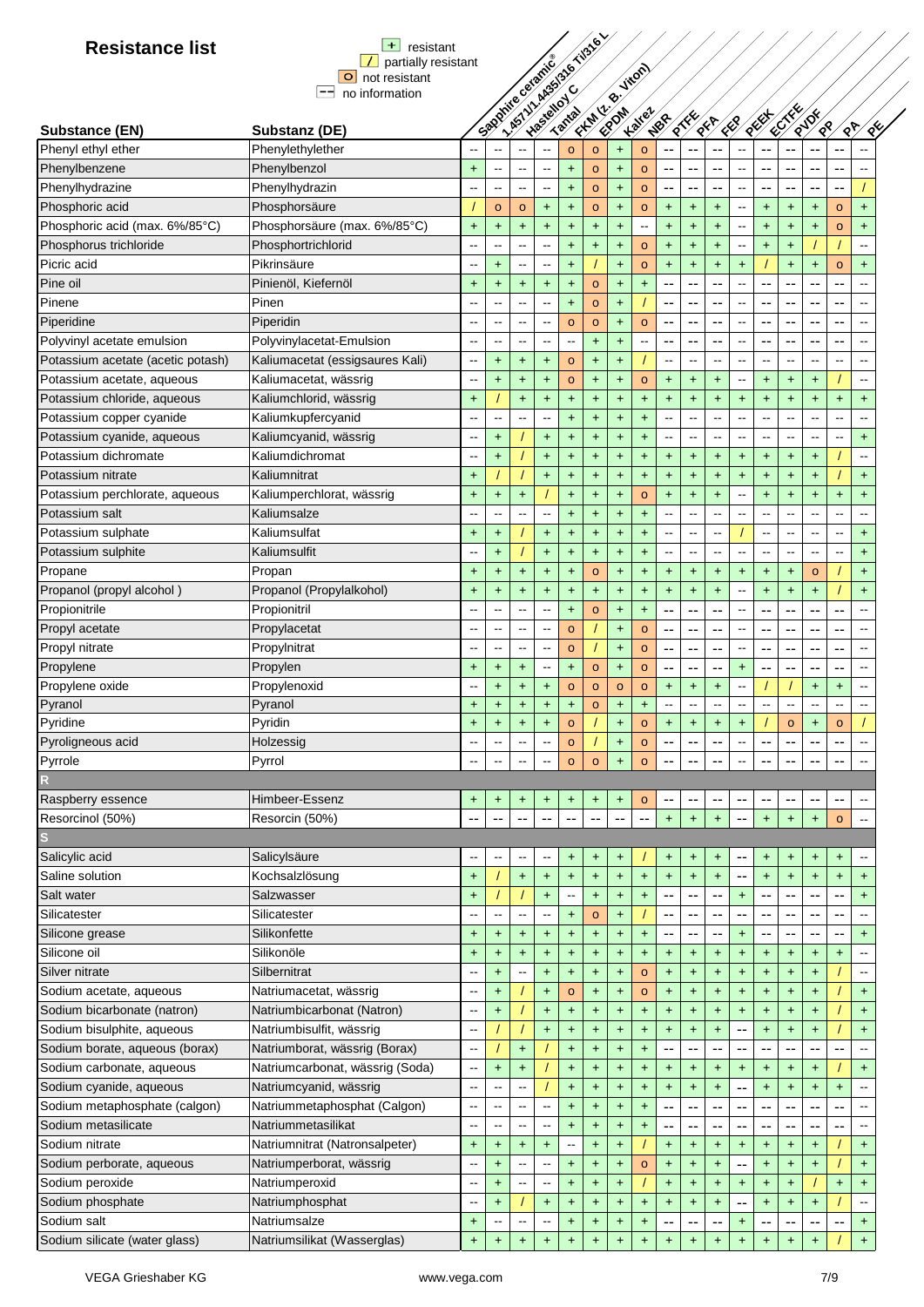| <b>Resistance list</b>            | $+$<br>resistant                |                          |                                       |                                       |                     |                                               | - ASTITUARYSTS & TOSTEL          |                  |                                  |                          |                                               |                          |                                     |                                  |                          |                          |                          |                              |
|-----------------------------------|---------------------------------|--------------------------|---------------------------------------|---------------------------------------|---------------------|-----------------------------------------------|----------------------------------|------------------|----------------------------------|--------------------------|-----------------------------------------------|--------------------------|-------------------------------------|----------------------------------|--------------------------|--------------------------|--------------------------|------------------------------|
|                                   | partially resistant             |                          |                                       |                                       |                     |                                               |                                  |                  |                                  |                          |                                               |                          |                                     |                                  |                          |                          |                          |                              |
|                                   | O not resistant                 |                          |                                       |                                       |                     |                                               |                                  |                  |                                  |                          |                                               |                          |                                     |                                  |                          |                          |                          |                              |
|                                   | --<br>no information            |                          |                                       |                                       |                     |                                               |                                  |                  |                                  |                          |                                               |                          |                                     |                                  |                          |                          |                          |                              |
| Substance (EN)                    | Substanz (DE)                   |                          |                                       |                                       | Spooning of British |                                               | Firm (20) High                   |                  | <b>Kalley</b>                    | NBR                      | $\frac{1}{8}$                                 | <b>REA</b>               | ER                                  | REEF                             | ECTRES                   | RIDE<br>$\sqrt{8}$       | $\sqrt{8}$               | ⁄<br>९५                      |
| Phenyl ethyl ether                | Phenylethylether                |                          |                                       |                                       |                     | $\circ$                                       | $\circ$                          | $\ddot{}$        | $\circ$                          |                          |                                               | ۵.                       | ш,                                  | ц.                               | ٠.                       |                          |                          |                              |
| Phenylbenzene                     | Phenylbenzol                    | $\ddot{}$                | ц.                                    | $\overline{\phantom{a}}$              | --                  | $\ddot{\phantom{1}}$                          | $\circ$                          | $+$              | $\circ$                          | --                       | --                                            | --                       | $\overline{\phantom{a}}$            | $\overline{\phantom{a}}$         | --                       | --                       | --                       |                              |
| Phenylhydrazine                   | Phenylhydrazin                  | $\overline{\phantom{a}}$ | --                                    | $\overline{\phantom{a}}$              | --                  | $\ddot{}$                                     | $\circ$                          | $\ddot{}$        | $\circ$                          | --                       | --                                            | --                       | ⊷                                   | --                               | --                       | --                       | --                       |                              |
| Phosphoric acid                   | Phosphorsäure                   |                          | $\circ$                               | $\circ$                               | $\ddot{}$           | $\ddot{}$                                     | $\circ$                          | $\ddot{}$        | $\circ$                          | $\ddot{}$                | $+$                                           | $\ddot{}$                | $\qquad \qquad \blacksquare$        | $\begin{array}{c} + \end{array}$ | $\ddot{}$                | $\ddot{}$                | $\circ$                  | $\ddot{}$                    |
| Phosphoric acid (max. 6%/85°C)    | Phosphorsäure (max. 6%/85°C)    | $\ddot{}$                | $\ddot{}$                             | $\ddot{}$                             | $\ddot{}$           | $\ddot{}$                                     | $\ddot{}$                        | $+$              | $\overline{\phantom{a}}$         | $\ddot{}$                | $+$                                           | $+$                      | $\hspace{0.05cm}$ $\hspace{0.05cm}$ | $\ddot{}$                        | $\ddot{}$                | $\ddot{}$                | $\circ$                  | $+$                          |
| Phosphorus trichloride            | Phosphortrichlorid              |                          | $\overline{\phantom{a}}$              | $\sim$                                | --                  | $+$                                           | $+$                              | $\ddot{}$        | $\circ$                          | $+$                      | $\ddot{}$                                     | $+$                      | --                                  | $+$                              | $+$                      |                          |                          | $-$                          |
| Picric acid                       | Pikrinsäure                     | $\overline{\phantom{a}}$ |                                       | $\sim$                                | --                  | $\ddot{\phantom{1}}$                          |                                  | $+$              |                                  |                          | $\ddot{}$                                     | $+$                      | $+$                                 |                                  | $+$                      |                          |                          | $+$                          |
| Pine oil                          | Pinienöl, Kiefernöl             |                          | $\ddot{}$                             |                                       |                     |                                               |                                  |                  | $\circ$                          | $\ddot{}$                | --                                            | --                       | $\overline{a}$                      |                                  |                          | $\ddot{}$                | $\circ$                  |                              |
| Pinene                            | Pinen                           | $\ddot{}$                | $\ddot{}$<br>$\overline{\phantom{a}}$ | $\ddot{}$<br>$\overline{a}$           | $+$                 | $\ddot{\phantom{1}}$                          | $\circ$                          | $\ddot{}$        | $+$                              | ۰.<br>--                 | $\overline{a}$                                | --                       | $\overline{a}$                      | --<br>$-$                        | --                       | --                       | --                       |                              |
|                                   |                                 |                          |                                       |                                       |                     | $\ddot{\phantom{1}}$                          | $\circ$                          | $+$              |                                  |                          |                                               |                          |                                     |                                  | --                       | $- -$                    | --                       |                              |
| Piperidine                        | Piperidin                       | $\overline{\phantom{a}}$ | $\overline{\phantom{a}}$              | $\sim$                                | --                  | $\circ$                                       | $\circ$                          | $\ddot{}$        | $\circ$                          | --                       | $-$                                           | ٠.                       | $\overline{\phantom{a}}$            | $\overline{\phantom{a}}$         | --                       | --                       | --                       |                              |
| Polyvinyl acetate emulsion        | Polyvinylacetat-Emulsion        | $\sim$                   | --                                    | $\overline{\phantom{a}}$              | --                  | $\mathord{\hspace{1pt}\text{--}\hspace{1pt}}$ | $\ddot{}$                        | +                | $\overline{\phantom{a}}$         | --                       | --                                            | --                       | $\overline{\phantom{a}}$            | --                               | --                       | --                       | --                       |                              |
| Potassium acetate (acetic potash) | Kaliumacetat (essigsaures Kali) | --                       | $\ddot{}$                             | $\ddot{}$                             | $\ddot{}$           | $\circ$                                       | $\ddot{}$                        | $\ddot{}$        |                                  |                          | --                                            | --                       | --                                  | $\overline{\phantom{a}}$         | $\overline{\phantom{a}}$ | --                       | $\overline{\phantom{a}}$ |                              |
| Potassium acetate, aqueous        | Kaliumacetat, wässrig           | $\overline{a}$           | $+$                                   | $\ddot{}$                             | $\ddot{}$           | $\circ$                                       | $\ddot{}$                        | $\ddot{}$        | $\circ$                          | $+$                      | $+$                                           | $+$                      | --                                  | $+$                              | $\ddot{}$                | $+$                      |                          | --                           |
| Potassium chloride, aqueous       | Kaliumchlorid, wässrig          | $\ddot{}$                |                                       | $+$                                   | $+$                 | $+$                                           | $\ddot{}$                        | $+$              | $+$                              | $\ddot{}$                | $+$                                           | $+$                      | $\ddot{}$                           | $\ddot{}$                        | $+$                      | $\ddot{}$                | $\ddot{}$                | $+$                          |
| Potassium copper cyanide          | Kaliumkupfercyanid              | $\overline{a}$           | --                                    | --                                    | --                  | $+$                                           | $+$                              | $+$              | $+$                              | $\overline{a}$           | --                                            | $\overline{a}$           | --                                  | --                               | Щ.                       | --                       | --                       |                              |
| Potassium cyanide, aqueous        | Kaliumcyanid, wässrig           |                          | +                                     |                                       | $+$                 | $\ddot{}$                                     | $\ddot{}$                        | $\ddot{}$        | $\ddot{}$                        |                          | ä.                                            | ÷.                       | --                                  | --                               |                          |                          | --                       | $\ddot{}$                    |
| Potassium dichromate              | Kaliumdichromat                 |                          | $\ddot{}$                             |                                       | $+$                 | $\ddot{}$                                     | $\ddot{\phantom{1}}$             | $+$              | $\ddot{}$                        | $\ddot{}$                | $\ddot{}$                                     | $\ddot{\phantom{1}}$     | $\ddot{}$                           | $\ddot{}$                        | $+$                      | $\ddot{}$                |                          |                              |
| Potassium nitrate                 | Kaliumnitrat                    | $\ddot{}$                |                                       |                                       | $\ddot{}$           | $\ddot{}$                                     | $\ddot{\phantom{1}}$             | $\ddot{}$        | $\ddot{}$                        | $\ddot{}$                | $\ddot{}$                                     | $\ddot{}$                | $\ddagger$                          | $\ddot{}$                        | $\ddot{}$                | $\ddot{}$                |                          | $\ddot{}$                    |
| Potassium perchlorate, aqueous    | Kaliumperchlorat, wässrig       | $\ddot{}$                | $\ddot{}$                             | $+$                                   |                     | $\ddot{\phantom{1}}$                          | $+$                              | $\ddot{}$        | $\circ$                          | $+$                      | $\ddot{}$                                     | $+$                      | --                                  | $\ddot{}$                        | $+$                      | $\ddot{}$                | $+$                      | $\ddot{}$                    |
| Potassium salt                    | Kaliumsalze                     |                          | --                                    | $\overline{a}$                        | --                  | $\ddagger$                                    | $\ddot{\phantom{1}}$             | $\ddot{}$        | $\ddot{}$                        |                          | --                                            | --                       | --                                  | $\overline{\phantom{a}}$         | $\overline{\phantom{a}}$ | --                       | --                       |                              |
| Potassium sulphate                | Kaliumsulfat                    | $\ddot{}$                | $+$                                   |                                       | $+$                 | $\ddot{\phantom{1}}$                          | $+$                              | $+$              | $\ddot{}$                        | $\overline{\phantom{a}}$ | --                                            | $\overline{\phantom{a}}$ |                                     | $\overline{\phantom{a}}$         | $\overline{\phantom{a}}$ | --                       | $\overline{\phantom{a}}$ | $\ddot{}$                    |
| Potassium sulphite                | Kaliumsulfit                    |                          | $+$                                   |                                       | $\ddot{}$           | $\ddot{}$                                     | $+$                              | $\ddot{}$        | $\ddot{}$                        | $\overline{\phantom{a}}$ | $\overline{\phantom{a}}$                      | $\sim$                   | --                                  | $\sim$                           | $\overline{\phantom{a}}$ | --                       | $\sim$                   | $+$                          |
| Propane                           | Propan                          | $\ddot{}$                | $+$                                   | $+$                                   | $+$                 | $+$                                           | $\circ$                          | $+$              | $+$                              | $\ddot{}$                | $+$                                           | $+$                      | $+$                                 | $\ddot{}$                        | $+$                      | $\circ$                  |                          | $+$                          |
| Propanol (propyl alcohol)         | Propanol (Propylalkohol)        | $\ddot{}$                | $\ddot{}$                             | $+$                                   | $+$                 | $+$                                           | $+$                              | $+$              | $\ddot{}$                        | $\ddot{}$                | $\ddot{}$                                     | $+$                      | $\overline{a}$                      | $\ddot{}$                        | $+$                      | $\ddot{}$                |                          | $+$                          |
| Propionitrile                     | Propionitril                    |                          | $\overline{\phantom{a}}$              | $\overline{a}$                        | --                  | $\ddot{\phantom{1}}$                          | $\circ$                          | $\ddot{}$        | $+$                              | ۰.                       | --                                            | --                       | --                                  | --                               | --                       | --                       | --                       |                              |
| Propyl acetate                    | Propylacetat                    | $\sim$                   | $\overline{a}$                        | $\overline{\phantom{a}}$              | --                  | $\circ$                                       |                                  | $\ddot{}$        | $\circ$                          | --                       | --                                            | --                       | --                                  | $\overline{\phantom{a}}$         | --                       | --                       | --                       |                              |
| Propyl nitrate                    | Propylnitrat                    |                          | $\overline{\phantom{a}}$              | $\overline{\phantom{a}}$              | --                  | $\circ$                                       |                                  | $+$              | $\circ$                          | --                       | --                                            | ۰.                       | --                                  | --                               | --                       | --                       | --                       |                              |
| Propylene                         | Propylen                        | $\ddot{}$                | $\pm$                                 | $+$                                   | --                  | $\ddot{}$                                     | $\circ$                          | $\ddot{}$        | $\circ$                          | ۰.                       | --                                            | --                       | $\ddot{}$                           | --                               | --                       |                          | --                       |                              |
| Propylene oxide                   | Propylenoxid                    |                          | $\ddot{}$                             | $+$                                   | $\ddot{}$           | $\circ$                                       | $\circ$                          | $\circ$          | $\circ$                          | $\ddot{}$                | +                                             | $\ddot{}$                | --                                  |                                  |                          | +                        | $\ddot{}$                |                              |
| Pyranol                           | Pyranol                         | $\ddot{}$                | $\pm$                                 | $\ddot{}$                             | $\ddot{}$           | $\ddot{}$                                     | $\circ$                          | +                | +                                | $\overline{\phantom{a}}$ | $\overline{\phantom{a}}$                      | $\sim$                   | $\overline{\phantom{a}}$            | $\sim$                           | $\overline{\phantom{a}}$ | $\overline{\phantom{m}}$ | $\sim$                   | $\overline{\phantom{a}}$     |
| Pyridine                          | Pyridin                         | $\ddot{}$                | $+$                                   | $+$                                   | $+$                 | $\circ$                                       |                                  | $\ddot{}$        | $\circ$                          | $+$                      | $\ddot{}$                                     | $+$                      | $+$                                 |                                  | $\circ$                  | $+$                      | $\circ$                  |                              |
| Pyroligneous acid                 | Holzessig                       | --                       | $\overline{\phantom{a}}$              | ÷,                                    |                     | $\circ$                                       |                                  | $\ddot{}$        | $\circ$                          | --                       | $-$                                           | --                       | -−                                  | $\overline{\phantom{a}}$         | --                       | --                       | --                       |                              |
| Pyrrole                           | Pyrrol                          |                          | $\qquad \qquad -$                     | $\overline{\phantom{a}}$              | --                  | $\circ$                                       | $\circ$                          | $+$              | $\circ$                          | --                       | $\overline{\phantom{a}}$                      | --                       | $\overline{\phantom{a}}$            | $- -$                            | $-$                      | ۰.                       | --                       | $\qquad \qquad \blacksquare$ |
|                                   |                                 |                          |                                       |                                       |                     |                                               |                                  |                  |                                  |                          |                                               |                          |                                     |                                  |                          |                          |                          |                              |
| Raspberry essence                 | Himbeer-Essenz                  | $\ddot{}$                | +                                     | $\ddot{}$                             | $\ddot{}$           | $\ddot{}$                                     | $\ddot{}$                        | $\ddot{}$        | $\circ$                          |                          |                                               |                          |                                     |                                  | --                       |                          |                          |                              |
| Resorcinol (50%)                  | Resorcin (50%)                  | $\overline{a}$           | $\overline{\phantom{a}}$              | --                                    | $-$                 | $\overline{a}$                                | $-$                              | $\overline{a}$   | $\overline{a}$                   | $+$                      | $+$                                           | $\color{red}{+}$         | --                                  | $\color{red}{+}$                 | $+$                      | $+$                      | $\circ$                  | $\ddotsc$                    |
|                                   |                                 |                          |                                       |                                       |                     |                                               |                                  |                  |                                  |                          |                                               |                          |                                     |                                  |                          |                          |                          |                              |
| Salicylic acid                    | Salicylsäure                    |                          |                                       |                                       |                     | $\ddot{}$                                     | $\ddot{}$                        | $\ddot{}$        |                                  | $\ddot{}$                | +                                             | $\ddot{}$                | --                                  | $\ddot{}$                        | $\ddot{}$                | $\ddot{}$                | $\ddot{}$                |                              |
| Saline solution                   | Kochsalzlösung                  | $\ddot{\phantom{1}}$     |                                       | $\color{red}+$                        | $\ddot{}$           | $\color{red}+$                                | $\ddot{}$                        | $\color{red}{+}$ | $\color{red}{+}$                 | $\color{red}+$           | $\color{red}+$                                | $\ddot{\phantom{1}}$     | $\overline{\phantom{a}}$            | $\color{red}+$                   | $\ddot{}$                | $\color{red}+$           | $\pm$                    | $+$                          |
| Salt water                        | Salzwasser                      | $\ddot{}$                |                                       |                                       | $\ddot{}$           | $\overline{\phantom{a}}$                      | $+$                              | +                | $\ddagger$                       | --                       | $\mathord{\hspace{1pt}\text{--}\hspace{1pt}}$ | --                       | $+$                                 | $\overline{\phantom{a}}$         | --                       | --                       | --                       | $+$                          |
| Silicatester                      | Silicatester                    |                          | --                                    | $\overline{\phantom{a}}$              | --                  | $+$                                           | $\circ$                          | $+$              |                                  | --                       | $\overline{\phantom{a}}$                      | --                       | --                                  | $\overline{\phantom{a}}$         | $-$                      | --                       | $-$                      |                              |
| Silicone grease                   | Silikonfette                    | $\ddot{}$                | $+$                                   | $+$                                   | $+$                 | $+$                                           | $\ddot{}$                        | $+$              | $\ddot{}$                        | ۰.                       | --                                            | --                       | $\begin{array}{c} + \end{array}$    | $\overline{\phantom{a}}$         | --                       | --                       | --                       | $+$                          |
| Silicone oil                      | Silikonöle                      |                          |                                       |                                       | $\ddot{}$           |                                               |                                  |                  |                                  |                          |                                               |                          |                                     |                                  |                          |                          |                          | $\overline{a}$               |
|                                   |                                 | $\ddot{}$                | $\ddot{}$                             | $+$                                   |                     | $+$                                           | $\begin{array}{c} + \end{array}$ | $+$              | $+$                              | $+$                      | $+$                                           | $+$                      | $\ddagger$                          | $+$                              | $+$                      | $+$                      | $+$                      | $\overline{a}$               |
| Silver nitrate                    | Silbernitrat                    | $\overline{a}$           | $\ddagger$                            | $\overline{\phantom{a}}$              | $\ddot{}$           | $\color{red}+$                                | $\begin{array}{c} + \end{array}$ | +                | $\circ$                          | $\ddot{}$                | $\ddot{}$                                     | $+$                      | $\ddot{}$                           | $\begin{array}{c} + \end{array}$ | $\ddot{}$                | $\ddot{}$                |                          |                              |
| Sodium acetate, aqueous           | Natriumacetat, wässrig          |                          | $\ddagger$                            |                                       | $\ddot{}$           | $\mathbf{o}$                                  | $\begin{array}{c} + \end{array}$ | $+$              | $\circ$                          | $\ddot{}$                | $\ddot{}$                                     | $+$                      | $\ddagger$                          | $\begin{array}{c} + \end{array}$ | $\ddot{}$                | $\ddot{}$                |                          | $\ddot{}$                    |
| Sodium bicarbonate (natron)       | Natriumbicarbonat (Natron)      | $\overline{\phantom{a}}$ | $+$                                   |                                       | $\ddagger$          | $+$                                           | $\ddot{\phantom{1}}$             | $+$              | $\ddot{}$                        | $\ddot{}$                | $\ddot{}$                                     | $+$                      | $\ddagger$                          | $\ddot{}$                        | $\ddot{}$                | $+$                      |                          | $\ddot{}$                    |
| Sodium bisulphite, aqueous        | Natriumbisulfit, wässrig        | н.                       |                                       |                                       | $\ddagger$          | $\color{red}+$                                | $\ddot{}$                        | $\ddot{}$        | $\begin{array}{c} + \end{array}$ | $\ddot{}$                | $\ddagger$                                    | $\ddot{}$                | $\overline{\phantom{a}}$            | $\color{red}+$                   | $\ddot{}$                | $\ddot{}$                |                          | $\ddot{}$                    |
| Sodium borate, aqueous (borax)    | Natriumborat, wässrig (Borax)   | --                       |                                       | $+$                                   |                     | $\ddot{}$                                     | $\begin{array}{c} + \end{array}$ | +                | +                                | --                       | $-$                                           | --                       | $\sim$ –                            | --                               | --                       | --                       | --                       |                              |
| Sodium carbonate, aqueous         | Natriumcarbonat, wässrig (Soda) | --                       | $+$                                   | $+$                                   |                     | $+$                                           | $\begin{array}{c} + \end{array}$ | $\ddot{}$        | $\ddot{}$                        | $\ddot{}$                | $\ddot{}$                                     | $+$                      | $+$                                 | $\begin{array}{c} + \end{array}$ | $\ddot{}$                | +                        |                          | $+$                          |
| Sodium cyanide, aqueous           | Natriumcyanid, wässrig          | $\overline{\phantom{a}}$ | ⊷                                     | --                                    |                     | $+$                                           | $+$                              | $+$              | $+$                              | $+$                      | $+$                                           | $+$                      | $-$                                 | $+$                              | $+$                      | $\ddot{}$                | $+$                      | $\overline{a}$               |
| Sodium metaphosphate (calgon)     | Natriummetaphosphat (Calgon)    | --                       | --                                    | $\hspace{0.05cm}$ - $\hspace{0.05cm}$ | --                  | $+$                                           | $+$                              | $+$              | $+$                              | ۰.                       | --                                            | ٠.                       | --                                  | --                               | --                       |                          | --                       | $-$                          |
| Sodium metasilicate               | Natriummetasilikat              | $\sim$                   | $\overline{a}$                        | $\overline{\phantom{a}}$              | --                  | $\ddot{\phantom{1}}$                          | $+$                              | $+$              | $+$                              | --                       | --                                            | --                       | --                                  | --                               | --                       |                          | --                       | $-$                          |
| Sodium nitrate                    | Natriumnitrat (Natronsalpeter)  | $\ddot{}$                | $\ddot{}$                             | $+$                                   | $\ddot{}$           | Ξ.                                            | $\ddagger$                       | $\ddot{}$        |                                  | $\ddot{}$                | $\ddot{}$                                     | $\ddagger$               | $\ddot{}$                           | $\ddot{}$                        | $\ddot{}$                | $\ddot{}$                |                          | $\ddot{}$                    |
| Sodium perborate, aqueous         | Natriumperborat, wässrig        |                          | $\ddot{}$                             |                                       | --                  | $\ddot{\phantom{1}}$                          | $+$                              | $+$              | $\circ$                          | $+$                      | $\ddot{}$                                     | $\ddot{\phantom{1}}$     | --                                  | $\ddot{\phantom{1}}$             | $\ddot{\phantom{1}}$     | $+$                      |                          | $\ddot{\phantom{1}}$         |
| Sodium peroxide                   | Natriumperoxid                  | $\sim$                   | $\ddot{}$                             | $\overline{\phantom{a}}$              | --                  | $+$                                           | $\ddagger$                       | $\color{red}{+}$ |                                  | $\ddagger$               | $\ddot{}$                                     | $\ddagger$               | $\ddot{}$                           | $\ddot{}$                        | $\ddot{}$                |                          | $\ddot{}$                | $\ddot{}$                    |
| Sodium phosphate                  | Natriumphosphat                 | н.                       | $\ddot{}$                             |                                       | $\ddot{}$           | $+$                                           | $\color{red}{+}$                 | +                | $+$                              | $+$                      | $\ddot{}$                                     | $+$                      | --                                  | $\ddot{}$                        | $\ddot{}$                | $\ddot{}$                |                          | $\overline{\phantom{a}}$     |
| Sodium salt                       | Natriumsalze                    | $\ddot{}$                | ۰.                                    | --                                    | --                  | $+$                                           | $\begin{array}{c} + \end{array}$ | $\ddagger$       | +                                | --                       | $\overline{\phantom{a}}$                      | --                       | $\begin{array}{c} + \end{array}$    | --                               | $-$                      | --                       | --                       | $+$                          |
| Sodium silicate (water glass)     | Natriumsilikat (Wasserglas)     |                          | $+$                                   | Ŧ.                                    | $+$                 |                                               |                                  |                  |                                  | $+$                      | $+$                                           | $+$                      |                                     | $\ddot{}$                        | $+$                      |                          |                          |                              |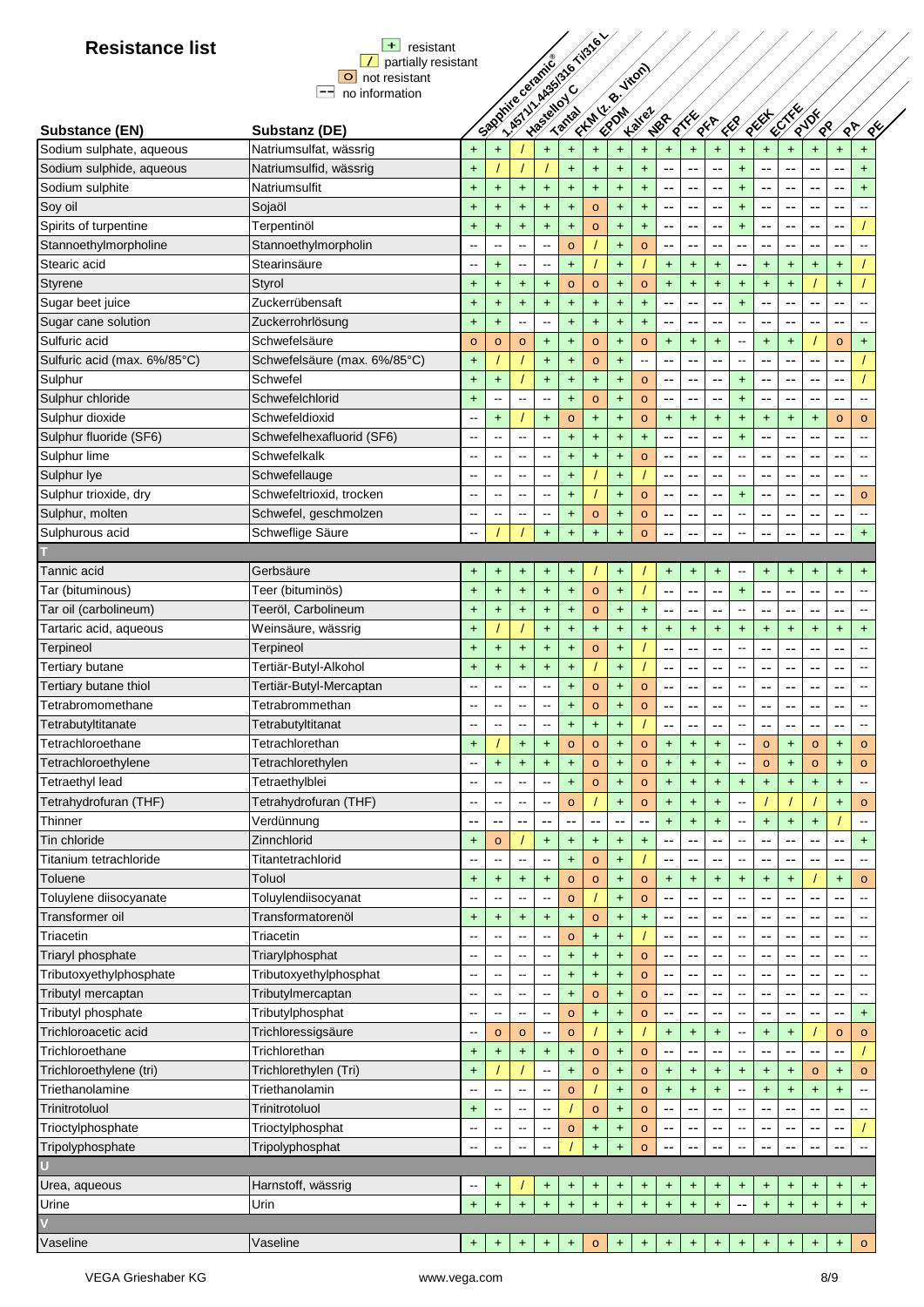| <b>Resistance list</b>       | $+$<br>resistant                        |                          |                                  |                                  |                                                   |                                  |                                  |                                  |                                 |                      |                      |                      |                          |           |               |                       |                                  |                              |
|------------------------------|-----------------------------------------|--------------------------|----------------------------------|----------------------------------|---------------------------------------------------|----------------------------------|----------------------------------|----------------------------------|---------------------------------|----------------------|----------------------|----------------------|--------------------------|-----------|---------------|-----------------------|----------------------------------|------------------------------|
|                              | partially resistant                     |                          |                                  |                                  |                                                   |                                  |                                  |                                  |                                 |                      |                      |                      |                          |           |               |                       |                                  |                              |
|                              | $\circ$<br>not resistant                |                          |                                  |                                  |                                                   |                                  |                                  |                                  |                                 |                      |                      |                      |                          |           |               |                       |                                  |                              |
|                              | $-\!$<br>no information                 |                          |                                  |                                  |                                                   |                                  |                                  |                                  |                                 |                      |                      |                      |                          |           |               |                       |                                  |                              |
| <b>Substance (EN)</b>        |                                         |                          |                                  |                                  | I. Asylvia Asylvia Tisle Y<br>Spooning of British |                                  |                                  |                                  | Firm R. Hitler<br><b>Kalter</b> | NBR                  | $\frac{\sqrt{2}}{2}$ | <b>SER</b>           | KR                       | REEF      | <b>RECTER</b> | RUDE<br>$\frac{8}{3}$ |                                  | $\frac{1}{2}$<br>$\sqrt{8}$  |
| Sodium sulphate, aqueous     | Substanz (DE)<br>Natriumsulfat, wässrig |                          |                                  |                                  |                                                   |                                  |                                  |                                  | $\ddot{\phantom{1}}$            | $\ddot{}$            |                      |                      |                          |           |               |                       |                                  |                              |
|                              |                                         | $+$                      | $\ddagger$                       |                                  | $\ddot{\phantom{1}}$                              | $+$                              | $\begin{array}{c} + \end{array}$ | $+$                              |                                 |                      | $+$                  | $+$                  | $\ddot{}$                | $\ddot{}$ | $\ddot{}$     | $+$                   | $\ddot{}$                        | $+$                          |
| Sodium sulphide, aqueous     | Natriumsulfid, wässrig                  | $\ddot{\phantom{1}}$     |                                  |                                  |                                                   | $+$                              | $\ddot{}$                        | $+$                              | $+$                             |                      |                      |                      | $\ddot{}$                |           |               |                       | --                               | $\ddot{}$                    |
| Sodium sulphite              | Natriumsulfit                           | $\ddot{}$                | $\ddot{}$                        | $\color{red}{+}$                 | $+$                                               | $+$                              | $\ddot{}$                        | $+$                              | $\ddot{}$                       | --                   | --                   | --                   | $\ddot{}$                | --        | --            | --                    | --                               | $+$                          |
| Soy oil                      | Sojaöl                                  | $\ddot{}$                | $\ddagger$                       | $+$                              | $+$                                               | $+$                              | $\circ$                          | $\begin{array}{c} + \end{array}$ | $\ddot{}$                       | --                   | --                   | --                   | $\ddot{}$                | --        | --            | --                    | --                               | $\overline{a}$               |
| Spirits of turpentine        | Terpentinöl                             | $\ddot{}$                | $+$                              | $+$                              | $+$                                               | $+$                              | $\circ$                          | $+$                              | $+$                             | $\overline{a}$       | $-$                  | --                   | $\ddot{}$                | --        | --            | $-$                   | $-$                              |                              |
| Stannoethylmorpholine        | Stannoethylmorpholin                    | $\overline{a}$           | $\overline{\phantom{a}}$         | $\overline{a}$                   | $\overline{\phantom{a}}$                          | $\circ$                          |                                  | $+$                              | $\circ$                         | --                   | --                   | --                   | --                       | --        | --            | $-$                   | $-$                              | $\sim$                       |
| Stearic acid                 | Stearinsäure                            | --                       | $+$                              | $\overline{\phantom{a}}$         | --                                                | $+$                              |                                  | $+$                              |                                 | $+$                  | $+$                  | $\ddot{}$            | --                       | $+$       | +             | $+$                   | $\pm$                            |                              |
| Styrene                      | Styrol                                  | $+$                      | $\color{red}{+}$                 | $\color{red}+$                   | $\ddagger$                                        | $\circ$                          | $\circ$                          | $\color{red}+$                   | $\circ$                         | $\color{red}{+}$     | $\color{red}+$       | $+$                  | $\ddagger$               | $+$       | $\ddot{}$     |                       | $\ddot{}$                        |                              |
| Sugar beet juice             | Zuckerrübensaft                         | $\ddot{}$                | $\ddot{}$                        | $+$                              | $+$                                               | $+$                              | $\ddot{}$                        | $+$                              | $+$                             | --                   | --                   | --                   | $\ddot{}$                | --        | --            | $-$                   | $\overline{\phantom{a}}$         |                              |
| Sugar cane solution          | Zuckerrohrlösung                        | $\ddot{\phantom{1}}$     | $\ddagger$                       | $\overline{\phantom{a}}$         | $\overline{\phantom{a}}$                          | $+$                              | $\ddot{}$                        | $\begin{array}{c} + \end{array}$ | $\ddagger$                      |                      | --                   | ۰.                   | $\overline{a}$           | --        | --            | --                    | $\overline{\phantom{a}}$         | $\overline{a}$               |
| Sulfuric acid                | Schwefelsäure                           | $\circ$                  | $\circ$                          | $\circ$                          | $\ddot{}$                                         | +                                | $\circ$                          | $\begin{array}{c} + \end{array}$ | $\circ$                         | $\ddot{}$            | +                    | $+$                  | ⊷                        | $\ddot{}$ | +             |                       | $\circ$                          | $+$                          |
| Sulfuric acid (max. 6%/85°C) | Schwefelsäure (max. 6%/85°C)            | $\ddot{}$                |                                  |                                  | $\ddot{}$                                         | $\ddot{}$                        | o                                | $+$                              | --                              | --                   | --                   | --                   | --                       | --        | --            | --                    | --                               |                              |
| Sulphur                      | Schwefel                                | $\ddot{}$                | $+$                              |                                  | $+$                                               | $+$                              | $+$                              | $+$                              | $\circ$                         | --                   | --                   | --                   | $+$                      | --        | --            | --                    | $-$                              |                              |
| Sulphur chloride             | Schwefelchlorid                         | $+$                      | $\overline{a}$                   | $\sim$                           | $\overline{a}$                                    | $+$                              | $\circ$                          | $+$                              | $\circ$                         | --                   | --                   | --                   | $+$                      | --        | --            | --                    | $\overline{\phantom{a}}$         | $\overline{a}$               |
| Sulphur dioxide              | Schwefeldioxid                          | $\overline{a}$           | $+$                              |                                  | $+$                                               | $\circ$                          | $+$                              | $+$                              | $\circ$                         | $+$                  | $\ddot{}$            | $+$                  | $+$                      | $+$       | $\pm$         | $+$                   | $\circ$                          | $\circ$                      |
|                              |                                         | --                       | --                               | $\overline{\phantom{a}}$         | Ξ.                                                |                                  |                                  |                                  | $\ddot{}$                       |                      |                      | --                   | $\ddot{}$                |           |               |                       | --                               |                              |
| Sulphur fluoride (SF6)       | Schwefelhexafluorid (SF6)               |                          |                                  |                                  |                                                   | $\ddot{}$                        | $\ddagger$                       | $\ddot{}$                        |                                 | --                   |                      |                      |                          |           |               |                       |                                  |                              |
| Sulphur lime                 | Schwefelkalk                            |                          | --                               |                                  |                                                   | $\ddot{}$                        | $+$                              | $\ddot{\phantom{1}}$             | $\mathsf{o}$                    | --                   | --                   | ٠.                   | --                       |           |               |                       | --                               |                              |
| Sulphur lye                  | Schwefellauge                           |                          | $\overline{\phantom{a}}$         | $\sim$                           | $\sim$                                            | $+$                              |                                  | $\ddot{\phantom{1}}$             |                                 | --                   | --                   | ٠.                   | $\overline{a}$           |           |               | ٠.                    | $\overline{\phantom{a}}$         | $\overline{a}$               |
| Sulphur trioxide, dry        | Schwefeltrioxid, trocken                | --                       | $\overline{\phantom{a}}$         | $\overline{\phantom{a}}$         | $\sim$                                            | $+$                              |                                  | $+$                              | $\circ$                         | --                   | $-$                  | --                   | $\ddot{}$                | --        | --            | --                    | --                               | $\circ$                      |
| Sulphur, molten              | Schwefel, geschmolzen                   | --                       | --                               | $\overline{\phantom{a}}$         | --                                                | $\ddot{}$                        | $\circ$                          | $\begin{array}{c} + \end{array}$ | $\circ$                         | --                   | --                   | --                   | --                       | --        | --            | --                    | --                               | $\sim$                       |
| Sulphurous acid              | Schweflige Säure                        | --                       |                                  |                                  | $+$                                               | $\ddot{}$                        | $\ddot{}$                        | $+$                              | $\circ$                         | --                   | --                   | --                   | --                       |           |               | --                    | --                               | $+$                          |
|                              |                                         |                          |                                  |                                  |                                                   |                                  |                                  |                                  |                                 |                      |                      |                      |                          |           |               |                       |                                  |                              |
| Tannic acid                  | Gerbsäure                               | $\ddot{}$                | $\ddot{}$                        | $\ddot{}$                        | $+$                                               | $+$                              |                                  | $+$                              |                                 | $+$                  | $\ddot{}$            | $+$                  | --                       | $\ddot{}$ | $\pm$         | $\ddot{}$             | $\pm$                            | $+$                          |
| Tar (bituminous)             | Teer (bituminös)                        | $\ddot{}$                | $\begin{array}{c} + \end{array}$ | $\color{red}{+}$                 | $+$                                               | $+$                              | $\circ$                          | $+$                              |                                 | --                   | $-$                  | ۵.                   | $+$                      |           | --            | $-$                   | $-$                              | $\sim$                       |
| Tar oil (carbolineum)        | Teeröl, Carbolineum                     | $+$                      | $\begin{array}{c} + \end{array}$ | $\begin{array}{c} + \end{array}$ | $\ddagger$                                        | $+$                              | $\circ$                          | $\color{red}+$                   | $\ddot{}$                       | --                   | --                   | --                   | --                       |           |               | --                    | --                               | $\overline{a}$               |
| Tartaric acid, aqueous       | Weinsäure, wässrig                      | $\ddot{}$                |                                  |                                  | $\ddagger$                                        | $\ddot{}$                        | +                                | $\begin{array}{c} + \end{array}$ | $\ddot{}$                       | $+$                  | +                    | $\ddot{}$            | $\ddagger$               | $\ddot{}$ | +             | $\ddot{}$             | $\ddot{}$                        | $\ddot{}$                    |
| Terpineol                    | Terpineol                               | $+$                      | $\ddagger$                       | $\color{red}+$                   | $+$                                               | $+$                              | $\circ$                          | $+$                              |                                 | --                   | $-$                  | --                   | --                       | --        | --            | --                    | --                               |                              |
| Tertiary butane              | Tertiär-Butyl-Alkohol                   | $\ddot{}$                | $\ddagger$                       | $+$                              | $\ddot{}$                                         | $\ddot{}$                        |                                  | $\begin{array}{c} + \end{array}$ |                                 | --                   | --                   | --                   | --                       | --        | --            | --                    | --                               | $\overline{\phantom{a}}$     |
| Tertiary butane thiol        | Tertiär-Butyl-Mercaptan                 |                          | --                               | $\overline{\phantom{a}}$         | --                                                | $+$                              | $\circ$                          | $\ddot{}$                        | $\circ$                         | --                   | --                   | --                   | --                       | --        | --            | --                    | --                               | $\qquad \qquad \blacksquare$ |
| Tetrabromomethane            | Tetrabrommethan                         | $\overline{a}$           | --                               | $\overline{\phantom{a}}$         | --                                                | $\ddot{}$                        | $\circ$                          | $\ddot{}$                        | $\circ$                         | --                   | --                   | --                   | $\overline{\phantom{a}}$ | --        | --            | $-$                   | $-$                              | $\sim$                       |
| Tetrabutyltitanate           | Tetrabutyltitanat                       |                          |                                  |                                  |                                                   | ÷.                               | $\ddot{}$                        | $\ddot{}$                        |                                 |                      | --                   |                      | --                       |           |               |                       |                                  |                              |
| Tetrachloroethane            |                                         |                          |                                  |                                  |                                                   |                                  |                                  |                                  |                                 |                      |                      |                      |                          |           |               |                       |                                  |                              |
|                              | Tetrachlorethan                         | $\ddot{}$                |                                  | $\ddot{}$                        | $\ddot{}$                                         | $\mathbf{o}$                     | $\mathbf{o}$                     | $\ddot{}$                        | $\mathsf{o}$                    | $\ddot{}$            | $\ddot{}$            | $\ddot{}$            | --                       | $\circ$   | +             | $\circ$               | +                                | $\circ$                      |
| Tetrachloroethylene          | Tetrachlorethylen                       |                          | $\ddot{}$                        | $\ddot{}$                        | $\ddot{}$                                         | $\color{red}{+}$                 | o                                | $\color{red}+$                   | $\circ$                         | $\ddot{\phantom{1}}$ | $\ddagger$           | $\ddot{}$            |                          | $\circ$   | $\ddot{}$     | $\circ$               | $\ddot{}$                        | $\circ$                      |
| Tetraethyl lead              | Tetraethylblei                          |                          |                                  |                                  |                                                   | $+$                              | $\mathbf{o}$                     | $+$                              | $\circ$                         | $\ddot{\phantom{1}}$ | $\ddagger$           | $\ddot{\phantom{1}}$ | $\ddot{}$                | $\ddot{}$ | $\ddot{}$     | $+$                   | $\ddot{}$                        |                              |
| Tetrahydrofuran (THF)        | Tetrahydrofuran (THF)                   |                          | Ξ.                               | $\overline{\phantom{a}}$         | $\sim$                                            | $\mathbf{o}$                     |                                  | $\color{red}{+}$                 | $\mathsf{o}$                    | $+$                  | $\ddagger$           | $\ddot{\phantom{1}}$ | --                       |           |               |                       | $\ddot{}$                        | $\circ$                      |
| Thinner                      | Verdünnung                              | --                       | $\overline{\phantom{a}}$         |                                  |                                                   | --                               |                                  |                                  |                                 | $\ddot{}$            | +                    | $+$                  | --                       | $\ddot{}$ | $\ddot{}$     | $\ddot{}$             |                                  | $\overline{\phantom{m}}$     |
| Tin chloride                 | Zinnchlorid                             | $+$                      | $\circ$                          |                                  | $+$                                               | $\ddot{}$                        | $+$                              | $\ddot{}$                        | $\ddot{}$                       | --                   |                      | --                   | ۰.                       |           |               |                       | --                               | $+$                          |
| Titanium tetrachloride       | Titantetrachlorid                       |                          |                                  |                                  | --                                                | $+$                              | $\mathsf{o}\,$                   | $\ddot{}$                        |                                 | --                   | --                   | ٠.                   | --                       | ٠.        |               |                       | --                               | $\overline{a}$               |
| Toluene                      | Toluol                                  | $\ddot{}$                | $\begin{array}{c} + \end{array}$ | $+$                              | $+$                                               | $\circ$                          | $\mathbf{o}$                     | $+$                              | $\mathbf{o}$                    | $+$                  | $+$                  | $+$                  | $+$                      | $+$       | $\ddot{}$     |                       | $\ddot{}$                        | $\circ$                      |
| Toluylene diisocyanate       | Toluylendiisocyanat                     |                          | $\overline{\phantom{a}}$         | $\sim$                           | ٠.                                                | $\circ$                          |                                  | $\begin{array}{c} + \end{array}$ | $\mathbf{o}$                    | --                   |                      |                      | --                       |           |               |                       | --                               |                              |
| Transformer oil              | Transformatorenöl                       | $\ddot{}$                | $\ddagger$                       | $\begin{array}{c} + \end{array}$ | $+$                                               | $\begin{array}{c} + \end{array}$ | $\mathbf{o}$                     | $+$                              | $\ddot{}$                       | --                   |                      | ٠.                   | --                       |           |               |                       | ۰.                               |                              |
| Triacetin                    | Triacetin                               |                          |                                  |                                  |                                                   | $\circ$                          | $\ddot{}$                        | $\begin{array}{c} + \end{array}$ |                                 | --                   | --                   | ٠.                   | --                       |           |               | --                    | $-$                              |                              |
| Triaryl phosphate            | Triarylphosphat                         |                          | $\overline{\phantom{a}}$         | $\sim$                           | --                                                | $\ddot{}$                        | <sup>+</sup>                     | $\ddot{}$                        | $\mathbf{o}$                    | --                   | --                   | ٠.                   | --                       | --        | --            | --                    | --                               | $\sim$                       |
| Tributoxyethylphosphate      | Tributoxyethylphosphat                  | $\overline{a}$           | $\sim$                           | $\overline{\phantom{a}}$         | $\overline{\phantom{a}}$                          | +                                | $\ddot{}$                        | $+$                              | $\mathbf{o}$                    | --                   | --                   | --                   | $\overline{\phantom{a}}$ | --        | --            | --                    | --                               | $\sim$                       |
| Tributyl mercaptan           | Tributylmercaptan                       | --                       | --                               | $\overline{\phantom{a}}$         | --                                                | $\ddot{}$                        | o                                | $\ddot{}$                        | $\mathbf{o}$                    | --                   | --                   | --                   | --                       | --        | --            | --                    | --                               | $\sim$                       |
| Tributyl phosphate           | Tributylphosphat                        | --                       | --                               | $\overline{\phantom{a}}$         | --                                                |                                  |                                  |                                  |                                 | --                   |                      |                      | --                       | --        | --            |                       | --                               | $+$                          |
| Trichloroacetic acid         |                                         |                          |                                  |                                  |                                                   | $\circ$                          | $\ddot{}$                        | $\ddot{}$                        | $\mathbf{o}$                    |                      |                      |                      |                          |           |               | $-$                   |                                  |                              |
|                              | Trichloressigsäure                      |                          | $\circ$                          | $\circ$                          | --                                                | $\circ$                          |                                  | $+$                              |                                 | $+$                  | $+$                  | $+$                  | --                       | $\ddot{}$ | $\pm$         |                       | $\circ$                          | $\circ$                      |
| Trichloroethane              | Trichlorethan                           | $\ddot{}$                | $\ddot{\phantom{1}}$             | $+$                              | $\ddot{}$                                         | $\ddot{}$                        | $\mathsf{o}\,$                   | $+$                              | $\circ$                         | --                   |                      |                      | $\overline{a}$           |           |               |                       | --                               |                              |
| Trichloroethylene (tri)      | Trichlorethylen (Tri)                   | $+$                      |                                  |                                  | --                                                | $\begin{array}{c} + \end{array}$ | $\mathbf{o}$                     | $\begin{array}{c} + \end{array}$ | $\mathbf{o}$                    | $+$                  | $\pmb{+}$            | $\ddot{}$            | $\ddagger$               | +         | +             | $\circ$               | $\ddot{}$                        | $\circ$                      |
| Triethanolamine              | Triethanolamin                          |                          |                                  |                                  |                                                   | $\circ$                          |                                  | $+$                              | $\circ$                         | $\ddot{}$            | $\ddot{}$            | $\ddot{}$            |                          | $\ddot{}$ | $\ddot{}$     | $+$                   | $\ddot{}$                        |                              |
| Trinitrotoluol               | Trinitrotoluol                          | $\ddot{}$                |                                  |                                  |                                                   |                                  | o                                | $\ddot{}$                        | $\mathbf{o}$                    |                      |                      |                      |                          |           |               |                       |                                  |                              |
| Trioctylphosphate            | Trioctylphosphat                        |                          | $\mathbf{L}$                     | н,                               |                                                   | $\circ$                          | $\ddot{}$                        | $\begin{array}{c} + \end{array}$ | $\mathsf{o}$                    |                      | --                   |                      |                          |           |               |                       | --                               |                              |
| Tripolyphosphate             | Tripolyphosphat                         |                          | --                               |                                  |                                                   |                                  | $\ddot{}$                        | $+$                              | $\circ$                         |                      |                      |                      |                          |           |               |                       | --                               | $\sim$                       |
|                              |                                         |                          |                                  |                                  |                                                   |                                  |                                  |                                  |                                 |                      |                      |                      |                          |           |               |                       |                                  |                              |
| Urea, aqueous                | Harnstoff, wässrig                      | $\overline{\phantom{m}}$ | $\ddot{}$                        |                                  | $\ddot{}$                                         | $\ddot{}$                        | +                                | $\ddot{}$                        | $\pm$                           | $\ddot{}$            | $\ddot{}$            | $\ddot{}$            | +                        | $\ddot{}$ | +             | $\ddot{}$             | +                                | $\ddot{}$                    |
| Urine                        | Urin                                    | $+$                      | $+$                              | $+$                              | $+$                                               | $+$                              | $\ddot{}$                        | $+$                              | $+$                             | $+$                  | $\ddot{}$            | $+$                  |                          | $+$       | $+$           | $+$                   | $\ddot{}$                        | $+$                          |
|                              |                                         |                          |                                  |                                  |                                                   |                                  |                                  |                                  |                                 |                      |                      |                      |                          |           |               |                       |                                  |                              |
| Vaseline                     | Vaseline                                | $+$                      | $+$                              | $\ddot{}$                        | $\ddot{}$                                         | $\ddot{}$                        | $\mathbf{o}$                     | $\ddot{}$                        | $\ddot{}$                       | $+$                  | $\ddot{}$            | $\ddot{}$            | $\ddot{}$                | $\ddot{}$ | $\ddot{}$     | $+$                   | $\begin{array}{c} + \end{array}$ | $\mathbf{o}$                 |
|                              |                                         |                          |                                  |                                  |                                                   |                                  |                                  |                                  |                                 |                      |                      |                      |                          |           |               |                       |                                  |                              |